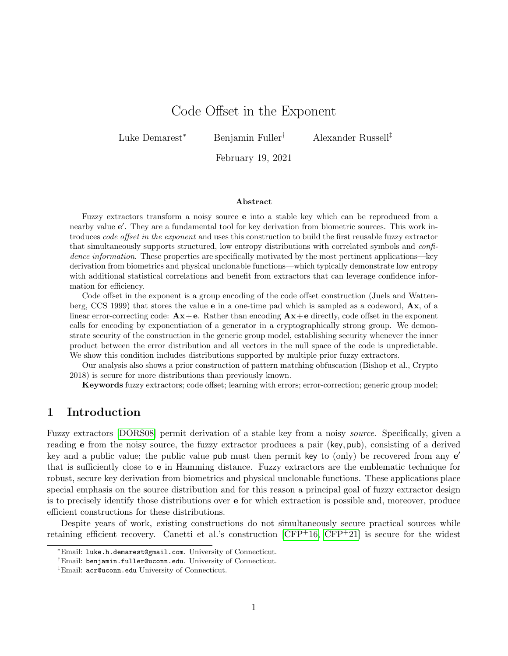# Code Offset in the Exponent

Luke Demarest<sup>∗</sup> Benjamin Fuller† Alexander Russell‡

February 19, 2021

#### Abstract

Fuzzy extractors transform a noisy source e into a stable key which can be reproduced from a nearby value e'. They are a fundamental tool for key derivation from biometric sources. This work introduces code offset in the exponent and uses this construction to build the first reusable fuzzy extractor that simultaneously supports structured, low entropy distributions with correlated symbols and confidence information. These properties are specifically motivated by the most pertinent applications—key derivation from biometrics and physical unclonable functions—which typically demonstrate low entropy with additional statistical correlations and benefit from extractors that can leverage confidence information for efficiency.

Code offset in the exponent is a group encoding of the code offset construction (Juels and Wattenberg, CCS 1999) that stores the value e in a one-time pad which is sampled as a codeword, Ax, of a linear error-correcting code:  $Ax + e$ . Rather than encoding  $Ax + e$  directly, code offset in the exponent calls for encoding by exponentiation of a generator in a cryptographically strong group. We demonstrate security of the construction in the generic group model, establishing security whenever the inner product between the error distribution and all vectors in the null space of the code is unpredictable. We show this condition includes distributions supported by multiple prior fuzzy extractors.

Our analysis also shows a prior construction of pattern matching obfuscation (Bishop et al., Crypto 2018) is secure for more distributions than previously known.

Keywords fuzzy extractors; code offset; learning with errors; error-correction; generic group model;

### 1 Introduction

Fuzzy extractors [\[DORS08\]](#page-32-0) permit derivation of a stable key from a noisy source. Specifically, given a reading e from the noisy source, the fuzzy extractor produces a pair (key, pub), consisting of a derived key and a public value; the public value  $\mathsf{pub}$  must then permit key to (only) be recovered from any  $\mathsf{e}'$ that is sufficiently close to e in Hamming distance. Fuzzy extractors are the emblematic technique for robust, secure key derivation from biometrics and physical unclonable functions. These applications place special emphasis on the source distribution and for this reason a principal goal of fuzzy extractor design is to precisely identify those distributions over e for which extraction is possible and, moreover, produce efficient constructions for these distributions.

Despite years of work, existing constructions do not simultaneously secure practical sources while retaining efficient recovery. Canetti et al.'s construction  $[CFP<sup>+</sup>16, CFP<sup>+</sup>21]$  $[CFP<sup>+</sup>16, CFP<sup>+</sup>21]$  $[CFP<sup>+</sup>16, CFP<sup>+</sup>21]$  $[CFP<sup>+</sup>16, CFP<sup>+</sup>21]$  is secure for the widest

<sup>∗</sup>Email: luke.h.demarest@gmail.com. University of Connecticut.

<sup>†</sup>Email: benjamin.fuller@uconn.edu. University of Connecticut.

<sup>‡</sup>Email: acr@uconn.edu University of Connecticut.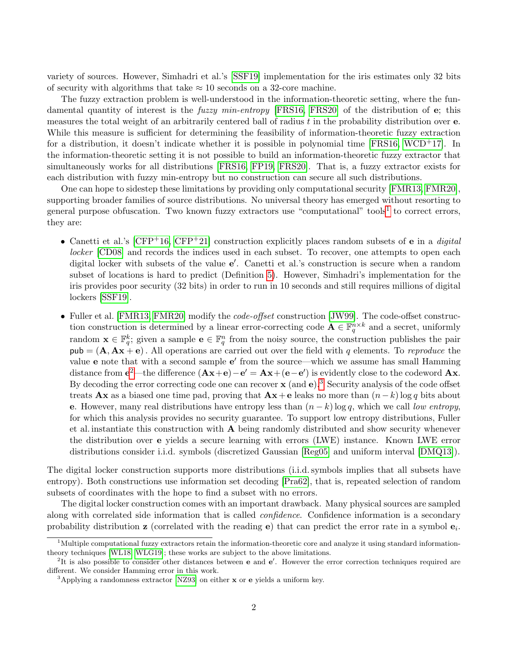variety of sources. However, Simhadri et al.'s [\[SSF19\]](#page-34-0) implementation for the iris estimates only 32 bits of security with algorithms that take  $\approx 10$  seconds on a 32-core machine.

The fuzzy extraction problem is well-understood in the information-theoretic setting, where the fundamental quantity of interest is the *fuzzy min-entropy* [\[FRS16,](#page-32-3) [FRS20\]](#page-33-0) of the distribution of e; this measures the total weight of an arbitrarily centered ball of radius  $t$  in the probability distribution over  $e$ . While this measure is sufficient for determining the feasibility of information-theoretic fuzzy extraction for a distribution, it doesn't indicate whether it is possible in polynomial time  $[FRS16, WCD<sup>+</sup>17]$  $[FRS16, WCD<sup>+</sup>17]$  $[FRS16, WCD<sup>+</sup>17]$ . In the information-theoretic setting it is not possible to build an information-theoretic fuzzy extractor that simultaneously works for all distributions [\[FRS16,](#page-32-3) [FP19,](#page-32-4) [FRS20\]](#page-33-0). That is, a fuzzy extractor exists for each distribution with fuzzy min-entropy but no construction can secure all such distributions.

One can hope to sidestep these limitations by providing only computational security [\[FMR13,](#page-32-5) [FMR20\]](#page-32-6), supporting broader families of source distributions. No universal theory has emerged without resorting to general purpose obfuscation. Two known fuzzy extractors use "computational" tools<sup>[1](#page-1-0)</sup> to correct errors, they are:

- Canetti et al.'s  $[CFP+16, CFP+21]$  $[CFP+16, CFP+21]$  $[CFP+16, CFP+21]$  $[CFP+16, CFP+21]$  construction explicitly places random subsets of e in a *digital* locker [\[CD08\]](#page-32-7) and records the indices used in each subset. To recover, one attempts to open each digital locker with subsets of the value  $e'$ . Canetti et al.'s construction is secure when a random subset of locations is hard to predict (Definition [5\)](#page-21-0). However, Simhadri's implementation for the iris provides poor security (32 bits) in order to run in 10 seconds and still requires millions of digital lockers [\[SSF19\]](#page-34-0).
- Fuller et al. [\[FMR13,](#page-32-5) [FMR20\]](#page-32-6) modify the *code-offset* construction [\[JW99\]](#page-33-1). The code-offset construction construction is determined by a linear error-correcting code  $\mathbf{A} \in \mathbb{F}_q^{n \times k}$  and a secret, uniformly random  $\mathbf{x} \in \mathbb{F}_q^k$ ; given a sample  $\mathbf{e} \in \mathbb{F}_q^n$  from the noisy source, the construction publishes the pair  $pub = (A, Ax + e)$ . All operations are carried out over the field with q elements. To reproduce the value e note that with a second sample e' from the source—which we assume has small Hamming distance from  $e^2$  $e^2$ —the difference  $(Ax+e)-e' = Ax+(e-e')$  is evidently close to the codeword  $Ax$ . By decoding the error correcting code one can recover  $\mathbf x$  (and  $\mathbf e$ ).<sup>[3](#page-1-2)</sup> Security analysis of the code offset treats **Ax** as a biased one time pad, proving that  $A x + e$  leaks no more than  $(n-k) \log q$  bits about e. However, many real distributions have entropy less than  $(n - k) \log q$ , which we call low entropy, for which this analysis provides no security guarantee. To support low entropy distributions, Fuller et al. instantiate this construction with A being randomly distributed and show security whenever the distribution over e yields a secure learning with errors (LWE) instance. Known LWE error distributions consider i.i.d. symbols (discretized Gaussian [\[Reg05\]](#page-33-2) and uniform interval [\[DMQ13\]](#page-32-8)).

The digital locker construction supports more distributions (i.i.d. symbols implies that all subsets have entropy). Both constructions use information set decoding [\[Pra62\]](#page-33-3), that is, repeated selection of random subsets of coordinates with the hope to find a subset with no errors.

The digital locker construction comes with an important drawback. Many physical sources are sampled along with correlated side information that is called *confidence*. Confidence information is a secondary probability distribution **z** (correlated with the reading **e**) that can predict the error rate in a symbol  $e_i$ .

<span id="page-1-0"></span> $1<sup>1</sup>$ Multiple computational fuzzy extractors retain the information-theoretic core and analyze it using standard informationtheory techniques [\[WL18,](#page-34-2) [WLG19\]](#page-34-3); these works are subject to the above limitations.

<span id="page-1-1"></span> ${}^{2}$ It is also possible to consider other distances between **e** and **e**'. However the error correction techniques required are different. We consider Hamming error in this work.

<span id="page-1-2"></span> $3$ Applying a randomness extractor [\[NZ93\]](#page-33-4) on either **x** or **e** yields a uniform key.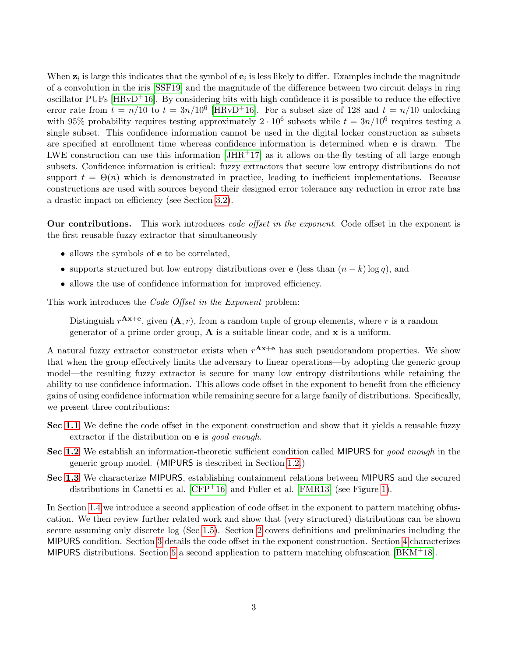When  $z_i$  is large this indicates that the symbol of  $e_i$  is less likely to differ. Examples include the magnitude of a convolution in the iris [\[SSF19\]](#page-34-0) and the magnitude of the difference between two circuit delays in ring oscillator PUFs  $[\text{HRvD}^+16]$ . By considering bits with high confidence it is possible to reduce the effective error rate from  $t = n/10$  to  $t = 3n/10^6$  [\[HRvD](#page-33-5)<sup>+</sup>16]. For a subset size of 128 and  $t = n/10$  unlocking with 95% probability requires testing approximately  $2 \cdot 10^6$  subsets while  $t = 3n/10^6$  requires testing a single subset. This confidence information cannot be used in the digital locker construction as subsets are specified at enrollment time whereas confidence information is determined when e is drawn. The LWE construction can use this information  $[JHR+17]$  $[JHR+17]$  as it allows on-the-fly testing of all large enough subsets. Confidence information is critical: fuzzy extractors that secure low entropy distributions do not support  $t = \Theta(n)$  which is demonstrated in practice, leading to inefficient implementations. Because constructions are used with sources beyond their designed error tolerance any reduction in error rate has a drastic impact on efficiency (see Section [3.2\)](#page-16-0).

Our contributions. This work introduces *code offset in the exponent*. Code offset in the exponent is the first reusable fuzzy extractor that simultaneously

- allows the symbols of **e** to be correlated,
- supports structured but low entropy distributions over e (less than  $(n k) \log q$ ), and
- allows the use of confidence information for improved efficiency.

This work introduces the *Code Offset in the Exponent* problem:

Distinguish  $r^{Ax+e}$ , given  $(A, r)$ , from a random tuple of group elements, where r is a random generator of a prime order group,  $\bf{A}$  is a suitable linear code, and  $\bf{x}$  is a uniform.

A natural fuzzy extractor constructor exists when  $r^{\mathbf{A}x+\mathbf{e}}$  has such pseudorandom properties. We show that when the group effectively limits the adversary to linear operations—by adopting the generic group model—the resulting fuzzy extractor is secure for many low entropy distributions while retaining the ability to use confidence information. This allows code offset in the exponent to benefit from the efficiency gains of using confidence information while remaining secure for a large family of distributions. Specifically, we present three contributions:

- Sec [1.1](#page-3-0) We define the code offset in the exponent construction and show that it yields a reusable fuzzy extractor if the distribution on **e** is *good enough*.
- Sec [1.2](#page-3-1) We establish an information-theoretic sufficient condition called MIPURS for good enough in the generic group model. (MIPURS is described in Section [1.2.](#page-3-1))
- Sec [1.3](#page-4-0) We characterize MIPURS, establishing containment relations between MIPURS and the secured distributions in Canetti et al.  $[CFP<sup>+</sup>16]$  $[CFP<sup>+</sup>16]$  and Fuller et al.  $[FMR13]$  (see Figure [1\)](#page-5-0).

In Section [1.4](#page-6-0) we introduce a second application of code offset in the exponent to pattern matching obfuscation. We then review further related work and show that (very structured) distributions can be shown secure assuming only discrete log (Sec [1.5\)](#page-6-1). Section [2](#page-8-0) covers definitions and preliminaries including the MIPURS condition. Section [3](#page-10-0) details the code offset in the exponent construction. Section [4](#page-19-0) characterizes MIPURS distributions. Section [5](#page-29-0) a second application to pattern matching obfuscation  $[BKM^+18]$  $[BKM^+18]$ .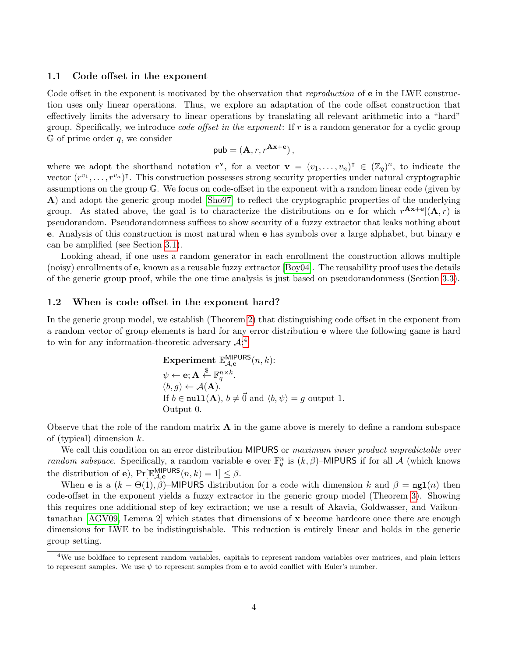### <span id="page-3-0"></span>1.1 Code offset in the exponent

Code offset in the exponent is motivated by the observation that *reproduction* of **e** in the LWE construction uses only linear operations. Thus, we explore an adaptation of the code offset construction that effectively limits the adversary to linear operations by translating all relevant arithmetic into a "hard" group. Specifically, we introduce *code offset in the exponent*: If  $r$  is a random generator for a cyclic group  $G$  of prime order q, we consider

$$
\mathsf{pub} = (\mathbf{A}, r, r^{\mathbf{A}\mathbf{x} + \mathbf{e}}),
$$

where we adopt the shorthand notation  $r^{\mathbf{v}}$ , for a vector  $\mathbf{v} = (v_1, \ldots, v_n)^\intercal \in (\mathbb{Z}_q)^n$ , to indicate the vector  $(r^{v_1}, \ldots, r^{v_n})^{\dagger}$ . This construction possesses strong security properties under natural cryptographic assumptions on the group G. We focus on code-offset in the exponent with a random linear code (given by A) and adopt the generic group model [\[Sho97\]](#page-34-4) to reflect the cryptographic properties of the underlying group. As stated above, the goal is to characterize the distributions on **e** for which  $r^{Ax+e}$   $(A,r)$  is pseudorandom. Pseudorandomness suffices to show security of a fuzzy extractor that leaks nothing about e. Analysis of this construction is most natural when e has symbols over a large alphabet, but binary e can be amplified (see Section [3.1\)](#page-12-0).

Looking ahead, if one uses a random generator in each enrollment the construction allows multiple (noisy) enrollments of e, known as a reusable fuzzy extractor [\[Boy04\]](#page-31-1). The reusability proof uses the details of the generic group proof, while the one time analysis is just based on pseudorandomness (Section [3.3\)](#page-17-0).

### <span id="page-3-1"></span>1.2 When is code offset in the exponent hard?

In the generic group model, we establish (Theorem [2\)](#page-10-1) that distinguishing code offset in the exponent from a random vector of group elements is hard for any error distribution e where the following game is hard to win for any information-theoretic adversary  $\mathcal{A}$ :<sup>[4](#page-3-2)</sup>

**Experiment** 
$$
\mathbb{E}_{\mathcal{A},e}^{\text{MIPURS}}(n,k)
$$
:  $\psi \leftarrow \mathbf{e}; \mathbf{A} \stackrel{\$}{\leftarrow} \mathbb{F}_q^{n \times k}.$ \n $(b, g) \leftarrow \mathcal{A}(\mathbf{A}).$ \nIf  $b \in \text{null}(\mathbf{A}), b \neq \vec{0}$  and  $\langle b, \psi \rangle = g$  output 1. Output 0.

Observe that the role of the random matrix  $\bf{A}$  in the game above is merely to define a random subspace of (typical) dimension  $k$ .

We call this condition on an error distribution MIPURS or maximum inner product unpredictable over *random subspace.* Specifically, a random variable **e** over  $\mathbb{F}_q^n$  is  $(k, \beta)$ -MIPURS if for all A (which knows the distribution of **e**),  $Pr[\mathbb{E}_{\mathcal{A},e}^{MIPURS}(n,k)=1] \leq \beta$ .

When e is a  $(k - \Theta(1), \beta)$ –MIPURS distribution for a code with dimension k and  $\beta = \text{ngl}(n)$  then code-offset in the exponent yields a fuzzy extractor in the generic group model (Theorem [3\)](#page-10-2). Showing this requires one additional step of key extraction; we use a result of Akavia, Goldwasser, and Vaikuntanathan [\[AGV09,](#page-31-2) Lemma 2] which states that dimensions of x become hardcore once there are enough dimensions for LWE to be indistinguishable. This reduction is entirely linear and holds in the generic group setting.

<span id="page-3-2"></span><sup>4</sup>We use boldface to represent random variables, capitals to represent random variables over matrices, and plain letters to represent samples. We use  $\psi$  to represent samples from **e** to avoid conflict with Euler's number.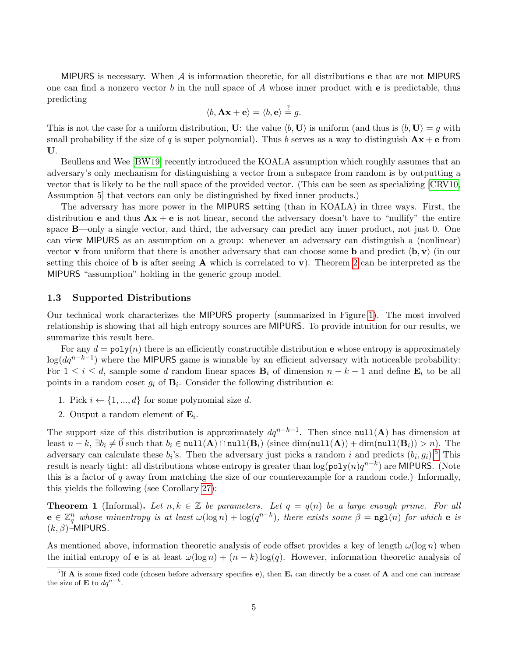MIPURS is necessary. When  $A$  is information theoretic, for all distributions e that are not MIPURS one can find a nonzero vector b in the null space of A whose inner product with  $\bf{e}$  is predictable, thus predicting

$$
\langle b, \mathbf{A}\mathbf{x} + \mathbf{e} \rangle = \langle b, \mathbf{e} \rangle \stackrel{?}{=} g.
$$

This is not the case for a uniform distribution, U: the value  $\langle b, U \rangle$  is uniform (and thus is  $\langle b, U \rangle = q$  with small probability if the size of q is super polynomial). Thus b serves as a way to distinguish  $\mathbf{A}\mathbf{x} + \mathbf{e}$  from U.

Beullens and Wee [\[BW19\]](#page-32-9) recently introduced the KOALA assumption which roughly assumes that an adversary's only mechanism for distinguishing a vector from a subspace from random is by outputting a vector that is likely to be the null space of the provided vector. (This can be seen as specializing [\[CRV10,](#page-32-10) Assumption 5] that vectors can only be distinguished by fixed inner products.)

The adversary has more power in the MIPURS setting (than in KOALA) in three ways. First, the distribution **e** and thus  $\mathbf{A}\mathbf{x} + \mathbf{e}$  is not linear, second the adversary doesn't have to "nullify" the entire space B—only a single vector, and third, the adversary can predict any inner product, not just 0. One can view MIPURS as an assumption on a group: whenever an adversary can distinguish a (nonlinear) vector **v** from uniform that there is another adversary that can choose some **b** and predict  $\langle \mathbf{b}, \mathbf{v} \rangle$  (in our setting this choice of **b** is after seeing **A** which is correlated to **v**). Theorem [2](#page-10-1) can be interpreted as the MIPURS "assumption" holding in the generic group model.

#### <span id="page-4-0"></span>1.3 Supported Distributions

Our technical work characterizes the MIPURS property (summarized in Figure [1\)](#page-5-0). The most involved relationship is showing that all high entropy sources are MIPURS. To provide intuition for our results, we summarize this result here.

For any  $d = \text{poly}(n)$  there is an efficiently constructible distribution **e** whose entropy is approximately  $\log(dq^{n-k-1})$  where the MIPURS game is winnable by an efficient adversary with noticeable probability: For  $1 \leq i \leq d$ , sample some d random linear spaces  $B_i$  of dimension  $n - k - 1$  and define  $E_i$  to be all points in a random coset  $g_i$  of  $\mathbf{B}_i$ . Consider the following distribution e:

- 1. Pick  $i \leftarrow \{1, ..., d\}$  for some polynomial size d.
- 2. Output a random element of  $\mathbf{E}_i$ .

The support size of this distribution is approximately  $dq^{n-k-1}$ . Then since  $null(A)$  has dimension at least  $n - k$ ,  $\exists b_i \neq \vec{0}$  such that  $b_i \in \text{null}(\mathbf{A}) \cap \text{null}(\mathbf{B}_i)$  (since  $\dim(\text{null}(\mathbf{A})) + \dim(\text{null}(\mathbf{B}_i)) > n$ ). The adversary can calculate these  $b_i$ 's. Then the adversary just picks a random i and predicts  $(b_i, g_i)$ .<sup>[5](#page-4-1)</sup> This result is nearly tight: all distributions whose entropy is greater than  $\log(\texttt{poly}(n)q^{n-k})$  are MIPURS. (Note this is a factor of q away from matching the size of our counterexample for a random code.) Informally, this yields the following (see Corollary [27\)](#page-29-1):

**Theorem 1** (Informal). Let  $n, k \in \mathbb{Z}$  be parameters. Let  $q = q(n)$  be a large enough prime. For all  $e \in \mathbb{Z}_q^n$  whose minentropy is at least  $\omega(\log n) + \log(q^{n-k})$ , there exists some  $\beta = \texttt{ngl}(n)$  for which  $e$  is  $(k, \beta)$ –MIPURS.

As mentioned above, information theoretic analysis of code offset provides a key of length  $\omega(\log n)$  when the initial entropy of **e** is at least  $\omega(\log n) + (n - k) \log(q)$ . However, information theoretic analysis of

<span id="page-4-1"></span><sup>&</sup>lt;sup>5</sup>If **A** is some fixed code (chosen before adversary specifies e), then  $\mathbf{E}_i$  can directly be a coset of **A** and one can increase the size of **E** to  $dq^{n-k}$ .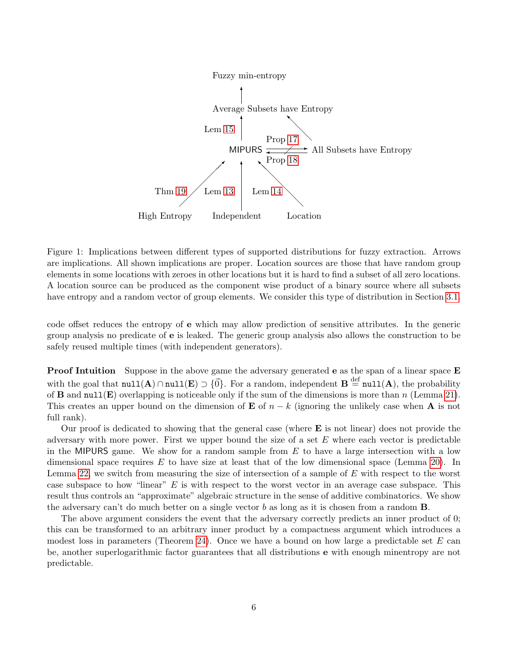

<span id="page-5-0"></span>Figure 1: Implications between different types of supported distributions for fuzzy extraction. Arrows are implications. All shown implications are proper. Location sources are those that have random group elements in some locations with zeroes in other locations but it is hard to find a subset of all zero locations. A location source can be produced as the component wise product of a binary source where all subsets have entropy and a random vector of group elements. We consider this type of distribution in Section [3.1.](#page-12-0)

code offset reduces the entropy of e which may allow prediction of sensitive attributes. In the generic group analysis no predicate of e is leaked. The generic group analysis also allows the construction to be safely reused multiple times (with independent generators).

Proof Intuition Suppose in the above game the adversary generated e as the span of a linear space E with the goal that  $null(A) \cap null(E) \supset \{ \vec{0} \}$ . For a random, independent  $B \stackrel{\text{def}}{=} null(A)$ , the probability of **B** and null(E) overlapping is noticeable only if the sum of the dimensions is more than n (Lemma [21\)](#page-25-0). This creates an upper bound on the dimension of **E** of  $n - k$  (ignoring the unlikely case when **A** is not full rank).

Our proof is dedicated to showing that the general case (where  $\bf{E}$  is not linear) does not provide the adversary with more power. First we upper bound the size of a set  $E$  where each vector is predictable in the MIPURS game. We show for a random sample from  $E$  to have a large intersection with a low dimensional space requires  $E$  to have size at least that of the low dimensional space (Lemma [20\)](#page-25-1). In Lemma [22,](#page-26-0) we switch from measuring the size of intersection of a sample of E with respect to the worst case subspace to how "linear"  $E$  is with respect to the worst vector in an average case subspace. This result thus controls an "approximate" algebraic structure in the sense of additive combinatorics. We show the adversary can't do much better on a single vector b as long as it is chosen from a random  $\bf{B}$ .

The above argument considers the event that the adversary correctly predicts an inner product of 0; this can be transformed to an arbitrary inner product by a compactness argument which introduces a modest loss in parameters (Theorem [24\)](#page-28-0). Once we have a bound on how large a predictable set  $E$  can be, another superlogarithmic factor guarantees that all distributions e with enough minentropy are not predictable.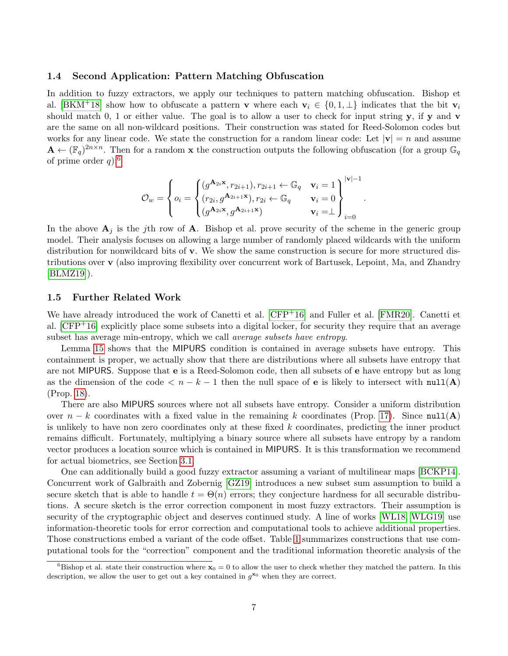### <span id="page-6-0"></span>1.4 Second Application: Pattern Matching Obfuscation

In addition to fuzzy extractors, we apply our techniques to pattern matching obfuscation. Bishop et al. [\[BKM](#page-31-0)<sup>+</sup>18] show how to obfuscate a pattern **v** where each  $\mathbf{v}_i \in \{0, 1, \perp\}$  indicates that the bit  $\mathbf{v}_i$ should match 0, 1 or either value. The goal is to allow a user to check for input string  $y$ , if  $y$  and  $v$ are the same on all non-wildcard positions. Their construction was stated for Reed-Solomon codes but works for any linear code. We state the construction for a random linear code: Let  $|v| = n$  and assume  $\mathbf{A} \leftarrow (\mathbb{F}_q)^{2n \times n}$ . Then for a random **x** the construction outputs the following obfuscation (for a group  $\mathbb{G}_q$ of prime order  $q$ :<sup>[6](#page-6-2)</sup>

$$
\mathcal{O}_w = \left\{ o_i = \begin{cases} (g^{\mathbf{A}_{2i}\mathbf{x}}, r_{2i+1}), r_{2i+1} \leftarrow \mathbb{G}_q & \mathbf{v}_i = 1 \\ (r_{2i}, g^{\mathbf{A}_{2i+1}\mathbf{x}}), r_{2i} \leftarrow \mathbb{G}_q & \mathbf{v}_i = 0 \\ (g^{\mathbf{A}_{2i}\mathbf{x}}, g^{\mathbf{A}_{2i+1}\mathbf{x}}) & \mathbf{v}_i = \perp \end{cases} \right\}_{i=0}^{|\mathbf{v}|-1}
$$

.

In the above  $A_j$  is the jth row of A. Bishop et al. prove security of the scheme in the generic group model. Their analysis focuses on allowing a large number of randomly placed wildcards with the uniform distribution for nonwildcard bits of v. We show the same construction is secure for more structured distributions over v (also improving flexibility over concurrent work of Bartusek, Lepoint, Ma, and Zhandry [\[BLMZ19\]](#page-31-3)).

### <span id="page-6-1"></span>1.5 Further Related Work

We have already introduced the work of Canetti et al.  $[CFP<sup>+</sup>16]$  $[CFP<sup>+</sup>16]$  and Fuller et al.  $[FMR20]$ . Canetti et al. [\[CFP](#page-32-1)+16] explicitly place some subsets into a digital locker, for security they require that an average subset has average min-entropy, which we call *average subsets have entropy*.

Lemma [15](#page-21-1) shows that the MIPURS condition is contained in average subsets have entropy. This containment is proper, we actually show that there are distributions where all subsets have entropy that are not MIPURS. Suppose that e is a Reed-Solomon code, then all subsets of e have entropy but as long as the dimension of the code  $\langle n-k-1 \rangle$  then the null space of **e** is likely to intersect with null(A) (Prop. [18\)](#page-23-1).

There are also MIPURS sources where not all subsets have entropy. Consider a uniform distribution over  $n - k$  coordinates with a fixed value in the remaining k coordinates (Prop. [17\)](#page-23-0). Since null(A) is unlikely to have non zero coordinates only at these fixed k coordinates, predicting the inner product remains difficult. Fortunately, multiplying a binary source where all subsets have entropy by a random vector produces a location source which is contained in MIPURS. It is this transformation we recommend for actual biometrics, see Section [3.1.](#page-12-0)

One can additionally build a good fuzzy extractor assuming a variant of multilinear maps [\[BCKP14\]](#page-31-4). Concurrent work of Galbraith and Zobernig [\[GZ19\]](#page-33-7) introduces a new subset sum assumption to build a secure sketch that is able to handle  $t = \Theta(n)$  errors; they conjecture hardness for all securable distributions. A secure sketch is the error correction component in most fuzzy extractors. Their assumption is security of the cryptographic object and deserves continued study. A line of works [\[WL18,](#page-34-2) [WLG19\]](#page-34-3) use information-theoretic tools for error correction and computational tools to achieve additional properties. Those constructions embed a variant of the code offset. Table [1](#page-7-0) summarizes constructions that use computational tools for the "correction" component and the traditional information theoretic analysis of the

<span id="page-6-2"></span><sup>&</sup>lt;sup>6</sup>Bishop et al. state their construction where  $\mathbf{x}_0 = 0$  to allow the user to check whether they matched the pattern. In this description, we allow the user to get out a key contained in  $g^{\mathbf{x}_0}$  when they are correct.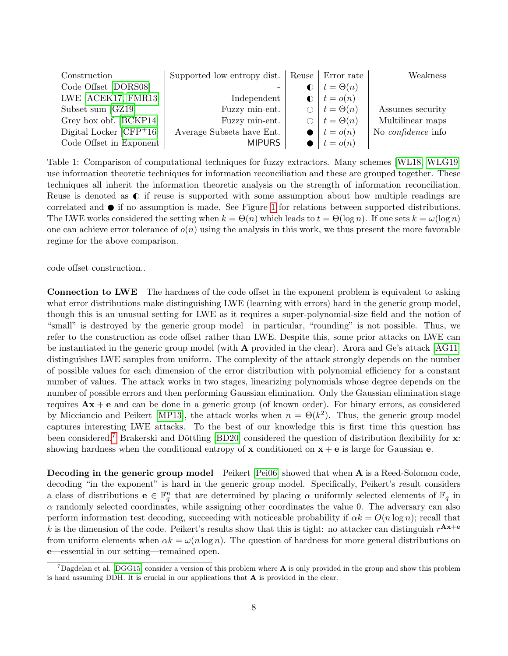| Construction              | Supported low entropy dist.   Reuse   Error rate |              |                              | Weakness                  |
|---------------------------|--------------------------------------------------|--------------|------------------------------|---------------------------|
| Code Offset [DORS08]      |                                                  | $\bigcirc$ 1 | $t = \Theta(n)$              |                           |
| LWE [ACEK17, FMR13]       | Independent                                      |              | $\bigcirc$   $t = o(n)$      |                           |
| Subset sum [GZ19]         | Fuzzy min-ent.                                   |              | $\bigcirc$   $t = \Theta(n)$ | Assumes security          |
| Grey box obf. [BCKP14]    | Fuzzy min-ent.                                   |              | $\bigcirc$   $t = \Theta(n)$ | Multilinear maps          |
| Digital Locker $[CFP+16]$ | Average Subsets have Ent.                        |              | $\bullet$ $t = o(n)$         | No <i>confidence</i> info |
| Code Offset in Exponent   | <b>MIPURS</b>                                    |              | $\bullet$ $t = o(n)$         |                           |

<span id="page-7-0"></span>Table 1: Comparison of computational techniques for fuzzy extractors. Many schemes [\[WL18,](#page-34-2) [WLG19\]](#page-34-3) use information theoretic techniques for information reconciliation and these are grouped together. These techniques all inherit the information theoretic analysis on the strength of information reconciliation. Reuse is denoted as  $\mathbb O$  if reuse is supported with some assumption about how multiple readings are correlated and  $\bullet$  if no assumption is made. See Figure [1](#page-5-0) for relations between supported distributions. The LWE works considered the setting when  $k = \Theta(n)$  which leads to  $t = \Theta(\log n)$ . If one sets  $k = \omega(\log n)$ one can achieve error tolerance of  $o(n)$  using the analysis in this work, we thus present the more favorable regime for the above comparison.

code offset construction..

Connection to LWE The hardness of the code offset in the exponent problem is equivalent to asking what error distributions make distinguishing LWE (learning with errors) hard in the generic group model, though this is an unusual setting for LWE as it requires a super-polynomial-size field and the notion of "small" is destroyed by the generic group model—in particular, "rounding" is not possible. Thus, we refer to the construction as code offset rather than LWE. Despite this, some prior attacks on LWE can be instantiated in the generic group model (with A provided in the clear). Arora and Ge's attack [\[AG11\]](#page-31-6) distinguishes LWE samples from uniform. The complexity of the attack strongly depends on the number of possible values for each dimension of the error distribution with polynomial efficiency for a constant number of values. The attack works in two stages, linearizing polynomials whose degree depends on the number of possible errors and then performing Gaussian elimination. Only the Gaussian elimination stage requires  $Ax + e$  and can be done in a generic group (of known order). For binary errors, as considered by Micciancio and Peikert [\[MP13\]](#page-33-8), the attack works when  $n = \Theta(k^2)$ . Thus, the generic group model captures interesting LWE attacks. To the best of our knowledge this is first time this question has been considered.<sup>[7](#page-7-1)</sup> Brakerski and Döttling [\[BD20\]](#page-31-7) considered the question of distribution flexibility for  $\bf{x}$ : showing hardness when the conditional entropy of  $x$  conditioned on  $x + e$  is large for Gaussian e.

Decoding in the generic group model Peikert [\[Pei06\]](#page-33-9) showed that when A is a Reed-Solomon code, decoding "in the exponent" is hard in the generic group model. Specifically, Peikert's result considers a class of distributions  $e \in \mathbb{F}_q^n$  that are determined by placing  $\alpha$  uniformly selected elements of  $\mathbb{F}_q$  in  $\alpha$  randomly selected coordinates, while assigning other coordinates the value 0. The adversary can also perform information test decoding, succeeding with noticeable probability if  $\alpha k = O(n \log n)$ ; recall that k is the dimension of the code. Peikert's results show that this is tight: no attacker can distinguish  $r^{\mathbf{Ax}+\mathbf{e}}$ from uniform elements when  $\alpha k = \omega(n \log n)$ . The question of hardness for more general distributions on e—essential in our setting—remained open.

<span id="page-7-1"></span> $^7$ Dagdelan et al. [\[DGG15\]](#page-32-11) consider a version of this problem where **A** is only provided in the group and show this problem is hard assuming DDH. It is crucial in our applications that A is provided in the clear.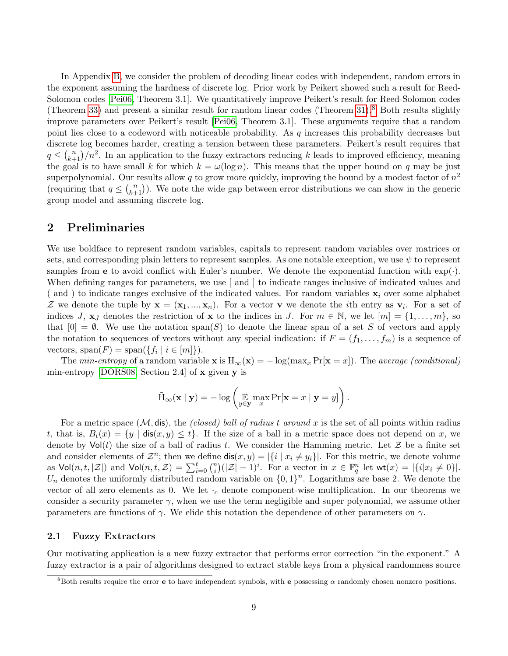In Appendix [B,](#page-38-0) we consider the problem of decoding linear codes with independent, random errors in the exponent assuming the hardness of discrete log. Prior work by Peikert showed such a result for Reed-Solomon codes [\[Pei06,](#page-33-9) Theorem 3.1]. We quantitatively improve Peikert's result for Reed-Solomon codes (Theorem [33\)](#page-41-0) and present a similar result for random linear codes (Theorem [31\)](#page-39-0).<sup>[8](#page-8-1)</sup> Both results slightly improve parameters over Peikert's result [\[Pei06,](#page-33-9) Theorem 3.1]. These arguments require that a random point lies close to a codeword with noticeable probability. As  $q$  increases this probability decreases but discrete log becomes harder, creating a tension between these parameters. Peikert's result requires that  $q \leq {n \choose k+1}/n^2$ . In an application to the fuzzy extractors reducing k leads to improved efficiency, meaning the goal is to have small k for which  $k = \omega(\log n)$ . This means that the upper bound on q may be just superpolynomial. Our results allow q to grow more quickly, improving the bound by a modest factor of  $n^2$ (requiring that  $q \leq {n \choose k+1}$ ). We note the wide gap between error distributions we can show in the generic group model and assuming discrete log.

### <span id="page-8-0"></span>2 Preliminaries

We use boldface to represent random variables, capitals to represent random variables over matrices or sets, and corresponding plain letters to represent samples. As one notable exception, we use  $\psi$  to represent samples from **e** to avoid conflict with Euler's number. We denote the exponential function with  $\exp(\cdot)$ . When defining ranges for parameters, we use [ and ] to indicate ranges inclusive of indicated values and (and) to indicate ranges exclusive of the indicated values. For random variables  $x_i$  over some alphabet Z we denote the tuple by  $\mathbf{x} = (\mathbf{x}_1, ..., \mathbf{x}_n)$ . For a vector **v** we denote the *i*th entry as  $\mathbf{v}_i$ . For a set of indices J,  $\mathbf{x}_J$  denotes the restriction of  $\mathbf{x}$  to the indices in J. For  $m \in \mathbb{N}$ , we let  $[m] = \{1, \ldots, m\}$ , so that  $[0] = \emptyset$ . We use the notation span(S) to denote the linear span of a set S of vectors and apply the notation to sequences of vectors without any special indication: if  $F = (f_1, \ldots, f_m)$  is a sequence of vectors,  $\text{span}(F) = \text{span}(\{f_i \mid i \in [m]\}).$ 

The min-entropy of a random variable  $\mathbf{x}$  is  $H_{\infty}(\mathbf{x}) = -\log(\max_x \Pr[\mathbf{x} = x])$ . The average (conditional) min-entropy [\[DORS08,](#page-32-0) Section 2.4] of x given y is

$$
\tilde{\mathrm{H}}_{\infty}(\mathbf{x} \mid \mathbf{y}) = -\log \left( \mathop{\mathbb{E}}_{y \in \mathbf{y}} \max_{x} \mathrm{Pr}[\mathbf{x} = x \mid \mathbf{y} = y] \right).
$$

For a metric space  $(M, \text{dis})$ , the *(closed) ball of radius t around x* is the set of all points within radius t, that is,  $B_t(x) = \{y \mid \text{dis}(x, y) \leq t\}$ . If the size of a ball in a metric space does not depend on x, we denote by  $\text{Vol}(t)$  the size of a ball of radius t. We consider the Hamming metric. Let Z be a finite set and consider elements of  $\mathcal{Z}^n$ ; then we define  $\textsf{dis}(x, y) = |\{i \mid x_i \neq y_i\}|$ . For this metric, we denote volume as  $\mathsf{Vol}(n,t,|\mathcal{Z}|)$  and  $\mathsf{Vol}(n,t,\mathcal{Z}) = \sum_{i=0}^t \binom{n}{i}$  $\mathbb{E}_i^n \left( |Z| - 1 \right)^i$ . For a vector in  $x \in \mathbb{F}_q^n$  let  $\mathsf{wt}(x) = |\{i | x_i \neq 0\}|$ .  $U_n$  denotes the uniformly distributed random variable on  $\{0,1\}^n$ . Logarithms are base 2. We denote the vector of all zero elements as 0. We let  $\cdot_c$  denote component-wise multiplication. In our theorems we consider a security parameter  $\gamma$ , when we use the term negligible and super polynomial, we assume other parameters are functions of  $\gamma$ . We elide this notation the dependence of other parameters on  $\gamma$ .

### <span id="page-8-2"></span>2.1 Fuzzy Extractors

Our motivating application is a new fuzzy extractor that performs error correction "in the exponent." A fuzzy extractor is a pair of algorithms designed to extract stable keys from a physical randomness source

<span id="page-8-1"></span><sup>&</sup>lt;sup>8</sup>Both results require the error **e** to have independent symbols, with **e** possessing  $\alpha$  randomly chosen nonzero positions.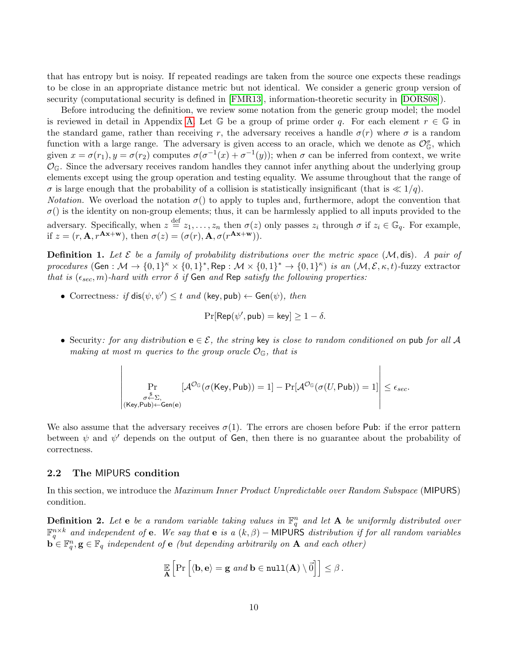that has entropy but is noisy. If repeated readings are taken from the source one expects these readings to be close in an appropriate distance metric but not identical. We consider a generic group version of security (computational security is defined in [\[FMR13\]](#page-32-5), information-theoretic security in [\[DORS08\]](#page-32-0)).

Before introducing the definition, we review some notation from the generic group model; the model is reviewed in detail in Appendix [A.](#page-34-5) Let  $\mathbb G$  be a group of prime order q. For each element  $r \in \mathbb G$  in the standard game, rather than receiving r, the adversary receives a handle  $\sigma(r)$  where  $\sigma$  is a random function with a large range. The adversary is given access to an oracle, which we denote as  $\mathcal{O}_{\mathbb{G}}^{\sigma}$ , which given  $x = \sigma(r_1), y = \sigma(r_2)$  computes  $\sigma(\sigma^{-1}(x) + \sigma^{-1}(y))$ ; when  $\sigma$  can be inferred from context, we write  $\mathcal{O}_{\mathbb{G}}$ . Since the adversary receives random handles they cannot infer anything about the underlying group elements except using the group operation and testing equality. We assume throughout that the range of  $\sigma$  is large enough that the probability of a collision is statistically insignificant (that is  $\ll 1/q$ ).

*Notation.* We overload the notation  $\sigma()$  to apply to tuples and, furthermore, adopt the convention that  $\sigma$ () is the identity on non-group elements; thus, it can be harmlessly applied to all inputs provided to the adversary. Specifically, when  $z = z_1, \ldots, z_n$  then  $\sigma(z)$  only passes  $z_i$  through  $\sigma$  if  $z_i \in \mathbb{G}_q$ . For example, if  $z = (r, \mathbf{A}, r^{\mathbf{A} \mathbf{x} + \mathbf{w}})$ , then  $\sigma(z) = (\sigma(r), \mathbf{A}, \sigma(r^{\mathbf{A} \mathbf{x} + \mathbf{w}}))$ .

<span id="page-9-0"></span>**Definition 1.** Let  $\mathcal{E}$  be a family of probability distributions over the metric space  $(\mathcal{M}, \text{dis})$ . A pair of procedures (Gen :  $\mathcal{M} \to \{0,1\}^k \times \{0,1\}^*$ , Rep :  $\mathcal{M} \times \{0,1\}^* \to \{0,1\}^k$ ) is an  $(\mathcal{M}, \mathcal{E}, \kappa, t)$ -fuzzy extractor that is  $(\epsilon_{sec}, m)$ -hard with error  $\delta$  if Gen and Rep satisfy the following properties:

• Correctness: if  $dis(\psi, \psi') \leq t$  and  $(key, pub) \leftarrow Gen(\psi)$ , then

$$
\Pr[\mathsf{Rep}(\psi', \mathsf{pub}) = \mathsf{key}] \ge 1 - \delta.
$$

• Security: for any distribution  $e \in \mathcal{E}$ , the string key is close to random conditioned on pub for all A making at most m queries to the group oracle  $\mathcal{O}_{\mathbb{G}}$ , that is

$$
\left|\Pr_{\substack{\sigma \stackrel{\$} \sim \Sigma, \\ \sigma \leftarrow \Sigma, \\ (\text{Key}, \text{Pub}) \leftarrow \text{Gen}(e)}}[{\mathcal{A}}^{{\mathcal{O}}_{\mathbb{G}}}(\sigma(\text{Key}, \text{Pub})) = 1] - \Pr[{\mathcal{A}}^{{\mathcal{O}}_{\mathbb{G}}}(\sigma(U, \text{Pub})) = 1]\right| \leq \epsilon_{sec}.
$$

We also assume that the adversary receives  $\sigma(1)$ . The errors are chosen before Pub: if the error pattern between  $\psi$  and  $\psi'$  depends on the output of Gen, then there is no guarantee about the probability of correctness.

### 2.2 The MIPURS condition

In this section, we introduce the Maximum Inner Product Unpredictable over Random Subspace (MIPURS) condition.

<span id="page-9-1"></span>**Definition 2.** Let **e** be a random variable taking values in  $\mathbb{F}_q^n$  and let **A** be uniformly distributed over  $\mathbb{F}_q^{n\times k}$  and independent of **e**. We say that **e** is a  $(k, \beta)$  – MIPURS distribution if for all random variables  $\mathbf{b}^{\mathsf{T}} \in \mathbb{F}_q^n, \mathbf{g} \in \mathbb{F}_q$  independent of  $\mathbf{e}$  (but depending arbitrarily on  $\mathbf{A}$  and each other)

$$
\mathbb{E}\left[\Pr\left[\langle \mathbf{b}, \mathbf{e} \rangle = \mathbf{g} \text{ and } \mathbf{b} \in \texttt{null}(\mathbf{A}) \setminus \vec{0}\right]\right] \leq \beta.
$$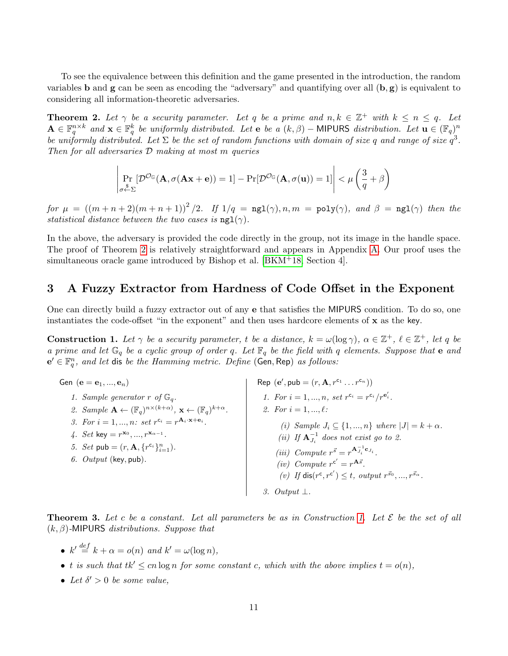To see the equivalence between this definition and the game presented in the introduction, the random variables **b** and **g** can be seen as encoding the "adversary" and quantifying over all  $(b, g)$  is equivalent to considering all information-theoretic adversaries.

<span id="page-10-1"></span>**Theorem 2.** Let  $\gamma$  be a security parameter. Let q be a prime and  $n, k \in \mathbb{Z}^+$  with  $k \leq n \leq q$ . Let  $\mathbf{A} \in \mathbb{F}_q^{n \times k}$  and  $\mathbf{x} \in \mathbb{F}_q^k$  be uniformly distributed. Let  $\mathbf{e}$  be a  $(k, \beta)$  – MIPURS distribution. Let  $\mathbf{u} \in (\mathbb{F}_q)^n$ be uniformly distributed. Let  $\Sigma$  be the set of random functions with domain of size q and range of size  $q^3$ . Then for all adversaries D making at most m queries

$$
\left|\Pr_{\sigma \stackrel{\$}{\leftarrow} \Sigma}[\mathcal{D}^{\mathcal{O}_{\mathbb{G}}}(\mathbf{A}, \sigma(\mathbf{A}\mathbf{x} + \mathbf{e})) = 1] - \Pr[\mathcal{D}^{\mathcal{O}_{\mathbb{G}}}(\mathbf{A}, \sigma(\mathbf{u})) = 1] \right| < \mu \left(\frac{3}{q} + \beta\right)
$$

for  $\mu = ((m+n+2)(m+n+1))^2/2$ . If  $1/q = ng1(\gamma), n, m = poly(\gamma)$ , and  $\beta = ng1(\gamma)$  then the statistical distance between the two cases is  $ngl(\gamma)$ .

In the above, the adversary is provided the code directly in the group, not its image in the handle space. The proof of Theorem [2](#page-10-1) is relatively straightforward and appears in Appendix [A.](#page-34-5) Our proof uses the simultaneous oracle game introduced by Bishop et al.  $[BKM^+18, Section 4]$  $[BKM^+18, Section 4]$ .

## <span id="page-10-0"></span>3 A Fuzzy Extractor from Hardness of Code Offset in the Exponent

One can directly build a fuzzy extractor out of any e that satisfies the MIPURS condition. To do so, one instantiates the code-offset "in the exponent" and then uses hardcore elements of  $x$  as the key.

**Construction 1.** Let  $\gamma$  be a security parameter, t be a distance,  $k = \omega(\log \gamma)$ ,  $\alpha \in \mathbb{Z}^+$ ,  $\ell \in \mathbb{Z}^+$ , let q be a prime and let  $\mathbb{G}_q$  be a cyclic group of order q. Let  $\mathbb{F}_q$  be the field with q elements. Suppose that e and  $e' \in \mathbb{F}_q^n$ , and let dis be the Hamming metric. Define (Gen, Rep) as follows:

Gen  $(\mathbf{e} = \mathbf{e}_1, ..., \mathbf{e}_n)$ 1. Sample generator  $r$  of  $\mathbb{G}_q$ . 2. Sample  $\mathbf{A} \leftarrow (\mathbb{F}_q)^{n \times (k+\alpha)}, \mathbf{x} \leftarrow (\mathbb{F}_q)^{k+\alpha}.$ 3. For  $i = 1, ..., n$ : set  $r^{c_i} = r^{\mathbf{A}_i \cdot \mathbf{x} + \mathbf{e}_i}$ . 4. Set key =  $r^{x_0}, ..., r^{x_{\alpha-1}}$ . 5. Set pub =  $(r, \mathbf{A}, \{r^{c_i}\}_{i=1}^n)$ . 6.  $Output$  (key, pub). Rep  $(e', \text{pub} = (r, \mathbf{A}, r^{c_1} \dots r^{c_n}))$ 1. For  $i = 1, ..., n$ , set  $r^{c_i} = r^{c_i} / r^{e'_i}$ . 2. For  $i = 1, ..., \ell$ : (i) Sample  $J_i \subseteq \{1, ..., n\}$  where  $|J| = k + \alpha$ . (ii) If  $\mathbf{A}_{J_i}^{-1}$  does not exist go to 2. (iii) Compute  $r^{\vec{s}} = r^{\mathbf{A}_{J_i}^{-1} \mathbf{c}_{J_i}}$ . (iv) Compute  $r^{c'} = r^{A\vec{s}}$ . (v) If  $dis(r^c, r^{c'}) \leq t$ , output  $r^{\vec{s}_0}, ..., r^{\vec{s}_\alpha}$ . 3. Output ⊥.

<span id="page-10-2"></span>**Theorem 3.** Let c be a constant. Let all parameters be as in Construction [1.](#page-10-3) Let  $\mathcal{E}$  be the set of all  $(k, \beta)$ -MIPURS distributions. Suppose that

- <span id="page-10-3"></span>•  $k' \stackrel{def}{=} k + \alpha = o(n)$  and  $k' = \omega(\log n)$ ,
- t is such that  $tk' \leq cn \log n$  for some constant c, which with the above implies  $t = o(n)$ ,
- Let  $\delta' > 0$  be some value,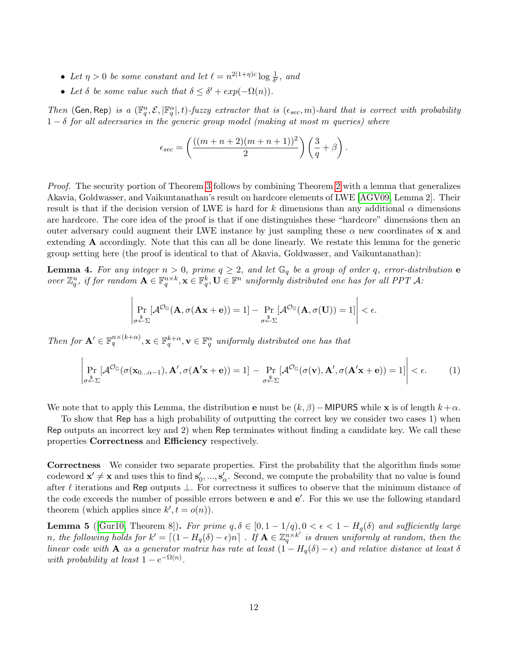- Let  $\eta > 0$  be some constant and let  $\ell = n^{2(1+\eta)c} \log \frac{1}{\delta'}$ , and
- Let  $\delta$  be some value such that  $\delta \leq \delta' + exp(-\Omega(n)).$

Then (Gen, Rep) is a  $(\mathbb{F}_q^n, \mathcal{E}, |\mathbb{F}_q^\alpha|, t)$ -fuzzy extractor that is  $(\epsilon_{sec}, m)$ -hard that is correct with probability  $1 - \delta$  for all adversaries in the generic group model (making at most m queries) where

$$
\epsilon_{sec} = \left(\frac{((m+n+2)(m+n+1))^2}{2}\right)\left(\frac{3}{q} + \beta\right).
$$

Proof. The security portion of Theorem [3](#page-10-2) follows by combining Theorem [2](#page-10-1) with a lemma that generalizes Akavia, Goldwasser, and Vaikuntanathan's result on hardcore elements of LWE [\[AGV09,](#page-31-2) Lemma 2]. Their result is that if the decision version of LWE is hard for k dimensions than any additional  $\alpha$  dimensions are hardcore. The core idea of the proof is that if one distinguishes these "hardcore" dimensions then an outer adversary could augment their LWE instance by just sampling these  $\alpha$  new coordinates of x and extending A accordingly. Note that this can all be done linearly. We restate this lemma for the generic group setting here (the proof is identical to that of Akavia, Goldwasser, and Vaikuntanathan):

**Lemma 4.** For any integer  $n > 0$ , prime  $q \ge 2$ , and let  $\mathbb{G}_q$  be a group of order q, error-distribution **e** over  $\mathbb{Z}_q^n$ , if for random  $\mathbf{A} \in \mathbb{F}_q^{n \times k}$ ,  $\mathbf{x} \in \mathbb{F}_q^k$ ,  $\mathbf{U} \in \mathbb{F}^n$  uniformly distributed one has for all PPT A:

<span id="page-11-0"></span>
$$
\left|\Pr_{\sigma \stackrel{\$}{\leftarrow} \Sigma}[\mathcal{A}^{\mathcal{O}_{\mathbb{G}}}(A, \sigma(A\mathbf{x} + \mathbf{e})) = 1] - \Pr_{\sigma \stackrel{\$}{\leftarrow} \Sigma}[\mathcal{A}^{\mathcal{O}_{\mathbb{G}}}(A, \sigma(\mathbf{U})) = 1]\right| < \epsilon.
$$

Then for  $\mathbf{A}' \in \mathbb{F}_q^{n \times (k+\alpha)}$ ,  $\mathbf{x} \in \mathbb{F}_q^{k+\alpha}$ ,  $\mathbf{v} \in \mathbb{F}_q^{\alpha}$  uniformly distributed one has that

$$
\left| \Pr_{\sigma \stackrel{\$}{\leftarrow} \Sigma} [\mathcal{A}^{\mathcal{O}_{\mathbb{G}}}(\sigma(\mathbf{x}_{0...\alpha-1}), \mathbf{A}', \sigma(\mathbf{A}'\mathbf{x} + \mathbf{e})) = 1] - \Pr_{\sigma \stackrel{\$}{\leftarrow} \Sigma} [\mathcal{A}^{\mathcal{O}_{\mathbb{G}}}(\sigma(\mathbf{v}), \mathbf{A}', \sigma(\mathbf{A}'\mathbf{x} + \mathbf{e})) = 1] \right| < \epsilon.
$$
 (1)

We note that to apply this Lemma, the distribution **e** must be  $(k, \beta)$  – MIPURS while x is of length  $k + \alpha$ .

To show that Rep has a high probability of outputting the correct key we consider two cases 1) when Rep outputs an incorrect key and 2) when Rep terminates without finding a candidate key. We call these properties Correctness and Efficiency respectively.

Correctness We consider two separate properties. First the probability that the algorithm finds some codeword  $\mathbf{x}' \neq \mathbf{x}$  and uses this to find  $\mathbf{s}'_0, ..., \mathbf{s}'_\alpha$ . Second, we compute the probability that no value is found after  $\ell$  iterations and Rep outputs  $\bot$ . For correctness it suffices to observe that the minimum distance of the code exceeds the number of possible errors between **e** and **e'**. For this we use the following standard theorem (which applies since  $k', t = o(n)$ ).

<span id="page-11-1"></span>**Lemma 5** ([\[Gur10,](#page-33-10) Theorem 8]). For prime  $q, \delta \in [0, 1 - 1/q)$ ,  $0 < \epsilon < 1 - H_q(\delta)$  and sufficiently large n, the following holds for  $k' = \lfloor (1 - H_q(\delta) - \epsilon)n \rfloor$ . If  $\mathbf{A} \in \mathbb{Z}_q^{n \times k'}$  is drawn uniformly at random, then the linear code with A as a generator matrix has rate at least  $(1 - H_q(\delta) - \epsilon)$  and relative distance at least  $\delta$ with probability at least  $1 - e^{-\Omega(n)}$ .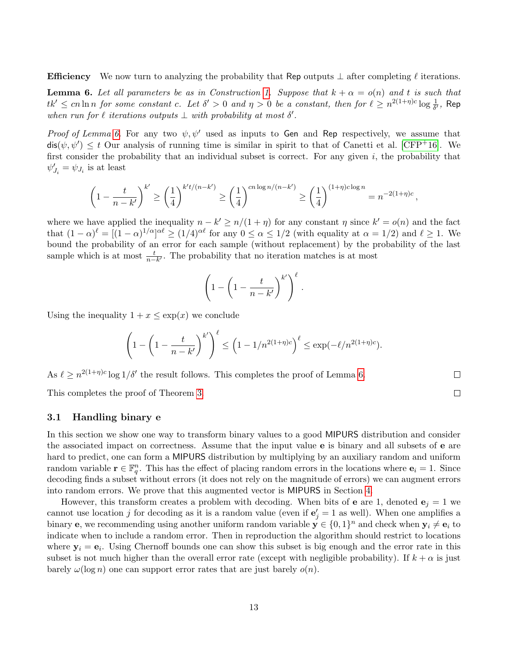**Efficiency** We now turn to analyzing the probability that Rep outputs  $\perp$  after completing  $\ell$  iterations.

<span id="page-12-1"></span>**Lemma 6.** Let all parameters be as in Construction [1.](#page-10-3) Suppose that  $k + \alpha = o(n)$  and t is such that  $tk'\leq cn\ln n$  for some constant c. Let  $\delta'>0$  and  $\eta>0$  be a constant, then for  $\ell\geq n^{2(1+\eta)c}\log\frac{1}{\delta'}$ , Rep when run for  $\ell$  iterations outputs  $\bot$  with probability at most  $\delta'$ .

Proof of Lemma [6.](#page-12-1) For any two  $\psi, \psi'$  used as inputs to Gen and Rep respectively, we assume that  $\textsf{dis}(\psi, \psi') \leq t$  Our analysis of running time is similar in spirit to that of Canetti et al. [\[CFP](#page-32-1)+16]. We first consider the probability that an individual subset is correct. For any given  $i$ , the probability that  $\psi'_{J_i} = \psi_{J_i}$  is at least

$$
\left(1 - \frac{t}{n - k'}\right)^{k'} \ge \left(\frac{1}{4}\right)^{k' t/(n - k')} \ge \left(\frac{1}{4}\right)^{cn \log n/(n - k')} \ge \left(\frac{1}{4}\right)^{(1 + \eta)c \log n} = n^{-2(1 + \eta)c},
$$

where we have applied the inequality  $n - k' \geq n/(1 + \eta)$  for any constant  $\eta$  since  $k' = o(n)$  and the fact that  $(1-\alpha)^{\ell} = [(1-\alpha)^{1/\alpha}]^{\alpha\ell} \ge (1/4)^{\alpha\ell}$  for any  $0 \le \alpha \le 1/2$  (with equality at  $\alpha = 1/2$ ) and  $\ell \ge 1$ . We bound the probability of an error for each sample (without replacement) by the probability of the last sample which is at most  $\frac{t}{n-k'}$ . The probability that no iteration matches is at most

$$
\left(1 - \left(1 - \frac{t}{n - k'}\right)^{k'}\right)^{\ell}
$$

.

Using the inequality  $1 + x \leq \exp(x)$  we conclude

$$
\left(1 - \left(1 - \frac{t}{n - k'}\right)^{k'}\right)^{\ell} \le \left(1 - 1/n^{2(1+\eta)c}\right)^{\ell} \le \exp(-\ell/n^{2(1+\eta)c}).
$$

As  $\ell \geq n^{2(1+\eta)c} \log 1/\delta'$  the result follows. This completes the proof of Lemma [6.](#page-12-1)

This completes the proof of Theorem [3.](#page-10-2)

#### <span id="page-12-0"></span>3.1 Handling binary e

In this section we show one way to transform binary values to a good MIPURS distribution and consider the associated impact on correctness. Assume that the input value e is binary and all subsets of e are hard to predict, one can form a MIPURS distribution by multiplying by an auxiliary random and uniform random variable  $\mathbf{r} \in \mathbb{F}_q^n$ . This has the effect of placing random errors in the locations where  $\mathbf{e}_i = 1$ . Since decoding finds a subset without errors (it does not rely on the magnitude of errors) we can augment errors into random errors. We prove that this augmented vector is MIPURS in Section [4.](#page-19-0)

However, this transform creates a problem with decoding. When bits of **e** are 1, denoted  $\mathbf{e}_j = 1$  we cannot use location j for decoding as it is a random value (even if  $\mathbf{e}'_j = 1$  as well). When one amplifies a binary **e**, we recommending using another uniform random variable  $\mathbf{y} \in \{0,1\}^n$  and check when  $\mathbf{y}_i \neq \mathbf{e}_i$  to indicate when to include a random error. Then in reproduction the algorithm should restrict to locations where  $y_i = e_i$ . Using Chernoff bounds one can show this subset is big enough and the error rate in this subset is not much higher than the overall error rate (except with negligible probability). If  $k + \alpha$  is just barely  $\omega(\log n)$  one can support error rates that are just barely  $o(n)$ .

 $\Box$  $\Box$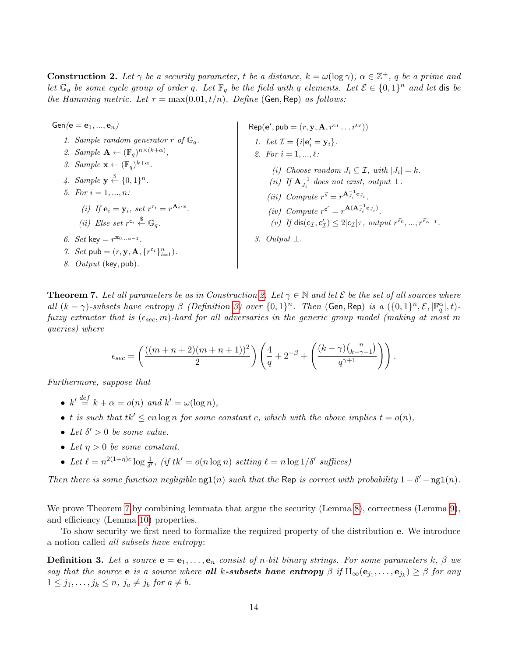**Construction 2.** Let  $\gamma$  be a security parameter, t be a distance,  $k = \omega(\log \gamma)$ ,  $\alpha \in \mathbb{Z}^+$ , q be a prime and let  $\mathbb{G}_q$  be some cycle group of order q. Let  $\mathbb{F}_q$  be the field with q elements. Let  $\mathcal{E} \in \{0,1\}^n$  and let dis be the Hamming metric. Let  $\tau = \max(0.01, t/n)$ . Define (Gen, Rep) as follows:

 $Gen(e = e_1, ..., e_n)$ 1. Sample random generator r of  $\mathbb{G}_q$ . 2. Sample  $\mathbf{A} \leftarrow (\mathbb{F}_q)^{n \times (k+\alpha)}$ , 3. Sample  $\mathbf{x} \leftarrow (\mathbb{F}_q)^{k+\alpha}$ . 4. Sample  $\mathbf{y} \stackrel{\$}{\leftarrow} \{0,1\}^n$ . 5. For  $i = 1, ..., n$ : (i) If  $\mathbf{e}_i = \mathbf{y}_i$ , set  $r^{c_i} = r^{\mathbf{A}_i \cdot x}$ . (ii) Else set  $r^{c_i} \overset{\$}{\leftarrow} \mathbb{G}_q$ . 6. Set key =  $r^{\mathbf{x}_{0...a-1}}$ . 7. Set pub =  $(r, y, A, \{r^{c_i}\}_{i=1}^n)$ . 8. Output (key, pub).

 $\mathsf{Rep}(\mathbf{e}', \mathsf{pub} = (r, \mathbf{y}, \mathbf{A}, r^{c_1} \dots r^{c_\ell}))$ 1. Let  $\mathcal{I} = \{i | \mathbf{e}'_i = \mathbf{y}_i\}.$ 2. For  $i = 1, ..., \ell$ : (i) Choose random  $J_i \subseteq \mathcal{I}$ , with  $|J_i| = k$ .

- (ii) If  $\mathbf{A}_{J_i}^{-1}$  does not exist, output  $\bot$ .
- (iii) Compute  $r^{\vec{s}} = r^{\mathbf{A}_{J_i}^{-1} \mathbf{c}_{J_i}}$ .
- (iv) Compute  $r^{c'} = r^{A(A_{J_i}^{-1} \mathbf{c}_{J_i})}$ .
- (*v*) If  $\text{dis}(c_{\mathcal{I}}, c_{\mathcal{I}}') \leq 2 |c_{\mathcal{I}}|\tau$ , output  $r^{\vec{s}_0}, ..., r^{\vec{s}_{\alpha-1}}$ .

<span id="page-13-0"></span>3. Output  $\perp$ .

<span id="page-13-2"></span>**Theorem 7.** Let all parameters be as in Construction [2.](#page-13-0) Let  $\gamma \in \mathbb{N}$  and let  $\mathcal{E}$  be the set of all sources where all  $(k - \gamma)$ -subsets have entropy  $\beta$  (Definition [3\)](#page-13-1) over  $\{0,1\}^n$ . Then (Gen, Rep) is a  $(\{0,1\}^n, \mathcal{E}, |\mathbb{F}_q^{\alpha}|, t)$ fuzzy extractor that is  $(\epsilon_{sec}, m)$ -hard for all adversaries in the generic group model (making at most m queries) where

$$
\epsilon_{sec}=\left(\frac{((m+n+2)(m+n+1))^2}{2}\right)\left(\frac{4}{q}+2^{-\beta}+\left(\frac{(k-\gamma)\binom{n}{k-\gamma-1}}{q^{\gamma+1}}\right)\right).
$$

Furthermore, suppose that

- $k' \stackrel{def}{=} k + \alpha = o(n)$  and  $k' = \omega(\log n)$ ,
- t is such that  $tk' \leq cn \log n$  for some constant c, which with the above implies  $t = o(n)$ ,
- Let  $\delta' > 0$  be some value.
- Let  $\eta > 0$  be some constant.
- Let  $\ell = n^{2(1+\eta)c} \log \frac{1}{\delta'}$ , (if tk' = o(n log n) setting  $\ell = n \log 1/\delta'$  suffices)

Then there is some function negligible  $ng1(n)$  such that the Rep is correct with probability  $1 - \delta' - ng1(n)$ .

We prove Theorem [7](#page-13-2) by combining lemmata that argue the security (Lemma [8\)](#page-14-0), correctness (Lemma [9\)](#page-14-1), and efficiency (Lemma [10\)](#page-15-0) properties.

To show security we first need to formalize the required property of the distribution e. We introduce a notion called all subsets have entropy:

<span id="page-13-1"></span>**Definition 3.** Let a source  $\mathbf{e} = \mathbf{e}_1, \ldots, \mathbf{e}_n$  consist of n-bit binary strings. For some parameters k,  $\beta$  we say that the source **e** is a source where **all k-subsets have entropy**  $\beta$  if  $H_{\infty}(\mathbf{e}_{j_1}, \ldots, \mathbf{e}_{j_k}) \geq \beta$  for any  $1 \leq j_1, \ldots, j_k \leq n, j_a \neq j_b$  for  $a \neq b$ .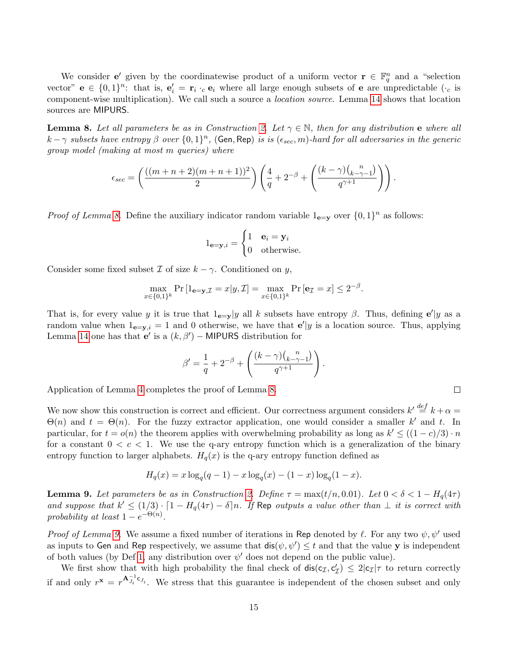We consider **e**' given by the coordinatewise product of a uniform vector  $\mathbf{r} \in \mathbb{F}_q^n$  and a "selection" vector"  $e \in \{0,1\}^n$ : that is,  $e'_i = r_i \cdot_c e_i$  where all large enough subsets of e are unpredictable  $(\cdot_c$  is component-wise multiplication). We call such a source a *location source*. Lemma [14](#page-20-1) shows that location sources are MIPURS.

<span id="page-14-0"></span>**Lemma 8.** Let all parameters be as in Construction [2.](#page-13-0) Let  $\gamma \in \mathbb{N}$ , then for any distribution e where all  $k-\gamma$  subsets have entropy  $\beta$  over  $\{0,1\}^n$ , (Gen, Rep) is is  $(\epsilon_{sec}, m)$ -hard for all adversaries in the generic group model (making at most m queries) where

$$
\epsilon_{sec} = \left(\frac{((m+n+2)(m+n+1))^2}{2}\right) \left(\frac{4}{q} + 2^{-\beta} + \left(\frac{(k-\gamma)\binom{n}{k-\gamma-1}}{q^{\gamma+1}}\right)\right).
$$

*Proof of Lemma [8.](#page-14-0)* Define the auxiliary indicator random variable  $1_{e=y}$  over  $\{0,1\}^n$  as follows:

$$
1_{\mathbf{e}=\mathbf{y},i} = \begin{cases} 1 & \mathbf{e}_i = \mathbf{y}_i \\ 0 & \text{otherwise.} \end{cases}
$$

Consider some fixed subset  $\mathcal I$  of size  $k - \gamma$ . Conditioned on y,

$$
\max_{x \in \{0,1\}^k} \Pr\left[1_{\mathbf{e}=\mathbf{y},\mathcal{I}} = x | y,\mathcal{I}\right] = \max_{x \in \{0,1\}^k} \Pr\left[\mathbf{e}_{\mathcal{I}} = x\right] \le 2^{-\beta}.
$$

That is, for every value y it is true that  $1_{e=y}|y|$  all k subsets have entropy  $\beta$ . Thus, defining  $e'|y$  as a random value when  $1_{e=y,i} = 1$  and 0 otherwise, we have that  $e'|y$  is a location source. Thus, applying Lemma [14](#page-20-1) one has that  $e'$  is a  $(k, \beta')$  – MIPURS distribution for

$$
\beta' = \frac{1}{q} + 2^{-\beta} + \left( \frac{(k-\gamma)\binom{n}{k-\gamma-1}}{q^{\gamma+1}} \right).
$$

Application of Lemma [4](#page-11-0) completes the proof of Lemma [8.](#page-14-0)

We now show this construction is correct and efficient. Our correctness argument considers  $k' \stackrel{def}{=} k + \alpha =$  $\Theta(n)$  and  $t = \Theta(n)$ . For the fuzzy extractor application, one would consider a smaller k' and t. In particular, for  $t = o(n)$  the theorem applies with overwhelming probability as long as  $k' \leq ((1 - c)/3) \cdot n$ for a constant  $0 < c < 1$ . We use the q-ary entropy function which is a generalization of the binary entropy function to larger alphabets.  $H_q(x)$  is the q-ary entropy function defined as

$$
H_q(x) = x \log_q(q-1) - x \log_q(x) - (1-x) \log_q(1-x).
$$

<span id="page-14-1"></span>**Lemma 9.** Let parameters be as in Construction [2.](#page-13-0) Define  $\tau = \max(t/n, 0.01)$ . Let  $0 < \delta < 1 - H_q(4\tau)$ and suppose that  $k' \leq (1/3) \cdot [1 - H_q(4\tau) - \delta]n$ . If Rep outputs a value other than  $\perp$  it is correct with probability at least  $1-e^{-\Theta(n)}$ .

*Proof of Lemma [9.](#page-14-1)* We assume a fixed number of iterations in Rep denoted by  $\ell$ . For any two  $\psi, \psi'$  used as inputs to Gen and Rep respectively, we assume that  $dis(\psi, \psi') \leq t$  and that the value y is independent of both values (by Def [1,](#page-9-0) any distribution over  $\psi'$  does not depend on the public value).

We first show that with high probability the final check of  $dis(c_{\mathcal{I}}, c'_{\mathcal{I}}) \leq 2|c_{\mathcal{I}}|\tau$  to return correctly if and only  $r^{\mathbf{x}} = r^{\mathbf{A}_{J_i}^{-1} \mathbf{c}_{J_i}}$ . We stress that this guarantee is independent of the chosen subset and only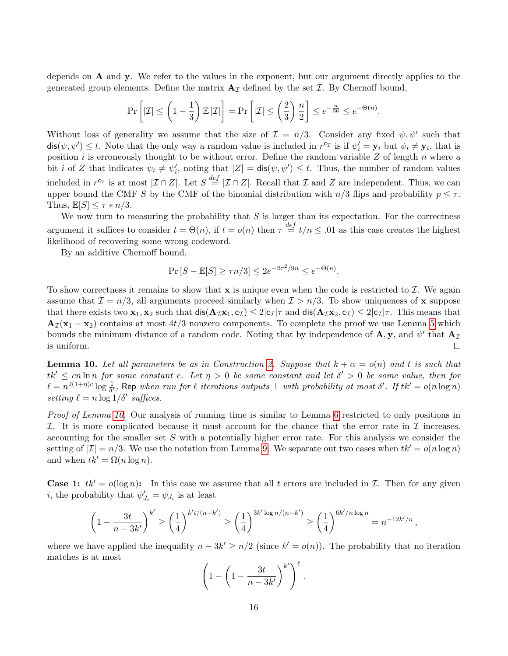depends on A and y. We refer to the values in the exponent, but our argument directly applies to the generated group elements. Define the matrix  $\mathbf{A}_{\mathcal{I}}$  defined by the set  $\mathcal{I}$ . By Chernoff bound,

$$
\Pr\left[|\mathcal{I}| \le \left(1 - \frac{1}{3}\right) \mathbb{E}|\mathcal{I}|\right] = \Pr\left[|\mathcal{I}| \le \left(\frac{2}{3}\right) \frac{n}{2}\right] \le e^{-\frac{n}{36}} \le e^{-\Theta(n)}.
$$

Without loss of generality we assume that the size of  $\mathcal{I} = n/3$ . Consider any fixed  $\psi, \psi'$  such that  $dis(\psi, \psi') \leq t$ . Note that the only way a random value is included in  $r^{c_{\mathcal{I}}}$  is if  $\psi'_i = \mathbf{y}_i$  but  $\psi_i \neq \mathbf{y}_i$ , that is position i is erroneously thought to be without error. Define the random variable  $Z$  of length  $n$  where a bit i of Z that indicates  $\psi_i \neq \psi'_i$ , noting that  $|Z| = \text{dis}(\psi, \psi') \leq t$ . Thus, the number of random values included in  $r^{c_{\mathcal{I}}}$  is at most  $|\mathcal{I} \cap Z|$ . Let  $S \stackrel{def}{=} |\mathcal{I} \cap Z|$ . Recall that  $\mathcal{I}$  and  $Z$  are independent. Thus, we can upper bound the CMF S by the CMF of the binomial distribution with  $n/3$  flips and probability  $p \leq \tau$ . Thus,  $\mathbb{E}[S] \leq \tau * n/3$ .

We now turn to measuring the probability that  $S$  is larger than its expectation. For the correctness argument it suffices to consider  $t = \Theta(n)$ , if  $t = o(n)$  then  $\tau \stackrel{def}{=} t/n \leq .01$  as this case creates the highest likelihood of recovering some wrong codeword.

By an additive Chernoff bound,

$$
\Pr\left[S - \mathbb{E}[S] \ge \tau n/3\right] \le 2e^{-2\tau^2/9n} \le e^{-\Theta(n)}.
$$

To show correctness it remains to show that  $x$  is unique even when the code is restricted to  $\mathcal{I}$ . We again assume that  $\mathcal{I} = n/3$ , all arguments proceed similarly when  $\mathcal{I} > n/3$ . To show uniqueness of x suppose that there exists two  $x_1, x_2$  such that  $dis(A_{\mathcal{I}}x_1, c_{\mathcal{I}}) \leq 2|c_{\mathcal{I}}|\tau$  and  $dis(A_{\mathcal{I}}x_2, c_{\mathcal{I}}) \leq 2|c_{\mathcal{I}}|\tau$ . This means that  $A_{\mathcal{I}}(x_1 - x_2)$  contains at most 4t/3 nonzero components. To complete the proof we use Lemma [5](#page-11-1) which bounds the minimum distance of a random code. Noting that by independence of  $\mathbf{A}, \mathbf{y}$ , and  $\psi'$  that  $\mathbf{A}_{\mathcal{I}}$ is uniform.  $\Box$ 

<span id="page-15-0"></span>**Lemma 10.** Let all parameters be as in Construction [2.](#page-13-0) Suppose that  $k + \alpha = o(n)$  and t is such that  $tk' \leq cn \ln n$  for some constant c. Let  $\eta > 0$  be some constant and let  $\delta' > 0$  be some value, then for  $\ell = n^{2(1+\eta)c}\log\frac{1}{\delta'}$ , Rep when run for  $\ell$  iterations outputs  $\bot$  with probability at most  $\delta'$ . If tk' =  $o(n\log n)$ setting  $\ell = n \log 1/\delta'$  suffices.

Proof of Lemma [10.](#page-15-0) Our analysis of running time is similar to Lemma [6](#page-12-1) restricted to only positions in I. It is more complicated because it must account for the chance that the error rate in  $\mathcal I$  increases. accounting for the smaller set  $S$  with a potentially higher error rate. For this analysis we consider the setting of  $|\mathcal{I}| = n/3$ . We use the notation from Lemma [9.](#page-14-1) We separate out two cases when  $tk' = o(n \log n)$ and when  $tk' = \Omega(n \log n)$ .

**Case 1:**  $tk' = o(\log n)$ : In this case we assume that all t errors are included in I. Then for any given *i*, the probability that  $\psi'_{J_i} = \psi_{J_i}$  is at least

$$
\left(1 - \frac{3t}{n-3k'}\right)^{k'} \ge \left(\frac{1}{4}\right)^{k't/(n-k')} \ge \left(\frac{1}{4}\right)^{3k'\log n/(n-k')} \ge \left(\frac{1}{4}\right)^{6k'/n\log n} = n^{-12k'/n},
$$

where we have applied the inequality  $n - 3k' \geq n/2$  (since  $k' = o(n)$ ). The probability that no iteration matches is at most

$$
\left(1-\left(1-\frac{3t}{n-3k'}\right)^{k'}\right)^{\ell}.
$$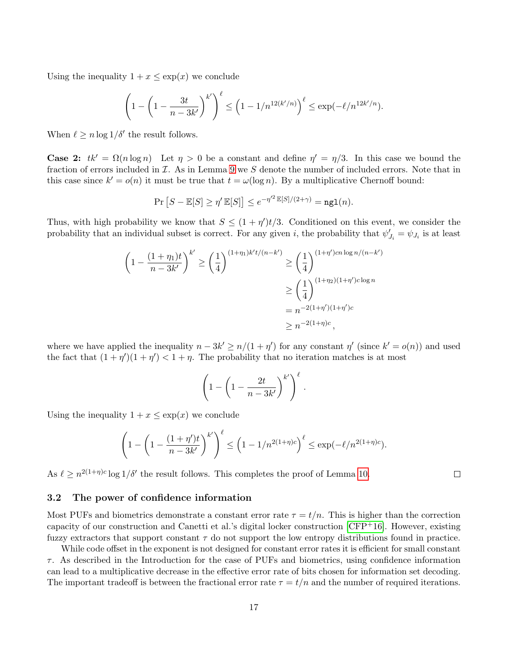Using the inequality  $1 + x \leq \exp(x)$  we conclude

$$
\left(1 - \left(1 - \frac{3t}{n - 3k'}\right)^{k'}\right)^{\ell} \le \left(1 - 1/n^{12(k'/n)}\right)^{\ell} \le \exp(-\ell/n^{12k'/n}).
$$

When  $\ell \geq n \log 1/\delta'$  the result follows.

**Case 2:**  $tk' = \Omega(n \log n)$  Let  $\eta > 0$  be a constant and define  $\eta' = \eta/3$ . In this case we bound the fraction of errors included in  $\mathcal I$ . As in Lemma [9](#page-14-1) we S denote the number of included errors. Note that in this case since  $k' = o(n)$  it must be true that  $t = \omega(\log n)$ . By a multiplicative Chernoff bound:

$$
\Pr\left[S - \mathbb{E}[S] \ge \eta' \mathbb{E}[S]\right] \le e^{-\eta'^2 \mathbb{E}[S]/(2+\gamma)} = \texttt{ngl}(n).
$$

Thus, with high probability we know that  $S \leq (1 + \eta')t/3$ . Conditioned on this event, we consider the probability that an individual subset is correct. For any given i, the probability that  $\psi'_{J_i} = \psi_{J_i}$  is at least

$$
\left(1 - \frac{(1+\eta_1)t}{n-3k'}\right)^{k'} \ge \left(\frac{1}{4}\right)^{(1+\eta_1)k't/(n-k')} \ge \left(\frac{1}{4}\right)^{(1+\eta')cn\log n/(n-k')} \ge \left(\frac{1}{4}\right)^{(1+\eta_2)(1+\eta')c\log n} \ge \left(\frac{1}{4}\right)^{(1+\eta_2)(1+\eta')c\log n} \ge n^{-2(1+\eta')(1+\eta')c} \ge n^{-2(1+\eta)c},
$$

where we have applied the inequality  $n - 3k' \ge n/(1 + \eta')$  for any constant  $\eta'$  (since  $k' = o(n)$ ) and used the fact that  $(1 + \eta')(1 + \eta') < 1 + \eta$ . The probability that no iteration matches is at most

$$
\left(1 - \left(1 - \frac{2t}{n - 3k'}\right)^{k'}\right)^{\ell}
$$

.

 $\Box$ 

Using the inequality  $1 + x \leq \exp(x)$  we conclude

$$
\left(1 - \left(1 - \frac{(1+\eta')t}{n-3k'}\right)^{k'}\right)^{\ell} \le \left(1 - 1/n^{2(1+\eta)c}\right)^{\ell} \le \exp(-\ell/n^{2(1+\eta)c}).
$$

As  $\ell \geq n^{2(1+\eta)c} \log 1/\delta'$  the result follows. This completes the proof of Lemma [10.](#page-15-0)

#### <span id="page-16-0"></span>3.2 The power of confidence information

Most PUFs and biometrics demonstrate a constant error rate  $\tau = t/n$ . This is higher than the correction capacity of our construction and Canetti et al.'s digital locker construction  $[CFP<sup>+</sup>16]$  $[CFP<sup>+</sup>16]$ . However, existing fuzzy extractors that support constant  $\tau$  do not support the low entropy distributions found in practice.

While code offset in the exponent is not designed for constant error rates it is efficient for small constant  $\tau$ . As described in the Introduction for the case of PUFs and biometrics, using confidence information can lead to a multiplicative decrease in the effective error rate of bits chosen for information set decoding. The important tradeoff is between the fractional error rate  $\tau = t/n$  and the number of required iterations.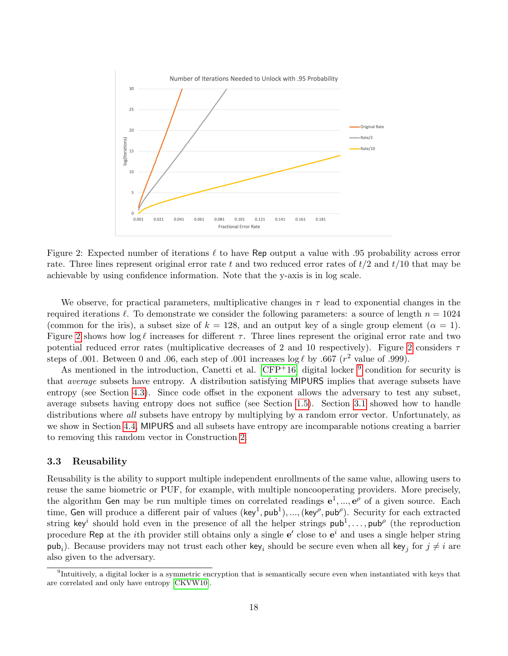

<span id="page-17-1"></span>Figure 2: Expected number of iterations  $\ell$  to have Rep output a value with .95 probability across error rate. Three lines represent original error rate t and two reduced error rates of  $t/2$  and  $t/10$  that may be achievable by using confidence information. Note that the y-axis is in log scale.

We observe, for practical parameters, multiplicative changes in  $\tau$  lead to exponential changes in the required iterations  $\ell$ . To demonstrate we consider the following parameters: a source of length  $n = 1024$ (common for the iris), a subset size of  $k = 128$ , and an output key of a single group element  $(\alpha = 1)$ . Figure [2](#page-17-1) shows how  $\log \ell$  increases for different  $\tau$ . Three lines represent the original error rate and two potential reduced error rates (multiplicative decreases of [2](#page-17-1) and 10 respectively). Figure 2 considers  $\tau$ steps of .001. Between 0 and .06, each step of .001 increases  $\log \ell$  by .667 ( $r^2$  value of .999).

As mentioned in the introduction, Canetti et al.  $[CFP<sup>+</sup>16]$  $[CFP<sup>+</sup>16]$  digital locker  $9$  condition for security is that average subsets have entropy. A distribution satisfying MIPURS implies that average subsets have entropy (see Section [4.3\)](#page-21-2). Since code offset in the exponent allows the adversary to test any subset, average subsets having entropy does not suffice (see Section [1.5\)](#page-6-1). Section [3.1](#page-12-0) showed how to handle distributions where all subsets have entropy by multiplying by a random error vector. Unfortunately, as we show in Section [4.4,](#page-23-2) MIPURS and all subsets have entropy are incomparable notions creating a barrier to removing this random vector in Construction [2.](#page-13-0)

### <span id="page-17-0"></span>3.3 Reusability

Reusability is the ability to support multiple independent enrollments of the same value, allowing users to reuse the same biometric or PUF, for example, with multiple noncooperating providers. More precisely, the algorithm Gen may be run multiple times on correlated readings  $e^1, ..., e^{\rho}$  of a given source. Each time, Gen will produce a different pair of values  $(\text{key}^1, \text{pub}^1), ..., (\text{key}^\rho, \text{pub}^\rho)$ . Security for each extracted string key<sup>i</sup> should hold even in the presence of all the helper strings  ${\sf pub}^1,\ldots,{\sf pub}^{\rho}$  (the reproduction procedure Rep at the *i*th provider still obtains only a single  $e'$  close to  $e^i$  and uses a single helper string pub<sub>i</sub>). Because providers may not trust each other key<sub>i</sub> should be secure even when all key<sub>j</sub> for  $j \neq i$  are also given to the adversary.

<span id="page-17-2"></span><sup>&</sup>lt;sup>9</sup>Intuitively, a digital locker is a symmetric encryption that is semantically secure even when instantiated with keys that are correlated and only have entropy [\[CKVW10\]](#page-32-12).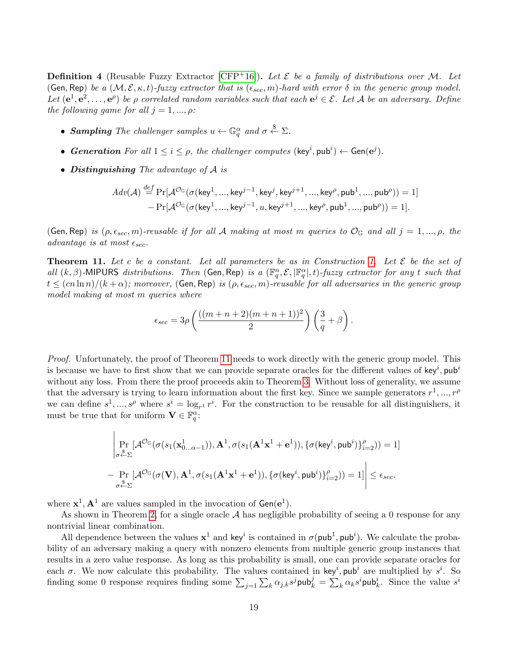**Definition 4** (Reusable Fuzzy Extractor [\[CFP](#page-32-1)<sup>+</sup>16]). Let  $\mathcal E$  be a family of distributions over M. Let (Gen, Rep) be a  $(M, \mathcal{E}, \kappa, t)$ -fuzzy extractor that is  $(\epsilon_{sec}, m)$ -hard with error  $\delta$  in the generic group model. Let  $(e^1, e^2, \ldots, e^{\rho})$  be  $\rho$  correlated random variables such that each  $e^j \in \mathcal{E}$ . Let A be an adversary. Define the following game for all  $j = 1, ..., \rho$ :

- Sampling The challenger samples  $u \leftarrow \mathbb{G}_q^{\alpha}$  and  $\sigma \stackrel{\$}{\leftarrow} \Sigma$ .
- Generation For all  $1 \leq i \leq \rho$ , the challenger computes  $(\text{key}^i, \text{pub}^i) \leftarrow \text{Gen}(\text{e}^j)$ .
- Distinguishing The advantage of A is

$$
Adv(\mathcal{A}) \stackrel{def}{=} \Pr[\mathcal{A}^{\mathcal{O}_{\mathbb{G}}}(\sigma(\mathsf{key}^1,...,\mathsf{key}^{j-1},\mathsf{key}^j,\mathsf{key}^{j+1},...,\mathsf{key}^{\rho},\mathsf{pub}^1,...,\mathsf{pub}^{\rho})) = 1] \\ - \Pr[\mathcal{A}^{\mathcal{O}_{\mathbb{G}}}(\sigma(\mathsf{key}^1,...,\mathsf{key}^{j-1},u,\mathsf{key}^{j+1},...,\mathsf{key}^{\rho},\mathsf{pub}^1,...,\mathsf{pub}^{\rho})) = 1].
$$

(Gen, Rep) is  $(\rho, \epsilon_{sec}, m)$ -reusable if for all A making at most m queries to  $\mathcal{O}_{\mathbb{G}}$  and all  $j = 1, ..., \rho$ , the advantage is at most  $\epsilon_{sec}$ .

<span id="page-18-0"></span>**Theorem 11.** Let c be a constant. Let all parameters be as in Construction [1.](#page-10-3) Let  $\mathcal{E}$  be the set of all  $(k, \beta)$ -MIPURS distributions. Then (Gen, Rep) is a  $(\mathbb{F}_q^n, \mathcal{E}, |\mathbb{F}_q^\alpha|, t)$ -fuzzy extractor for any t such that  $t \leq (cn \ln n)/(k + \alpha)$ ; moreover, (Gen, Rep) is  $(\rho, \epsilon_{sec}, m)$ -reusable for all adversaries in the generic group model making at most m queries where

$$
\epsilon_{sec} = 3\rho \left( \frac{((m+n+2)(m+n+1))^2}{2} \right) \left( \frac{3}{q} + \beta \right).
$$

Proof. Unfortunately, the proof of Theorem [11](#page-18-0) needs to work directly with the generic group model. This is because we have to first show that we can provide separate oracles for the different values of key<sup>i</sup>, pub<sup>i</sup> without any loss. From there the proof proceeds akin to Theorem [3.](#page-10-2) Without loss of generality, we assume that the adversary is trying to learn information about the first key. Since we sample generators  $r^1, ..., r^{\rho}$ we can define  $s^1, ..., s^{\rho}$  where  $s^i = \log_{r^1} r^i$ . For the construction to be reusable for all distinguishers, it must be true that for uniform  $\mathbf{V} \in \mathbb{F}_q^{\alpha}$ :

$$
\left|\Pr_{\substack{\sigma^{\frac{s}{\kappa}}\Sigma}}[\mathcal{A}^{\mathcal{O}_{\mathbb{G}}}(\sigma(s_1(\mathbf{x}^1_{0\ldots\alpha-1})),\mathbf{A}^1,\sigma(s_1(\mathbf{A}^1\mathbf{x}^1+\mathbf{e}^1)),\{\sigma(\mathsf{key}^i,\mathsf{pub}^i)\}_{i=2}^{\rho}))=1\right|\\-\Pr_{\substack{\sigma^{\frac{s}{\kappa}}\Sigma}}[\mathcal{A}^{\mathcal{O}_{\mathbb{G}}}(\sigma(\mathbf{V}),\mathbf{A}^1,\sigma(s_1(\mathbf{A}^1\mathbf{x}^1+\mathbf{e}^1)),\{\sigma(\mathsf{key}^i,\mathsf{pub}^i)\}_{i=2}^{\rho}))=1]\right|\leq \epsilon_{sec}.
$$

where  $\mathbf{x}^1, \mathbf{A}^1$  are values sampled in the invocation of  $Gen(e^1)$ .

As shown in Theorem [2,](#page-10-1) for a single oracle  $A$  has negligible probability of seeing a 0 response for any nontrivial linear combination.

All dependence between the values  $x^1$  and key<sup>i</sup> is contained in  $\sigma(pub^1, pub^i)$ . We calculate the probability of an adversary making a query with nonzero elements from multiple generic group instances that results in a zero value response. As long as this probability is small, one can provide separate oracles for each  $\sigma$ . We now calculate this probability. The values contained in key<sup>i</sup>, pub<sup>i</sup> are multiplied by  $s^i$ . So finding some 0 response requires finding some  $\sum_{j=1} \sum_k \alpha_{j,k} s^j$  pub $_k^j = \sum_k \alpha_k s^i$  pub $_k^i$ . Since the value  $s^i$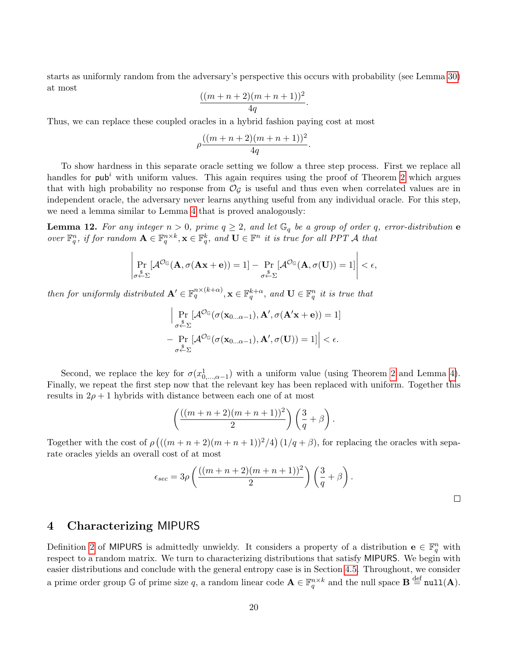starts as uniformly random from the adversary's perspective this occurs with probability (see Lemma [30\)](#page-36-0) at most

$$
\frac{((m+n+2)(m+n+1))^{2}}{4q}.
$$

Thus, we can replace these coupled oracles in a hybrid fashion paying cost at most

$$
\rho \frac{((m+n+2)(m+n+1))^2}{4q}
$$

.

To show hardness in this separate oracle setting we follow a three step process. First we replace all handles for  $\mathsf{pub}^i$  with uniform values. This again requires using the proof of Theorem [2](#page-10-1) which argues that with high probability no response from  $\mathcal{O}_G$  is useful and thus even when correlated values are in independent oracle, the adversary never learns anything useful from any individual oracle. For this step, we need a lemma similar to Lemma [4](#page-11-0) that is proved analogously:

**Lemma 12.** For any integer  $n > 0$ , prime  $q \geq 2$ , and let  $\mathbb{G}_q$  be a group of order q, error-distribution **e** over  $\mathbb{F}_q^n$ , if for random  $\mathbf{A} \in \mathbb{F}_q^{n \times k}$ ,  $\mathbf{x} \in \mathbb{F}_q^k$ , and  $\mathbf{U} \in \mathbb{F}^n$  it is true for all PPT A that

$$
\left|\Pr_{\sigma \stackrel{\$}{\leftarrow} \Sigma}[\mathcal{A}^{\mathcal{O}_{\mathbb{G}}}(\mathbf{A}, \sigma(\mathbf{A}\mathbf{x} + \mathbf{e})) = 1] - \Pr_{\sigma \stackrel{\$}{\leftarrow} \Sigma}[\mathcal{A}^{\mathcal{O}_{\mathbb{G}}}(\mathbf{A}, \sigma(\mathbf{U})) = 1]\right| < \epsilon,
$$

then for uniformly distributed  $\mathbf{A}' \in \mathbb{F}_q^{n \times (k+\alpha)}$ ,  $\mathbf{x} \in \mathbb{F}_q^{k+\alpha}$ , and  $\mathbf{U} \in \mathbb{F}_q^n$  it is true that

$$
\left| \Pr_{\sigma \stackrel{\mathbf{v}}{\leftarrow} \Sigma} [\mathcal{A}^{\mathcal{O}_{\mathbb{G}}}(\sigma(\mathbf{x}_{0...\alpha-1}), \mathbf{A}', \sigma(\mathbf{A}'\mathbf{x} + \mathbf{e})) = 1] \right|
$$
  
-  $\Pr_{\sigma \stackrel{\mathbf{v}}{\leftarrow} \Sigma} [\mathcal{A}^{\mathcal{O}_{\mathbb{G}}}(\sigma(\mathbf{x}_{0...\alpha-1}), \mathbf{A}', \sigma(\mathbf{U})) = 1] \right| < \epsilon.$ 

Second, we replace the key for  $\sigma(x_{0,\dots,\alpha-1}^1)$  with a uniform value (using Theorem [2](#page-10-1) and Lemma [4\)](#page-11-0). Finally, we repeat the first step now that the relevant key has been replaced with uniform. Together this results in  $2\rho + 1$  hybrids with distance between each one of at most

$$
\left(\frac{((m+n+2)(m+n+1))^2}{2}\right)\left(\frac{3}{q}+\beta\right).
$$

Together with the cost of  $\rho$   $((m+n+2)(m+n+1))^2/4$   $(1/q+\beta)$ , for replacing the oracles with separate oracles yields an overall cost of at most

$$
\epsilon_{sec} = 3\rho \left( \frac{((m+n+2)(m+n+1))^2}{2} \right) \left( \frac{3}{q} + \beta \right).
$$

### <span id="page-19-0"></span>4 Characterizing MIPURS

Definition [2](#page-9-1) of MIPURS is admittedly unwieldy. It considers a property of a distribution  $e \in \mathbb{F}_q^n$  with respect to a random matrix. We turn to characterizing distributions that satisfy MIPURS. We begin with easier distributions and conclude with the general entropy case is in Section [4.5.](#page-24-1) Throughout, we consider a prime order group G of prime size q, a random linear code  $\mathbf{A} \in \mathbb{F}_q^{n \times k}$  and the null space  $\mathbf{B} \stackrel{\text{def}}{=} \texttt{null}(\mathbf{A})$ .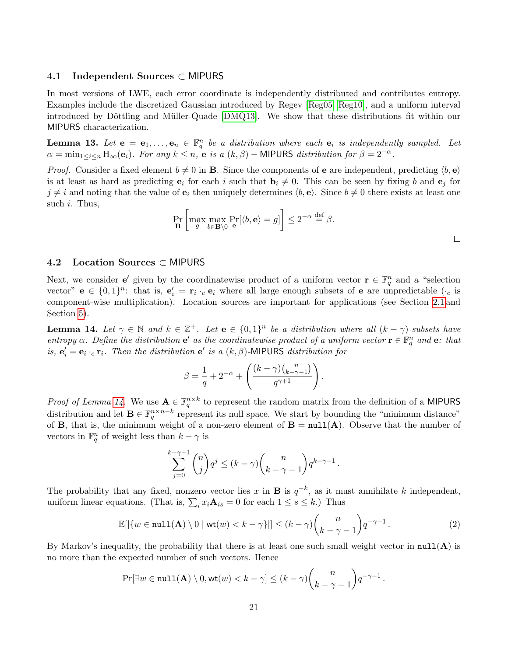### 4.1 Independent Sources ⊂ MIPURS

In most versions of LWE, each error coordinate is independently distributed and contributes entropy. Examples include the discretized Gaussian introduced by Regev [\[Reg05,](#page-33-2) [Reg10\]](#page-33-11), and a uniform interval introduced by Döttling and Müller-Quade [\[DMQ13\]](#page-32-8). We show that these distributions fit within our MIPURS characterization.

<span id="page-20-0"></span>**Lemma 13.** Let  $e = e_1, \ldots, e_n \in \mathbb{F}_q^n$  be a distribution where each  $e_i$  is independently sampled. Let  $\alpha = \min_{1 \leq i \leq n} H_{\infty}(e_i)$ . For any  $k \leq n$ , e is a  $(k, \beta)$  – MIPURS distribution for  $\beta = 2^{-\alpha}$ .

*Proof.* Consider a fixed element  $b \neq 0$  in **B**. Since the components of **e** are independent, predicting  $\langle b, \mathbf{e} \rangle$ is at least as hard as predicting  $e_i$  for each i such that  $b_i \neq 0$ . This can be seen by fixing b and  $e_j$  for  $j \neq i$  and noting that the value of  $e_i$  then uniquely determines  $\langle b, e \rangle$ . Since  $b \neq 0$  there exists at least one such  $i$ . Thus,

$$
\Pr_{\mathbf{B}}\left[\max_{g}\max_{b\in\mathbf{B}\setminus 0}\Pr_{\mathbf{e}}[\langle b,\mathbf{e}\rangle=g]\right] \le 2^{-\alpha} \stackrel{\text{def}}{=} \beta.
$$

#### 4.2 Location Sources ⊂ MIPURS

Next, we consider **e**' given by the coordinatewise product of a uniform vector  $\mathbf{r} \in \mathbb{F}_q^n$  and a "selection" vector"  $e \in \{0,1\}^n$ : that is,  $e'_i = r_i \cdot_c e_i$  where all large enough subsets of e are unpredictable  $(\cdot_c$  is component-wise multiplication). Location sources are important for applications (see Section [2.1](#page-8-2) and Section [5\)](#page-29-0).

<span id="page-20-1"></span>**Lemma 14.** Let  $\gamma \in \mathbb{N}$  and  $k \in \mathbb{Z}^+$ . Let  $\mathbf{e} \in \{0,1\}^n$  be a distribution where all  $(k - \gamma)$ -subsets have entropy  $\alpha$ . Define the distribution  $e'$  as the coordinatewise product of a uniform vector  $\mathbf{r} \in \mathbb{F}_q^n$  and  $e$ : that is,  $e'_i = e_i \cdot_c r_i$ . Then the distribution  $e'$  is a  $(k, \beta)$ -MIPURS distribution for

$$
\beta = \frac{1}{q} + 2^{-\alpha} + \left( \frac{(k-\gamma)\binom{n}{k-\gamma-1}}{q^{\gamma+1}} \right).
$$

*Proof of Lemma 14*. We use  $A \in \mathbb{F}_q^{n \times k}$  to represent the random matrix from the definition of a MIPURS distribution and let  $\mathbf{B} \in \mathbb{F}_q^{n \times n-k}$  represent its null space. We start by bounding the "minimum distance" of **B**, that is, the minimum weight of a non-zero element of  $B = null(A)$ . Observe that the number of vectors in  $\mathbb{F}_q^n$  of weight less than  $k-\gamma$  is

$$
\sum_{j=0}^{k-\gamma-1} \binom{n}{j} q^j \le (k-\gamma) \binom{n}{k-\gamma-1} q^{k-\gamma-1}.
$$

The probability that any fixed, nonzero vector lies x in **B** is  $q^{-k}$ , as it must annihilate k independent, uniform linear equations. (That is,  $\sum_i x_i \mathbf{A}_{is} = 0$  for each  $1 \le s \le k$ .) Thus

$$
\mathbb{E}[|\{w \in \text{null}(\mathbf{A}) \setminus 0 \mid \text{wt}(w) < k - \gamma\}|] \le (k - \gamma) \binom{n}{k - \gamma - 1} q^{-\gamma - 1} \,. \tag{2}
$$

By Markov's inequality, the probability that there is at least one such small weight vector in  $null(A)$  is no more than the expected number of such vectors. Hence

$$
\Pr[\exists w \in \texttt{null}(\mathbf{A}) \setminus 0, \textsf{wt}(w) < k - \gamma] \le (k - \gamma) {n \choose k - \gamma - 1} q^{-\gamma - 1}.
$$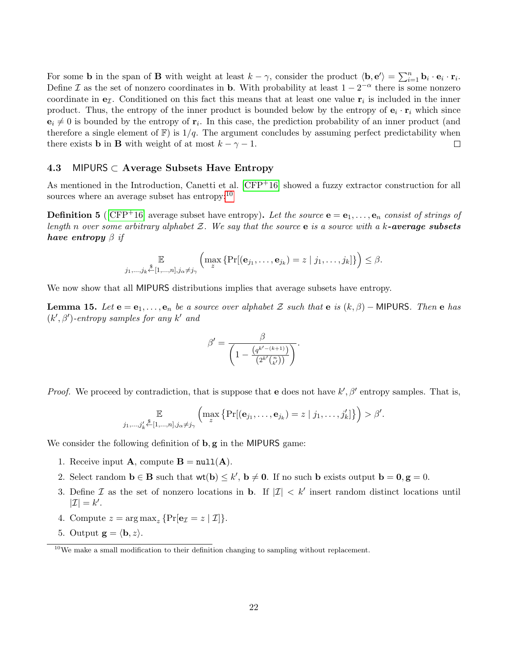For some **b** in the span of **B** with weight at least  $k - \gamma$ , consider the product  $\langle \mathbf{b}, \mathbf{e}' \rangle = \sum_{i=1}^{n} \mathbf{b}_i \cdot \mathbf{e}_i \cdot \mathbf{r}_i$ . Define I as the set of nonzero coordinates in **b**. With probability at least  $1 - 2^{-\alpha}$  there is some nonzero coordinate in  $e_{\mathcal{I}}$ . Conditioned on this fact this means that at least one value  $r_i$  is included in the inner product. Thus, the entropy of the inner product is bounded below by the entropy of  $e_i \cdot r_i$  which since  $\mathbf{e}_i \neq 0$  is bounded by the entropy of  $\mathbf{r}_i$ . In this case, the prediction probability of an inner product (and therefore a single element of  $\mathbb{F}$ ) is  $1/q$ . The argument concludes by assuming perfect predictability when there exists **b** in **B** with weight of at most  $k - \gamma - 1$ .  $\Box$ 

### <span id="page-21-2"></span>4.3 MIPURS  $\subset$  Average Subsets Have Entropy

As mentioned in the Introduction, Canetti et al.  $[CFP<sup>+</sup>16]$  $[CFP<sup>+</sup>16]$  showed a fuzzy extractor construction for all sources where an average subset has entropy: $^{10}$  $^{10}$  $^{10}$ 

<span id="page-21-0"></span>**Definition 5** (CFP+16) average subset have entropy). Let the source  $e = e_1, \ldots, e_n$  consist of strings of length n over some arbitrary alphabet  $\mathcal{Z}$ . We say that the source e is a source with a k-average subsets have entropy  $\beta$  if

$$
\mathbb{E}_{j_1,\ldots,j_k \stackrel{\$}{\leftarrow}[1,\ldots,n],j_\alpha\neq j_\gamma} \left( \max_z \left\{ \Pr[(\mathbf{e}_{j_1},\ldots,\mathbf{e}_{j_k})=z \mid j_1,\ldots,j_k] \right\} \right) \leq \beta.
$$

We now show that all MIPURS distributions implies that average subsets have entropy.

<span id="page-21-1"></span>**Lemma 15.** Let  $e = e_1, \ldots, e_n$  be a source over alphabet Z such that e is  $(k, \beta)$  – MIPURS. Then e has  $(k', \beta')$ -entropy samples for any k' and

$$
\beta' = \frac{\beta}{\left(1 - \frac{(q^{k' - (k+1)})}{(2^{k'} {n \choose k'})}\right)}.
$$

*Proof.* We proceed by contradiction, that is suppose that e does not have  $k', \beta'$  entropy samples. That is,

$$
\mathbb{E}_{j_1,\ldots,j'_k} \bigg\{ \max_z \Big\{ \Pr[(\mathbf{e}_{j_1},\ldots,\mathbf{e}_{j_k}) = z \mid j_1,\ldots,j'_k] \Big\} \Big) > \beta'.
$$

We consider the following definition of  $\mathbf{b}, \mathbf{g}$  in the MIPURS game:

- 1. Receive input **A**, compute  $B = null(A)$ .
- 2. Select random  $\mathbf{b} \in \mathbf{B}$  such that  $\mathsf{wt}(\mathbf{b}) \leq k'$ ,  $\mathbf{b} \neq \mathbf{0}$ . If no such  $\mathbf{b}$  exists output  $\mathbf{b} = \mathbf{0}, \mathbf{g} = 0$ .
- 3. Define  $\mathcal I$  as the set of nonzero locations in **b**. If  $|\mathcal I| < k'$  insert random distinct locations until  $|\mathcal{I}| = k'.$
- 4. Compute  $z = \arg \max_z \{ \Pr[\mathbf{e}_z = z | \mathcal{I}] \}.$
- 5. Output  $\mathbf{g} = \langle \mathbf{b}, z \rangle$ .

<span id="page-21-3"></span> $10$ We make a small modification to their definition changing to sampling without replacement.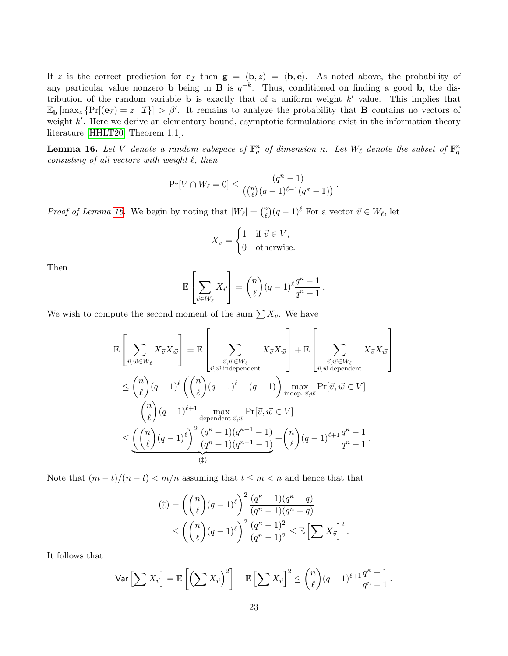If z is the correct prediction for  $e_{\mathcal{I}}$  then  $g = \langle b, z \rangle = \langle b, e \rangle$ . As noted above, the probability of any particular value nonzero **b** being in **B** is  $q^{-k}$ . Thus, conditioned on finding a good **b**, the distribution of the random variable **b** is exactly that of a uniform weight  $k'$  value. This implies that  $\mathbb{E}_{\mathbf{b}}[\max_z \{ \Pr[(\mathbf{e}_{\mathcal{I}}) = z | \mathcal{I} \}] > \beta'.$  It remains to analyze the probability that **B** contains no vectors of weight  $k'$ . Here we derive an elementary bound, asymptotic formulations exist in the information theory literature [\[HHLT20,](#page-33-12) Theorem 1.1].

<span id="page-22-0"></span>**Lemma 16.** Let V denote a random subspace of  $\mathbb{F}_q^n$  of dimension  $\kappa$ . Let  $W_\ell$  denote the subset of  $\mathbb{F}_q^n$ consisting of all vectors with weight  $\ell$ , then

$$
\Pr[V \cap W_{\ell} = 0] \le \frac{(q^n - 1)}{(\binom{n}{\ell}(q - 1)^{\ell-1}(q^{\kappa} - 1))}.
$$

*Proof of Lemma [16.](#page-22-0)* We begin by noting that  $|W_{\ell}| = \binom{n}{\ell}$  $\binom{n}{\ell}(q-1)^{\ell}$  For a vector  $\vec{v} \in W_{\ell}$ , let

$$
X_{\vec{v}} = \begin{cases} 1 & \text{if } \vec{v} \in V, \\ 0 & \text{otherwise.} \end{cases}
$$

Then

$$
\mathbb{E}\left[\sum_{\vec{v}\in W_{\ell}}X_{\vec{v}}\right] = {n \choose \ell}(q-1)^{\ell}\frac{q^{\kappa}-1}{q^{n}-1}.
$$

We wish to compute the second moment of the sum  $\sum X_{\vec{v}}$ . We have

$$
\mathbb{E}\left[\sum_{\vec{v},\vec{w}\in W_{\ell}} X_{\vec{v}} X_{\vec{w}}\right] = \mathbb{E}\left[\sum_{\vec{v},\vec{w}:\vec{w}\equiv W_{\ell}} X_{\vec{v}} X_{\vec{w}}\right] + \mathbb{E}\left[\sum_{\vec{v},\vec{w}\text{ dependent}} X_{\vec{v}} X_{\vec{w}}\right]
$$
\n
$$
\leq {n \choose \ell} (q-1)^{\ell} \left({n \choose \ell} (q-1)^{\ell} - (q-1)\right) \max_{\text{indep. } \vec{v},\vec{w}} \Pr[\vec{v},\vec{w}\in V]
$$
\n
$$
+ {n \choose \ell} (q-1)^{\ell+1} \max_{\text{dependent } \vec{v},\vec{w}} \Pr[\vec{v},\vec{w}\in V]
$$
\n
$$
\leq \underbrace{\left({n \choose \ell} (q-1)^{\ell}\right)^2 \frac{(q^{\kappa}-1)(q^{\kappa-1}-1)}{(q^n-1)(q^{n-1}-1)}}_{(1)} + {n \choose \ell} (q-1)^{\ell+1} \frac{q^{\kappa}-1}{q^n-1}.
$$

Note that  $(m-t)/(n-t) < m/n$  assuming that  $t \leq m < n$  and hence that that

$$
\begin{aligned} \n\left(\ddagger\right) &= \left(\binom{n}{\ell} (q-1)^{\ell}\right)^2 \frac{(q^{\kappa}-1)(q^{\kappa}-q)}{(q^n-1)(q^n-q)} \\ \n&\leq \left(\binom{n}{\ell} (q-1)^{\ell}\right)^2 \frac{(q^{\kappa}-1)^2}{(q^n-1)^2} \leq \mathbb{E}\left[\sum X_{\vec{v}}\right]^2. \n\end{aligned}
$$

It follows that

$$
\mathsf{Var}\left[\sum X_{\vec{v}}\right] = \mathbb{E}\left[\left(\sum X_{\vec{v}}\right)^2\right] - \mathbb{E}\left[\sum X_{\vec{v}}\right]^2 \le {n \choose \ell} (q-1)^{\ell+1} \frac{q^{\kappa}-1}{q^n-1}.
$$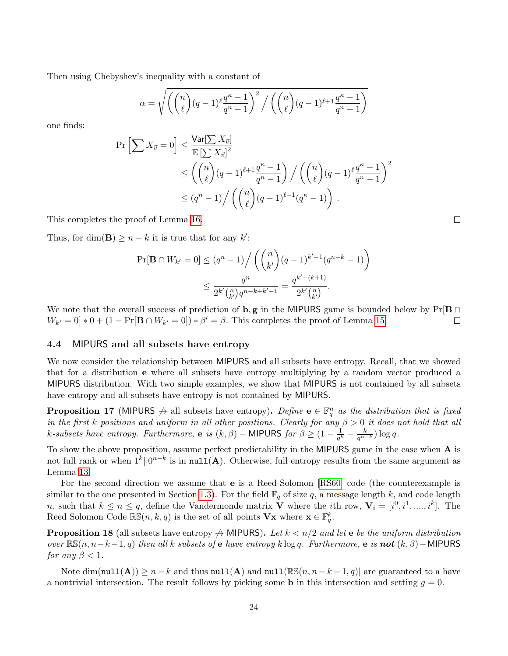Then using Chebyshev's inequality with a constant of

$$
\alpha = \sqrt{\left(\binom{n}{\ell}(q-1)\ell \frac{q^{\kappa}-1}{q^n-1}\right)^2 / \left(\binom{n}{\ell}(q-1)\ell + 1 \frac{q^{\kappa}-1}{q^n-1}\right)}
$$

one finds:

$$
\Pr\left[\sum X_{\vec{v}} = 0\right] \le \frac{\text{Var}[\sum X_{\vec{v}}]}{\mathbb{E}[\sum X_{\vec{v}}]^2} \le \left(\binom{n}{\ell} (q-1)^{\ell+1} \frac{q^{\kappa} - 1}{q^n - 1}\right) / \left(\binom{n}{\ell} (q-1)^{\ell} \frac{q^{\kappa} - 1}{q^n - 1}\right)^2 \le (q^n - 1) / \left(\binom{n}{\ell} (q-1)^{\ell-1} (q^{\kappa} - 1)\right).
$$

This completes the proof of Lemma [16.](#page-22-0)

Thus, for dim(**B**)  $\geq n - k$  it is true that for any k':

$$
\Pr[\mathbf{B} \cap W_{k'} = 0] \le (q^n - 1) / \left( \binom{n}{k'} (q - 1)^{k'-1} (q^{n-k} - 1) \right)
$$
  

$$
\le \frac{q^n}{2^{k'} \binom{n}{k'} q^{n-k+k'-1}} = \frac{q^{k' - (k+1)}}{2^{k'} \binom{n}{k'}}.
$$

We note that the overall success of prediction of **b**, g in the MIPURS game is bounded below by  $Pr[B \cap$  $W_{k'} = 0$  \* 0 + (1 – Pr[**B**  $\cap$   $W_{k'} = 0$ ]) \*  $\beta' = \beta$ . This completes the proof of Lemma [15.](#page-21-1)  $\Box$ 

### <span id="page-23-2"></span>4.4 MIPURS and all subsets have entropy

We now consider the relationship between MIPURS and all subsets have entropy. Recall, that we showed that for a distribution e where all subsets have entropy multiplying by a random vector produced a MIPURS distribution. With two simple examples, we show that MIPURS is not contained by all subsets have entropy and all subsets have entropy is not contained by MIPURS.

<span id="page-23-0"></span>**Proposition 17** (MIPURS  $\neq$  all subsets have entropy). Define  $e \in \mathbb{F}_q^n$  as the distribution that is fixed in the first k positions and uniform in all other positions. Clearly for any  $\beta > 0$  it does not hold that all k-subsets have entropy. Furthermore, e is  $(k, \beta)$  – MIPURS for  $\beta \geq (1 - \frac{1}{\alpha k})$  $\frac{1}{q^k}-\frac{k}{q^{n-k}})\log q.$ 

To show the above proposition, assume perfect predictability in the MIPURS game in the case when A is not full rank or when  $1^k||0^{n-k}$  is in  $null(A)$ . Otherwise, full entropy results from the same argument as Lemma [13.](#page-20-0)

For the second direction we assume that e is a Reed-Solomon [\[RS60\]](#page-33-13) code (the counterexample is similar to the one presented in Section [1.3\)](#page-4-0). For the field  $\mathbb{F}_q$  of size q, a message length k, and code length n, such that  $k \leq n \leq q$ , define the Vandermonde matrix **V** where the *i*th row,  $\mathbf{V}_i = [i^0, i^1, ..., i^k]$ . The Reed Solomon Code  $\mathbb{RS}(n, k, q)$  is the set of all points  $\mathbf{V}\mathbf{x}$  where  $\mathbf{x} \in \mathbb{F}_q^k$ .

<span id="page-23-1"></span>**Proposition 18** (all subsets have entropy  $\leftrightarrow$  MIPURS). Let  $k < n/2$  and let e be the uniform distribution over  $\mathbb{RS}(n, n-k-1, q)$  then all k subsets of e have entropy k log q. Furthermore, e is not  $(k, \beta)$  − MIPURS for any  $\beta < 1$ .

Note  $\dim(\text{null}(\mathbf{A})) \geq n - k$  and thus  $\text{null}(\mathbf{A})$  and  $\text{null}(\mathbb{RS}(n, n - k - 1, q))$  are guaranteed to a have a nontrivial intersection. The result follows by picking some **b** in this intersection and setting  $g = 0$ .

 $\Box$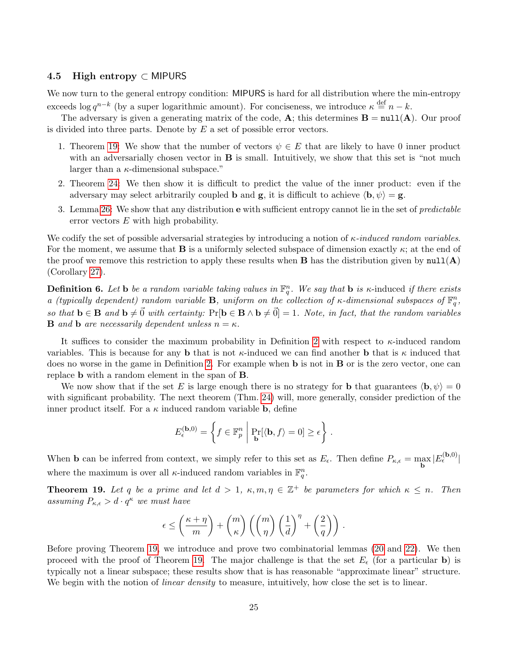### <span id="page-24-1"></span>4.5 High entropy  $\subset$  MIPURS

We now turn to the general entropy condition: MIPURS is hard for all distribution where the min-entropy exceeds  $\log q^{n-k}$  (by a super logarithmic amount). For conciseness, we introduce  $\kappa \stackrel{\text{def}}{=} n-k$ .

The adversary is given a generating matrix of the code, A; this determines  $\mathbf{B} = \text{null}(\mathbf{A})$ . Our proof is divided into three parts. Denote by  $E$  a set of possible error vectors.

- 1. Theorem [19:](#page-24-0) We show that the number of vectors  $\psi \in E$  that are likely to have 0 inner product with an adversarially chosen vector in  $\bf{B}$  is small. Intuitively, we show that this set is "not much larger than a  $\kappa$ -dimensional subspace."
- 2. Theorem [24:](#page-28-0) We then show it is difficult to predict the value of the inner product: even if the adversary may select arbitrarily coupled **b** and **g**, it is difficult to achieve  $\langle \mathbf{b}, \psi \rangle = \mathbf{g}$ .
- 3. Lemma [26:](#page-29-2) We show that any distribution e with sufficient entropy cannot lie in the set of predictable error vectors E with high probability.

We codify the set of possible adversarial strategies by introducing a notion of  $\kappa$ -induced random variables. For the moment, we assume that **B** is a uniformly selected subspace of dimension exactly  $\kappa$ ; at the end of the proof we remove this restriction to apply these results when **B** has the distribution given by  $null(A)$ (Corollary [27\)](#page-29-1).

**Definition 6.** Let **b** be a random variable taking values in  $\mathbb{F}_q^n$ . We say that **b** is  $\kappa$ -induced if there exists a (typically dependent) random variable **B**, uniform on the collection of  $\kappa$ -dimensional subspaces of  $\mathbb{F}_q^n$ , so that  $\mathbf{b} \in \mathbf{B}$  and  $\mathbf{b} \neq \vec{0}$  with certainty:  $\Pr[\mathbf{b} \in \mathbf{B} \wedge \mathbf{b} \neq \vec{0}] = 1$ . Note, in fact, that the random variables **B** and **b** are necessarily dependent unless  $n = \kappa$ .

It suffices to consider the maximum probability in Definition [2](#page-9-1) with respect to  $\kappa$ -induced random variables. This is because for any **b** that is not  $\kappa$ -induced we can find another **b** that is  $\kappa$  induced that does no worse in the game in Definition [2.](#page-9-1) For example when **b** is not in **B** or is the zero vector, one can replace b with a random element in the span of B.

We now show that if the set E is large enough there is no strategy for **b** that guarantees  $\langle \mathbf{b}, \psi \rangle = 0$ with significant probability. The next theorem (Thm. [24\)](#page-28-0) will, more generally, consider prediction of the inner product itself. For a  $\kappa$  induced random variable **b**, define

$$
E_{\epsilon}^{(\mathbf{b},0)} = \left\{ f \in \mathbb{F}_p^n \middle| \Pr_{\mathbf{b}}[\langle \mathbf{b}, f \rangle = 0] \ge \epsilon \right\}.
$$

When **b** can be inferred from context, we simply refer to this set as  $E_{\epsilon}$ . Then define  $P_{\kappa,\epsilon} = \max_{\mathbf{b}} |E_{\epsilon}^{(\mathbf{b},0)}|$ where the maximum is over all  $\kappa$ -induced random variables in  $\mathbb{F}_q^n$ .

<span id="page-24-0"></span>**Theorem 19.** Let q be a prime and let  $d > 1$ ,  $\kappa, m, \eta \in \mathbb{Z}^+$  be parameters for which  $\kappa \leq n$ . Then assuming  $P_{\kappa,\epsilon} > d \cdot q^{\kappa}$  we must have

$$
\epsilon \leq \left(\frac{\kappa+\eta}{m}\right) + \binom{m}{\kappa} \left(\binom{m}{\eta}\left(\frac{1}{d}\right)^{\eta} + \left(\frac{2}{q}\right)\right) \, .
$$

Before proving Theorem [19,](#page-24-0) we introduce and prove two combinatorial lemmas [\(20](#page-25-1) and [22\)](#page-26-0). We then proceed with the proof of Theorem [19.](#page-24-0) The major challenge is that the set  $E_{\epsilon}$  (for a particular b) is typically not a linear subspace; these results show that is has reasonable "approximate linear" structure. We begin with the notion of *linear density* to measure, intuitively, how close the set is to linear.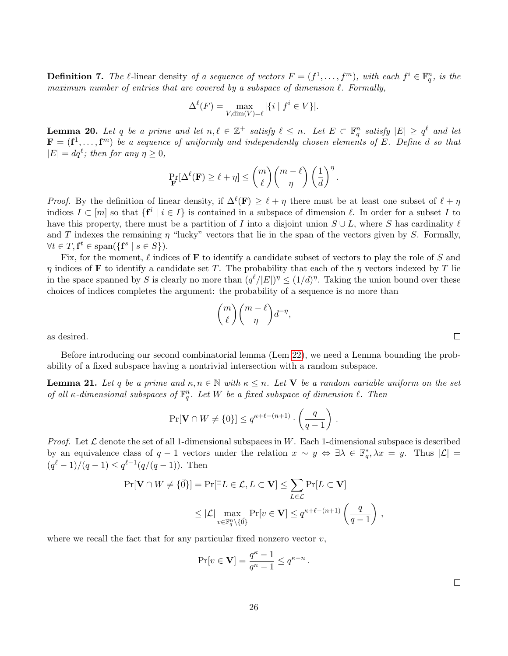**Definition 7.** The  $\ell$ -linear density of a sequence of vectors  $F = (f^1, \ldots, f^m)$ , with each  $f^i \in \mathbb{F}_q^n$ , is the maximum number of entries that are covered by a subspace of dimension  $\ell$ . Formally,

$$
\Delta^{\ell}(F) = \max_{V, \dim(V) = \ell} |\{i \mid f^i \in V\}|.
$$

<span id="page-25-1"></span>**Lemma 20.** Let q be a prime and let  $n, \ell \in \mathbb{Z}^+$  satisfy  $\ell \leq n$ . Let  $E \subset \mathbb{F}_q^n$  satisfy  $|E| \geq q^{\ell}$  and let  $\mathbf{F} = (\mathbf{f}^1, \dots, \mathbf{f}^m)$  be a sequence of uniformly and independently chosen elements of E. Define d so that  $|E| = dq^{\ell}$ ; then for any  $\eta \geq 0$ ,

$$
\Pr_{\mathbf{F}}[\Delta^{\ell}(\mathbf{F}) \geq \ell + \eta] \leq \binom{m}{\ell} \binom{m-\ell}{\eta} \left(\frac{1}{d}\right)^{\eta}.
$$

*Proof.* By the definition of linear density, if  $\Delta^{\ell}(\mathbf{F}) \geq \ell + \eta$  there must be at least one subset of  $\ell + \eta$ indices  $I \subset [m]$  so that  $\{f^i \mid i \in I\}$  is contained in a subspace of dimension  $\ell$ . In order for a subset I to have this property, there must be a partition of I into a disjoint union  $S \cup L$ , where S has cardinality  $\ell$ and T indexes the remaining  $\eta$  "lucky" vectors that lie in the span of the vectors given by S. Formally,  $\forall t \in T, \mathbf{f}^t \in \text{span}(\{\mathbf{f}^s \mid s \in S\}).$ 

Fix, for the moment,  $\ell$  indices of **F** to identify a candidate subset of vectors to play the role of S and  $\eta$  indices of **F** to identify a candidate set T. The probability that each of the  $\eta$  vectors indexed by T lie in the space spanned by S is clearly no more than  $(q^{\ell}/|E|)^{\eta} \leq (1/d)^{\eta}$ . Taking the union bound over these choices of indices completes the argument: the probability of a sequence is no more than

$$
\binom{m}{\ell}\binom{m-\ell}{\eta}d^{-\eta},
$$

as desired.

Before introducing our second combinatorial lemma (Lem [22\)](#page-26-0), we need a Lemma bounding the probability of a fixed subspace having a nontrivial intersection with a random subspace.

<span id="page-25-0"></span>**Lemma 21.** Let q be a prime and  $\kappa, n \in \mathbb{N}$  with  $\kappa \leq n$ . Let V be a random variable uniform on the set of all  $\kappa$ -dimensional subspaces of  $\mathbb{F}_q^n$ . Let W be a fixed subspace of dimension  $\ell$ . Then

$$
\Pr[\mathbf{V} \cap W \neq \{0\}] \le q^{\kappa + \ell - (n+1)} \cdot \left(\frac{q}{q-1}\right).
$$

*Proof.* Let  $\mathcal L$  denote the set of all 1-dimensional subspaces in W. Each 1-dimensional subspace is described by an equivalence class of  $q-1$  vectors under the relation  $x \sim y \Leftrightarrow \exists \lambda \in \mathbb{F}_q^*, \lambda x = y$ . Thus  $|\mathcal{L}| =$  $(q^{\ell}-1)/(q-1) \leq q^{\ell-1}(q/(q-1)).$  Then

$$
\Pr[\mathbf{V} \cap W \neq \{\vec{0}\}] = \Pr[\exists L \in \mathcal{L}, L \subset \mathbf{V}] \leq \sum_{L \in \mathcal{L}} \Pr[L \subset \mathbf{V}]
$$
  
\$\leq |\mathcal{L}| \max\_{v \in \mathbb{F}\_q^n \setminus \{\vec{0}\}} \Pr[v \in \mathbf{V}] \leq q^{\kappa + \ell - (n+1)} \left(\frac{q}{q-1}\right),\$

where we recall the fact that for any particular fixed nonzero vector  $v$ ,

$$
\Pr[v \in \mathbf{V}] = \frac{q^\kappa-1}{q^n-1} \leq q^{\kappa-n}
$$

.

 $\Box$ 

 $\Box$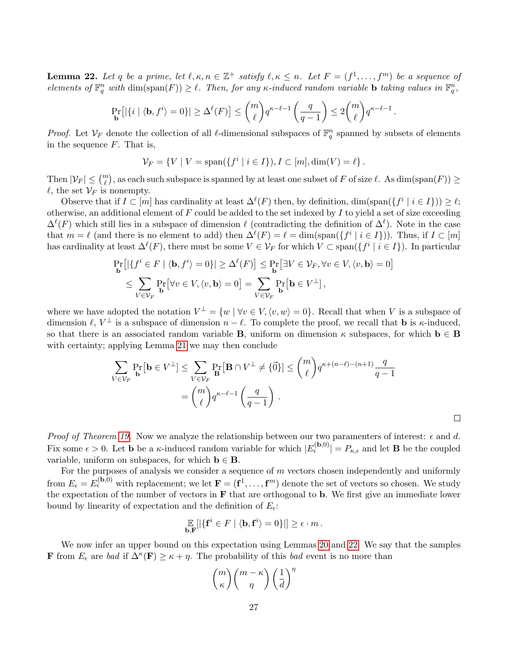<span id="page-26-0"></span>**Lemma 22.** Let q be a prime, let  $\ell, \kappa, n \in \mathbb{Z}^+$  satisfy  $\ell, \kappa \leq n$ . Let  $F = (f^1, \ldots, f^m)$  be a sequence of elements of  $\mathbb{F}_q^n$  with  $\dim(\text{span}(F)) \geq \ell$ . Then, for any  $\kappa$ -induced random variable **b** taking values in  $\mathbb{F}_q^n$ ,

$$
\Pr_{\mathbf{b}}\left[\left|\left\{i \mid \langle \mathbf{b}, f^i \rangle = 0\right\}\right| \geq \Delta^{\ell}(F)\right] \leq {m \choose \ell} q^{\kappa - \ell - 1} \left(\frac{q}{q - 1}\right) \leq 2 {m \choose \ell} q^{\kappa - \ell - 1}.
$$

*Proof.* Let  $V_F$  denote the collection of all  $\ell$ -dimensional subspaces of  $\mathbb{F}_q^n$  spanned by subsets of elements in the sequence  $F$ . That is,

$$
\mathcal{V}_F = \{ V \mid V = \text{span}(\{ f^i \mid i \in I \}), I \subset [m], \text{dim}(V) = \ell \}.
$$

Then  $|\mathcal{V}_F| \leq \binom{m}{\ell}$ , as each such subspace is spanned by at least one subset of F of size  $\ell$ . As  $\dim(\text{span}(F)) \geq$  $\ell$ , the set  $\mathcal{V}_F$  is nonempty.

Observe that if  $I \subset [m]$  has cardinality at least  $\Delta^{\ell}(F)$  then, by definition, dim(span( $\{f^i \mid i \in I\}) \geq \ell$ ; otherwise, an additional element of  $F$  could be added to the set indexed by  $I$  to yield a set of size exceeding  $\Delta^{\ell}(F)$  which still lies in a subspace of dimension  $\ell$  (contradicting the definition of  $\Delta^{\ell}$ ). Note in the case that  $m = \ell$  (and there is no element to add) then  $\Delta^{\ell}(F) = \ell = \dim(\text{span}(\{f^i \mid i \in I\}))$ . Thus, if  $I \subset [m]$ has cardinality at least  $\Delta^{\ell}(F)$ , there must be some  $V \in \mathcal{V}_F$  for which  $V \subset \text{span}(\{f^i \mid i \in I\})$ . In particular

$$
\Pr_{\mathbf{b}}\left[\left|\left\{f^{i} \in F \mid \langle \mathbf{b}, f^{i} \rangle = 0\right\}\right| \geq \Delta^{\ell}(F)\right] \leq \Pr_{\mathbf{b}}\left[\exists V \in \mathcal{V}_{F}, \forall v \in V, \langle v, \mathbf{b} \rangle = 0\right] \\
\leq \sum_{V \in \mathcal{V}_{F}} \Pr_{\mathbf{b}}\left[\forall v \in V, \langle v, \mathbf{b} \rangle = 0\right] = \sum_{V \in \mathcal{V}_{F}} \Pr_{\mathbf{b}}\left[\mathbf{b} \in V^{\perp}\right],
$$

where we have adopted the notation  $V^{\perp} = \{w \mid \forall v \in V, \langle v, w \rangle = 0\}$ . Recall that when V is a subspace of dimension  $\ell, V^{\perp}$  is a subspace of dimension  $n - \ell$ . To complete the proof, we recall that **b** is  $\kappa$ -induced, so that there is an associated random variable **B**, uniform on dimension  $\kappa$  subspaces, for which **b**  $\in$  **B** with certainty; applying Lemma [21](#page-25-0) we may then conclude

$$
\sum_{V \in \mathcal{V}_F} \Pr_{\mathbf{b}}[\mathbf{b} \in V^{\perp}] \le \sum_{V \in \mathcal{V}_F} \Pr_{\mathbf{B}}[\mathbf{B} \cap V^{\perp} \neq \{0\}] \le {m \choose \ell} q^{\kappa + (n-\ell) - (n+1)} \frac{q}{q-1}
$$

$$
= {m \choose \ell} q^{\kappa - \ell - 1} \left(\frac{q}{q-1}\right).
$$

 $\Box$ 

Proof of Theorem [19.](#page-24-0) Now we analyze the relationship between our two paramenters of interest:  $\epsilon$  and d. Fix some  $\epsilon > 0$ . Let **b** be a  $\kappa$ -induced random variable for which  $|E_{\epsilon}^{(\mathbf{b},0)}| = P_{\kappa,\epsilon}$  and let **B** be the coupled variable, uniform on subspaces, for which  $\mathbf{b} \in \mathbf{B}$ .

For the purposes of analysis we consider a sequence of  $m$  vectors chosen independently and uniformly from  $E_{\epsilon} = E_{\epsilon}^{(\mathbf{b},0)}$  with replacement; we let  $\mathbf{F} = (\mathbf{f}^1,\ldots,\mathbf{f}^m)$  denote the set of vectors so chosen. We study the expectation of the number of vectors in  $\bf{F}$  that are orthogonal to **b**. We first give an immediate lower bound by linearity of expectation and the definition of  $E_{\epsilon}$ :

$$
\mathop{\mathbb{E}}_{\mathbf{b},\mathbf{F}}[|\{\mathbf{f}^i \in F \mid \langle \mathbf{b}, \mathbf{f}^i \rangle = 0\}|] \geq \epsilon \cdot m.
$$

We now infer an upper bound on this expectation using Lemmas [20](#page-25-1) and [22.](#page-26-0) We say that the samples **F** from  $E_{\epsilon}$  are bad if  $\Delta^{\kappa}(\mathbf{F}) \geq \kappa + \eta$ . The probability of this bad event is no more than

$$
\binom{m}{\kappa}\binom{m-\kappa}{\eta}\left(\frac{1}{d}\right)^{\eta}
$$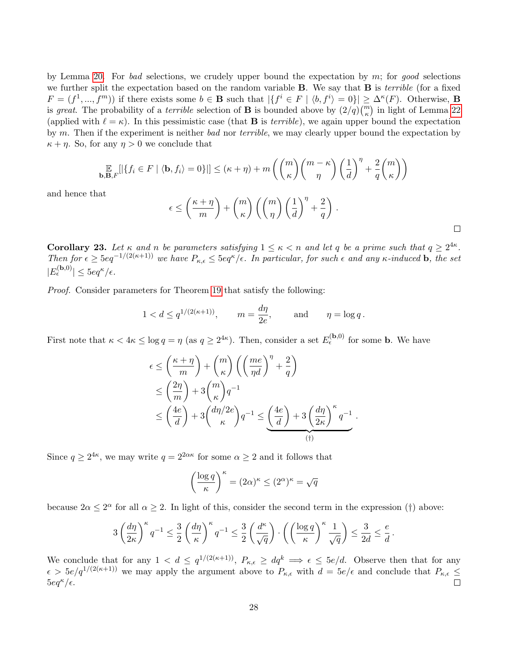by Lemma [20.](#page-25-1) For bad selections, we crudely upper bound the expectation by  $m$ ; for good selections we further split the expectation based on the random variable  $\bf{B}$ . We say that  $\bf{B}$  is *terrible* (for a fixed  $F = (f^1, ..., f^m)$  if there exists some  $b \in \mathbf{B}$  such that  $|\{f^i \in F \mid \langle b, f^i \rangle = 0\}| \geq \Delta^{\kappa}(F)$ . Otherwise, **B** is great. The probability of a *terrible* selection of **B** is bounded above by  $(2/q) {m \choose \kappa}$  in light of Lemma [22](#page-26-0) (applied with  $\ell = \kappa$ ). In this pessimistic case (that **B** is terrible), we again upper bound the expectation by m. Then if the experiment is neither bad nor terrible, we may clearly upper bound the expectation by  $\kappa + \eta$ . So, for any  $\eta > 0$  we conclude that

$$
\mathop{\mathbb{E}}_{\mathbf{b},\mathbf{B},F}[|\{f_i \in F \mid \langle \mathbf{b}, f_i \rangle = 0\}|] \leq (\kappa + \eta) + m \left( \binom{m}{\kappa} \binom{m - \kappa}{\eta} \left( \frac{1}{d} \right)^{\eta} + \frac{2}{q} \binom{m}{\kappa} \right)
$$

and hence that

$$
\epsilon \le \left(\frac{\kappa+\eta}{m}\right) + {m \choose \kappa} \left({m \choose \eta}\left(\frac{1}{d}\right)^{\eta} + \frac{2}{q}\right).
$$

 $\Box$ 

<span id="page-27-0"></span>**Corollary 23.** Let  $\kappa$  and n be parameters satisfying  $1 \leq \kappa < n$  and let q be a prime such that  $q \geq 2^{4\kappa}$ . Then for  $\epsilon \geq 5eq^{-1/(2(\kappa+1))}$  we have  $P_{\kappa,\epsilon} \leq 5eq^{\kappa}/\epsilon$ . In particular, for such  $\epsilon$  and any  $\kappa$ -induced **b**, the set  $|E_{\epsilon}^{(\mathbf{b},0)}| \leq 5eq^{\kappa}/\epsilon.$ 

Proof. Consider parameters for Theorem [19](#page-24-0) that satisfy the following:

$$
1 < d \le q^{1/(2(\kappa+1))}
$$
,  $m = \frac{d\eta}{2e}$ , and  $\eta = \log q$ .

First note that  $\kappa < 4\kappa \leq \log q = \eta$  (as  $q \geq 2^{4\kappa}$ ). Then, consider a set  $E_{\epsilon}^{(\mathbf{b},0)}$  for some **b**. We have

$$
\epsilon \le \left(\frac{\kappa + \eta}{m}\right) + {m \choose \kappa} \left(\left(\frac{me}{\eta d}\right)^{\eta} + \frac{2}{q}\right)
$$
  
\n
$$
\le \left(\frac{2\eta}{m}\right) + 3 {m \choose \kappa} q^{-1}
$$
  
\n
$$
\le \left(\frac{4e}{d}\right) + 3 {d\eta/2e \choose \kappa} q^{-1} \le \underbrace{\left(\frac{4e}{d}\right) + 3 \left(\frac{d\eta}{2\kappa}\right)^{\kappa} q^{-1}}_{(t)}.
$$

Since  $q \geq 2^{4\kappa}$ , we may write  $q = 2^{2\alpha\kappa}$  for some  $\alpha \geq 2$  and it follows that

$$
\left(\frac{\log q}{\kappa}\right)^{\kappa} = (2\alpha)^{\kappa} \le (2^{\alpha})^{\kappa} = \sqrt{q}
$$

because  $2\alpha \leq 2^{\alpha}$  for all  $\alpha \geq 2$ . In light of this, consider the second term in the expression (†) above:

$$
3\left(\frac{d\eta}{2\kappa}\right)^{\kappa}q^{-1}\leq \frac{3}{2}\left(\frac{d\eta}{\kappa}\right)^{\kappa}q^{-1}\leq \frac{3}{2}\left(\frac{d^{\kappa}}{\sqrt{q}}\right)\cdot\left(\left(\frac{\log q}{\kappa}\right)^{\kappa}\frac{1}{\sqrt{q}}\right)\leq \frac{3}{2d}\leq \frac{e}{d}.
$$

We conclude that for any  $1 < d \leq q^{1/(2(\kappa+1))}$ ,  $P_{\kappa,\epsilon} \geq dq^k \implies \epsilon \leq 5e/d$ . Observe then that for any  $\epsilon > 5e/q^{1/(2(\kappa+1))}$  we may apply the argument above to  $P_{\kappa,\epsilon}$  with  $d = 5e/\epsilon$  and conclude that  $P_{\kappa,\epsilon} \le$  $5eq^{\kappa}/\epsilon$ .  $\Box$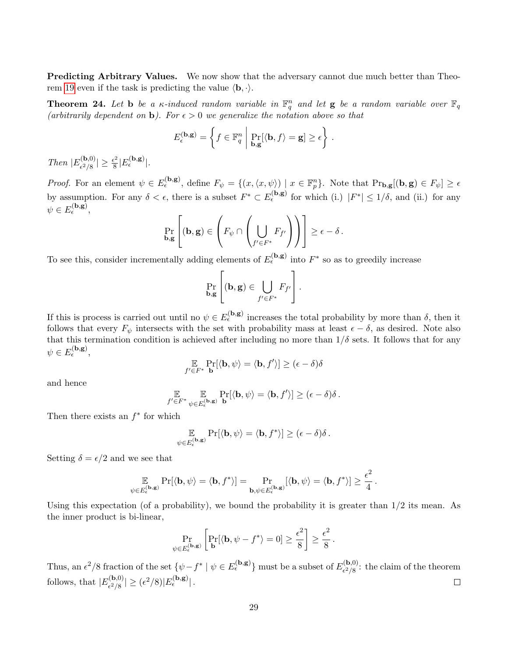Predicting Arbitrary Values. We now show that the adversary cannot due much better than Theo-rem [19](#page-24-0) even if the task is predicting the value  $\langle \mathbf{b}, \cdot \rangle$ .

<span id="page-28-0"></span>**Theorem 24.** Let **b** be a  $\kappa$ -induced random variable in  $\mathbb{F}_q^n$  and let **g** be a random variable over  $\mathbb{F}_q$ (arbitrarily dependent on **b**). For  $\epsilon > 0$  we generalize the notation above so that

$$
E_{\epsilon}^{(\mathbf{b},\mathbf{g})} = \left\{ f \in \mathbb{F}_q^n \middle| \Pr_{\mathbf{b},\mathbf{g}}[\langle \mathbf{b}, f \rangle = \mathbf{g}] \ge \epsilon \right\}.
$$

Then  $|E_{\epsilon^2/8}^{(\mathbf{b},0)}|$  $\frac{\epsilon^{( \mathbf{b}, 0 )}}{\epsilon^2/8}|\geq \frac{\epsilon^2}{8}$  $\frac{\epsilon^2}{8} |E_{\epsilon}^{(\mathbf{b},\mathbf{g})}|.$ 

*Proof.* For an element  $\psi \in E_{\epsilon}^{(\mathbf{b}, \mathbf{g})}$ , define  $F_{\psi} = \{(x, \langle x, \psi \rangle) \mid x \in \mathbb{F}_p^n\}$ . Note that  $Pr_{\mathbf{b}, \mathbf{g}}[(\mathbf{b}, \mathbf{g}) \in F_{\psi}] \ge \epsilon$ by assumption. For any  $\delta < \epsilon$ , there is a subset  $F^* \subset E_{\epsilon}^{(\mathbf{b}, \mathbf{g})}$  for which (i.)  $|F^*| \leq 1/\delta$ , and (ii.) for any  $\psi \in E_{\epsilon}^{(\mathbf{b}, \mathbf{g})},$ 

$$
\Pr_{\mathbf{b},\mathbf{g}}\left[(\mathbf{b},\mathbf{g})\in\left(F_{\psi}\cap\left(\bigcup_{f'\in F^*}F_{f'}\right)\right)\right]\geq\epsilon-\delta.
$$

To see this, consider incrementally adding elements of  $E_{\epsilon}^{(\mathbf{b}, \mathbf{g})}$  into  $F^*$  so as to greedily increase

$$
\Pr_{\mathbf{b},\mathbf{g}}\left[(\mathbf{b},\mathbf{g})\in \bigcup_{f'\in F^*} F_{f'}\right].
$$

If this is process is carried out until no  $\psi \in E_{\epsilon}^{(\mathbf{b}, \mathbf{g})}$  increases the total probability by more than  $\delta$ , then it follows that every  $F_{\psi}$  intersects with the set with probability mass at least  $\epsilon - \delta$ , as desired. Note also that this termination condition is achieved after including no more than  $1/\delta$  sets. It follows that for any  $\psi \in E_{\epsilon}^{(\mathbf{b}, \mathbf{g})},$ 

$$
\underset{f' \in F^*}{\mathbb{E}} \Pr_{\mathbf{b}}[\langle \mathbf{b}, \psi \rangle = \langle \mathbf{b}, f' \rangle] \geq (\epsilon - \delta)\delta
$$

and hence

$$
\mathop{\mathbb{E}}_{f' \in F^*} \mathop{\mathbb{E}}_{\psi \in E_{\epsilon}^{(\mathbf{b}, \mathbf{g})}} \Pr_{\mathbf{b}}[\langle \mathbf{b}, \psi \rangle = \langle \mathbf{b}, f' \rangle] \geq (\epsilon - \delta)\delta.
$$

Then there exists an  $f^*$  for which

$$
\mathop{\mathbb{E}}_{\psi \in E_{\epsilon}^{(\mathbf{b}, \mathbf{g})}} \Pr[\langle \mathbf{b}, \psi \rangle = \langle \mathbf{b}, f^* \rangle] \geq (\epsilon - \delta) \delta.
$$

Setting  $\delta = \epsilon/2$  and we see that

$$
\mathop{\mathbb{E}}_{\psi \in E^{(\mathbf{b}, \mathbf{g})}_\epsilon} \Pr[\langle \mathbf{b}, \psi \rangle = \langle \mathbf{b}, f^* \rangle] = \Pr_{\mathbf{b}, \psi \in E^{(\mathbf{b}, \mathbf{g})}_\epsilon} [\langle \mathbf{b}, \psi \rangle = \langle \mathbf{b}, f^* \rangle] \geq \frac{\epsilon^2}{4} \, .
$$

Using this expectation (of a probability), we bound the probability it is greater than 1/2 its mean. As the inner product is bi-linear,

$$
\Pr_{\psi \in E_{\epsilon}^{(\mathbf{b}, \mathbf{g})}} \left[ \Pr_{\mathbf{b}} [\langle \mathbf{b}, \psi - f^* \rangle = 0] \ge \frac{\epsilon^2}{8} \right] \ge \frac{\epsilon^2}{8}.
$$

Thus, an  $\epsilon^2/8$  fraction of the set  $\{\psi - f^* \mid \psi \in E_{\epsilon}^{(\mathbf{b}, \mathbf{g})}\}\$  must be a subset of  $E_{\epsilon^2/8}^{(\mathbf{b},0)}$  $\epsilon^{(0,0)}_{\epsilon^2/8}$ : the claim of the theorem follows, that  $|E_{c^2/8}^{(\mathbf{b},0)}|$  $\vert \epsilon^{({\bf b},0)}_{\epsilon^2/8} \vert \geq (\epsilon^2/8) \vert E^{({\bf b},{\bf g})}_{\epsilon} \vert \, .$  $\Box$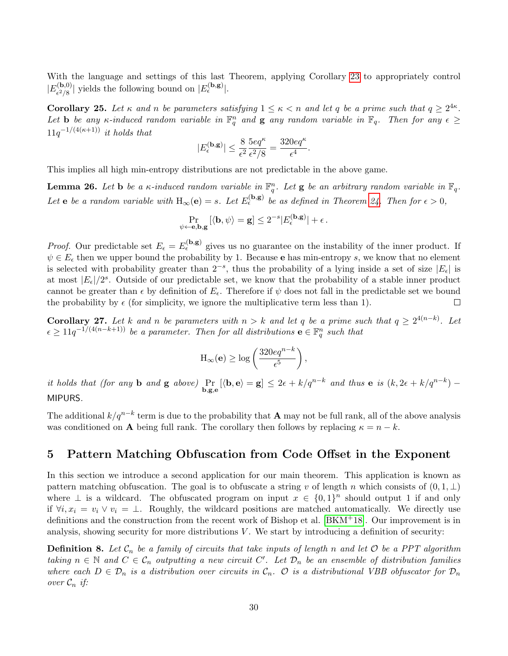With the language and settings of this last Theorem, applying Corollary [23](#page-27-0) to appropriately control  $|E^{({\bf b},0)}_{c^2/{\bf s}}|$  $\binom{[{\bf b},0)}{\epsilon^2/8}$  yields the following bound on  $|E_{\epsilon}^{({\bf b}, {\bf g})}|$ .

**Corollary 25.** Let  $\kappa$  and  $n$  be parameters satisfying  $1 \leq \kappa < n$  and let q be a prime such that  $q \geq 2^{4\kappa}$ . Let **b** be any  $\kappa$ -induced random variable in  $\mathbb{F}_q^n$  and **g** any random variable in  $\mathbb{F}_q$ . Then for any  $\epsilon \geq$  $11q^{-1/(4(\kappa+1))}$  it holds that

$$
|E_{\epsilon}^{(\mathbf{b},\mathbf{g})}|\leq \frac{8}{\epsilon^2}\frac{5eq^{\kappa}}{\epsilon^2/8}=\frac{320eq^{\kappa}}{\epsilon^4}.
$$

This implies all high min-entropy distributions are not predictable in the above game.

<span id="page-29-2"></span>**Lemma 26.** Let **b** be a  $\kappa$ -induced random variable in  $\mathbb{F}_q^n$ . Let **g** be an arbitrary random variable in  $\mathbb{F}_q$ . Let **e** be a random variable with  $H_{\infty}(e) = s$ . Let  $E_{\epsilon}^{(b,g)}$  be as defined in Theorem [24.](#page-28-0) Then for  $\epsilon > 0$ ,

$$
\Pr_{\psi \leftarrow \mathbf{e}, \mathbf{b}, \mathbf{g}} \left[ \langle \mathbf{b}, \psi \rangle = \mathbf{g} \right] \le 2^{-s} |E_{\epsilon}^{(\mathbf{b}, \mathbf{g})}| + \epsilon.
$$

*Proof.* Our predictable set  $E_{\epsilon} = E_{\epsilon}^{(\mathbf{b}, \mathbf{g})}$  gives us no guarantee on the instability of the inner product. If  $\psi \in E_{\epsilon}$  then we upper bound the probability by 1. Because e has min-entropy s, we know that no element is selected with probability greater than  $2^{-s}$ , thus the probability of a lying inside a set of size  $|E_{\epsilon}|$  is at most  $|E_{\epsilon}|/2^{s}$ . Outside of our predictable set, we know that the probability of a stable inner product cannot be greater than  $\epsilon$  by definition of  $E_{\epsilon}$ . Therefore if  $\psi$  does not fall in the predictable set we bound the probability by  $\epsilon$  (for simplicity, we ignore the multiplicative term less than 1).  $\Box$ 

<span id="page-29-1"></span>**Corollary 27.** Let k and n be parameters with  $n > k$  and let q be a prime such that  $q \geq 2^{4(n-k)}$ . Let  $\epsilon \geq 11q^{-1/(4(n-k+1))}$  be a parameter. Then for all distributions  $\mathbf{e} \in \mathbb{F}_q^n$  such that

$$
\mathrm{H}_{\infty}(\mathbf{e}) \ge \log \left( \frac{320e q^{n-k}}{\epsilon^5} \right),\,
$$

it holds that (for any **b** and **g** above)  $\Pr_{\mathbf{b},\mathbf{g},\mathbf{e}}[\langle \mathbf{b},\mathbf{e}\rangle=\mathbf{g}]\leq 2\epsilon+k/q^{n-k}$  and thus **e** is  $(k, 2\epsilon+k/q^{n-k})$  -MIPURS.

The additional  $k/q^{n-k}$  term is due to the probability that A may not be full rank, all of the above analysis was conditioned on **A** being full rank. The corollary then follows by replacing  $\kappa = n - k$ .

### <span id="page-29-0"></span>5 Pattern Matching Obfuscation from Code Offset in the Exponent

In this section we introduce a second application for our main theorem. This application is known as pattern matching obfuscation. The goal is to obfuscate a string v of length n which consists of  $(0, 1, \perp)$ where  $\perp$  is a wildcard. The obfuscated program on input  $x \in \{0,1\}^n$  should output 1 if and only if  $\forall i, x_i = v_i \vee v_i = \bot$ . Roughly, the wildcard positions are matched automatically. We directly use definitions and the construction from the recent work of Bishop et al. [\[BKM](#page-31-0)+18]. Our improvement is in analysis, showing security for more distributions  $V$ . We start by introducing a definition of security:

**Definition 8.** Let  $C_n$  be a family of circuits that take inputs of length n and let  $O$  be a PPT algorithm taking  $n \in \mathbb{N}$  and  $C \in \mathcal{C}_n$  outputting a new circuit  $C'$ . Let  $\mathcal{D}_n$  be an ensemble of distribution families where each  $D \in \mathcal{D}_n$  is a distribution over circuits in  $\mathcal{C}_n$ .  $\mathcal{O}$  is a distributional VBB obfuscator for  $\mathcal{D}_n$ over  $\mathcal{C}_n$  if: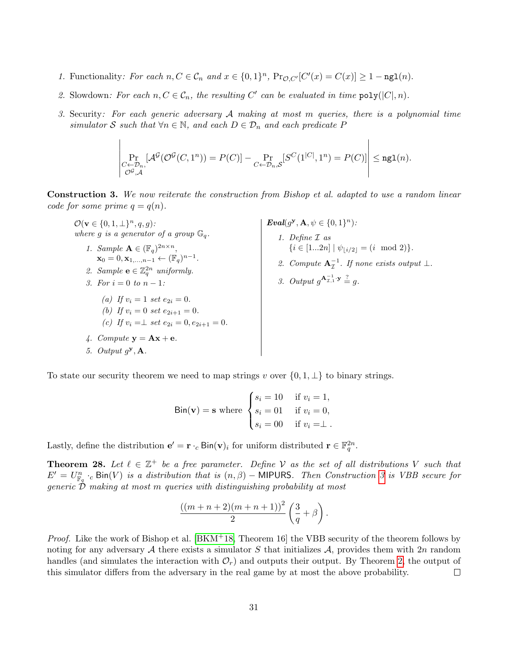- 1. Functionality: For each  $n, C \in \mathcal{C}_n$  and  $x \in \{0,1\}^n$ ,  $Pr_{\mathcal{O}, C'}[C'(x) = C(x)] \ge 1 \text{ngl}(n)$ .
- 2. Slowdown: For each  $n, C \in \mathcal{C}_n$ , the resulting C' can be evaluated in time  $\text{poly}(|C|, n)$ .
- 3. Security: For each generic adversary  $A$  making at most m queries, there is a polynomial time simulator S such that  $\forall n \in \mathbb{N}$ , and each  $D \in \mathcal{D}_n$  and each predicate P

$$
\left|\Pr_{\substack{C \leftarrow \mathcal{D}_n,\\ \mathcal{O}^{\mathcal{G}}, \mathcal{A}}}[\mathcal{A}^{\mathcal{G}}(\mathcal{O}^{\mathcal{G}}(C,1^n)) = P(C)] - \Pr_{C \leftarrow \mathcal{D}_n, \mathcal{S}}[S^C(1^{|C|},1^n) = P(C)]\right| \leq {\rm ngl}(n).
$$

Construction 3. We now reiterate the construction from Bishop et al. adapted to use a random linear code for some prime  $q = q(n)$ .

 $\mathcal{O}(\mathbf{v} \in \{0, 1, \perp\}^n, q, g)$ : where g is a generator of a group  $\mathbb{G}_q$ . 1. Sample  $\mathbf{A} \in (\mathbb{F}_q)^{2n \times n}$ ,  $\mathbf{x}_0 = 0, \mathbf{x}_{1,...,n-1} \leftarrow (\mathbb{F}_q)^{n-1}.$ 2. Sample  $\mathbf{e} \in \mathbb{Z}_q^{2n}$  uniformly. 3. For  $i = 0$  to  $n - 1$ : (a) If  $v_i = 1$  set  $e_{2i} = 0$ . (b) If  $v_i = 0$  set  $e_{2i+1} = 0$ . (c) If  $v_i = \perp$  set  $e_{2i} = 0, e_{2i+1} = 0$ . 4. Compute  $y = Ax + e$ .

 $\overline{1}$ 

5. Output  $g^{\mathbf{y}}, \mathbf{A}$ .

 $\text{Eval}(g^{\mathbf{y}}, \mathbf{A}, \psi \in \{0, 1\}^n)$ : 1. Define I as  $\{i \in [1...2n] \mid \psi_{\lfloor i/2 \rfloor} = (i \mod 2)\}.$ 2. Compute  $A_{\mathcal{I}}^{-1}$ . If none exists output  $\bot$ .

<span id="page-30-0"></span>3. Output 
$$
g^{\mathbf{A}_{\mathcal{I},1}^{-1} \cdot \mathbf{y}} \stackrel{?}{=} g
$$
.

To state our security theorem we need to map strings v over  $\{0, 1, \perp\}$  to binary strings.

 $\text{Bin}(\mathbf{v}) = \mathbf{s}$  where  $\sqrt{ }$  $\int$  $\mathcal{L}$  $s_i = 10$  if  $v_i = 1$ ,  $s_i = 01$  if  $v_i = 0$ ,  $s_i = 00$  if  $v_i = \perp$ .

Lastly, define the distribution  $\mathbf{e}' = \mathbf{r} \cdot_c \text{Bin}(\mathbf{v})_i$  for uniform distributed  $\mathbf{r} \in \mathbb{F}_q^{2n}$ .

**Theorem 28.** Let  $\ell \in \mathbb{Z}^+$  be a free parameter. Define V as the set of all distributions V such that  $E' = U_{\mathbb{F}_q}^n \cdot_c$  Bin(V) is a distribution that is  $(n, \beta)$  – MIPURS. Then Construction [3](#page-30-0) is VBB secure for generic  $\dot{\mathcal{D}}$  making at most m queries with distinguishing probability at most

$$
\frac{((m+n+2)(m+n+1))^{2}}{2}\left(\frac{3}{q}+\beta\right).
$$

*Proof.* Like the work of Bishop et al.  $[BKM^+18,$  $[BKM^+18,$  Theorem 16 the VBB security of the theorem follows by noting for any adversary A there exists a simulator S that initializes A, provides them with 2n random handles (and simulates the interaction with  $\mathcal{O}_r$ ) and outputs their output. By Theorem [2,](#page-10-1) the output of this simulator differs from the adversary in the real game by at most the above probability.  $\Box$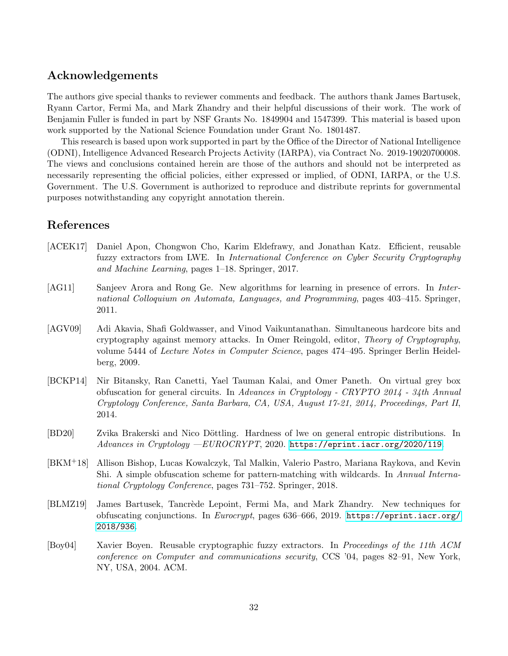### Acknowledgements

The authors give special thanks to reviewer comments and feedback. The authors thank James Bartusek, Ryann Cartor, Fermi Ma, and Mark Zhandry and their helpful discussions of their work. The work of Benjamin Fuller is funded in part by NSF Grants No. 1849904 and 1547399. This material is based upon work supported by the National Science Foundation under Grant No. 1801487.

This research is based upon work supported in part by the Office of the Director of National Intelligence (ODNI), Intelligence Advanced Research Projects Activity (IARPA), via Contract No. 2019-19020700008. The views and conclusions contained herein are those of the authors and should not be interpreted as necessarily representing the official policies, either expressed or implied, of ODNI, IARPA, or the U.S. Government. The U.S. Government is authorized to reproduce and distribute reprints for governmental purposes notwithstanding any copyright annotation therein.

### References

- <span id="page-31-5"></span>[ACEK17] Daniel Apon, Chongwon Cho, Karim Eldefrawy, and Jonathan Katz. Efficient, reusable fuzzy extractors from LWE. In International Conference on Cyber Security Cryptography and Machine Learning, pages 1–18. Springer, 2017.
- <span id="page-31-6"></span>[AG11] Sanjeev Arora and Rong Ge. New algorithms for learning in presence of errors. In International Colloquium on Automata, Languages, and Programming, pages 403–415. Springer, 2011.
- <span id="page-31-2"></span>[AGV09] Adi Akavia, Shafi Goldwasser, and Vinod Vaikuntanathan. Simultaneous hardcore bits and cryptography against memory attacks. In Omer Reingold, editor, Theory of Cryptography, volume 5444 of Lecture Notes in Computer Science, pages 474–495. Springer Berlin Heidelberg, 2009.
- <span id="page-31-4"></span>[BCKP14] Nir Bitansky, Ran Canetti, Yael Tauman Kalai, and Omer Paneth. On virtual grey box obfuscation for general circuits. In Advances in Cryptology - CRYPTO 2014 - 34th Annual Cryptology Conference, Santa Barbara, CA, USA, August 17-21, 2014, Proceedings, Part II, 2014.
- <span id="page-31-7"></span>[BD20] Zvika Brakerski and Nico Döttling. Hardness of lwe on general entropic distributions. In Advances in Cryptology —EUROCRYPT, 2020. <https://eprint.iacr.org/2020/119>.
- <span id="page-31-0"></span>[BKM+18] Allison Bishop, Lucas Kowalczyk, Tal Malkin, Valerio Pastro, Mariana Raykova, and Kevin Shi. A simple obfuscation scheme for pattern-matching with wildcards. In Annual International Cryptology Conference, pages 731–752. Springer, 2018.
- <span id="page-31-3"></span>[BLMZ19] James Bartusek, Tancrède Lepoint, Fermi Ma, and Mark Zhandry. New techniques for obfuscating conjunctions. In Eurocrypt, pages 636–666, 2019. [https://eprint.iacr.org/](https://eprint.iacr.org/2018/936) [2018/936](https://eprint.iacr.org/2018/936).
- <span id="page-31-1"></span>[Boy04] Xavier Boyen. Reusable cryptographic fuzzy extractors. In Proceedings of the 11th ACM conference on Computer and communications security, CCS '04, pages 82–91, New York, NY, USA, 2004. ACM.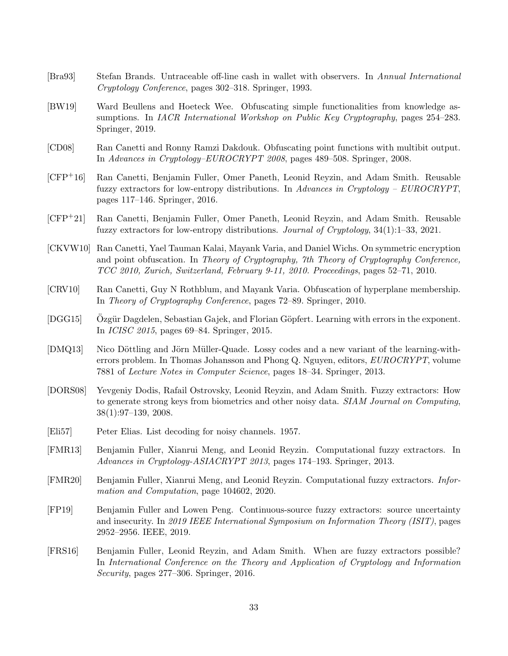- <span id="page-32-13"></span>[Bra93] Stefan Brands. Untraceable off-line cash in wallet with observers. In Annual International Cryptology Conference, pages 302–318. Springer, 1993.
- <span id="page-32-9"></span>[BW19] Ward Beullens and Hoeteck Wee. Obfuscating simple functionalities from knowledge assumptions. In *IACR International Workshop on Public Key Cryptography*, pages 254–283. Springer, 2019.
- <span id="page-32-7"></span>[CD08] Ran Canetti and Ronny Ramzi Dakdouk. Obfuscating point functions with multibit output. In Advances in Cryptology–EUROCRYPT 2008, pages 489–508. Springer, 2008.
- <span id="page-32-1"></span>[CFP+16] Ran Canetti, Benjamin Fuller, Omer Paneth, Leonid Reyzin, and Adam Smith. Reusable fuzzy extractors for low-entropy distributions. In Advances in Cryptology –  $EUROCRYPT$ , pages 117–146. Springer, 2016.
- <span id="page-32-2"></span>[CFP+21] Ran Canetti, Benjamin Fuller, Omer Paneth, Leonid Reyzin, and Adam Smith. Reusable fuzzy extractors for low-entropy distributions. Journal of Cryptology, 34(1):1–33, 2021.
- <span id="page-32-12"></span>[CKVW10] Ran Canetti, Yael Tauman Kalai, Mayank Varia, and Daniel Wichs. On symmetric encryption and point obfuscation. In Theory of Cryptography, 7th Theory of Cryptography Conference, TCC 2010, Zurich, Switzerland, February 9-11, 2010. Proceedings, pages 52–71, 2010.
- <span id="page-32-10"></span>[CRV10] Ran Canetti, Guy N Rothblum, and Mayank Varia. Obfuscation of hyperplane membership. In Theory of Cryptography Conference, pages 72–89. Springer, 2010.
- <span id="page-32-11"></span>[DGG15] Ozgür Dagdelen, Sebastian Gajek, and Florian Göpfert. Learning with errors in the exponent. In ICISC 2015, pages 69–84. Springer, 2015.
- <span id="page-32-8"></span>[DMQ13] Nico Döttling and Jörn Müller-Quade. Lossy codes and a new variant of the learning-witherrors problem. In Thomas Johansson and Phong Q. Nguyen, editors, EUROCRYPT, volume 7881 of Lecture Notes in Computer Science, pages 18–34. Springer, 2013.
- <span id="page-32-0"></span>[DORS08] Yevgeniy Dodis, Rafail Ostrovsky, Leonid Reyzin, and Adam Smith. Fuzzy extractors: How to generate strong keys from biometrics and other noisy data. SIAM Journal on Computing, 38(1):97–139, 2008.
- <span id="page-32-14"></span>[Eli57] Peter Elias. List decoding for noisy channels. 1957.
- <span id="page-32-5"></span>[FMR13] Benjamin Fuller, Xianrui Meng, and Leonid Reyzin. Computational fuzzy extractors. In Advances in Cryptology-ASIACRYPT 2013, pages 174–193. Springer, 2013.
- <span id="page-32-6"></span>[FMR20] Benjamin Fuller, Xianrui Meng, and Leonid Reyzin. Computational fuzzy extractors. Information and Computation, page 104602, 2020.
- <span id="page-32-4"></span>[FP19] Benjamin Fuller and Lowen Peng. Continuous-source fuzzy extractors: source uncertainty and insecurity. In 2019 IEEE International Symposium on Information Theory (ISIT), pages 2952–2956. IEEE, 2019.
- <span id="page-32-3"></span>[FRS16] Benjamin Fuller, Leonid Reyzin, and Adam Smith. When are fuzzy extractors possible? In International Conference on the Theory and Application of Cryptology and Information Security, pages 277–306. Springer, 2016.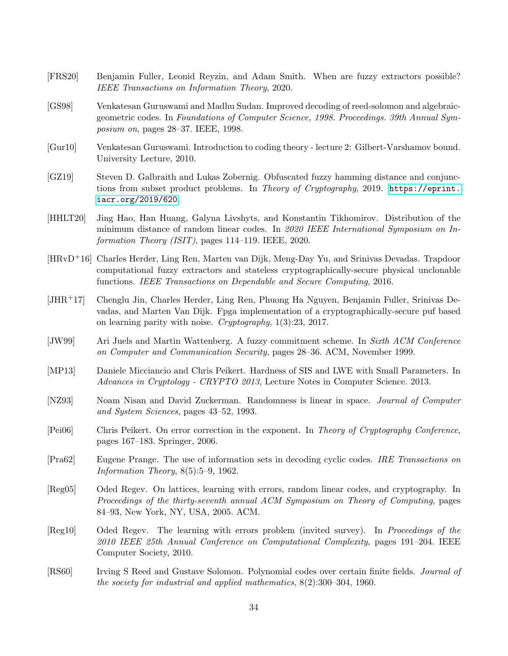- <span id="page-33-0"></span>[FRS20] Benjamin Fuller, Leonid Reyzin, and Adam Smith. When are fuzzy extractors possible? IEEE Transactions on Information Theory, 2020.
- <span id="page-33-14"></span>[GS98] Venkatesan Guruswami and Madhu Sudan. Improved decoding of reed-solomon and algebraicgeometric codes. In Foundations of Computer Science, 1998. Proceedings. 39th Annual Symposium on, pages 28–37. IEEE, 1998.
- <span id="page-33-10"></span>[Gur10] Venkatesan Guruswami. Introduction to coding theory - lecture 2: Gilbert-Varshamov bound. University Lecture, 2010.
- <span id="page-33-7"></span>[GZ19] Steven D. Galbraith and Lukas Zobernig. Obfuscated fuzzy hamming distance and conjunctions from subset product problems. In Theory of Cryptography, 2019. [https://eprint.](https://eprint.iacr.org/2019/620) [iacr.org/2019/620](https://eprint.iacr.org/2019/620).
- <span id="page-33-12"></span>[HHLT20] Jing Hao, Han Huang, Galyna Livshyts, and Konstantin Tikhomirov. Distribution of the minimum distance of random linear codes. In 2020 IEEE International Symposium on Information Theory (ISIT), pages 114–119. IEEE, 2020.
- <span id="page-33-5"></span>[HRvD+16] Charles Herder, Ling Ren, Marten van Dijk, Meng-Day Yu, and Srinivas Devadas. Trapdoor computational fuzzy extractors and stateless cryptographically-secure physical unclonable functions. IEEE Transactions on Dependable and Secure Computing, 2016.
- <span id="page-33-6"></span>[JHR+17] Chenglu Jin, Charles Herder, Ling Ren, Phuong Ha Nguyen, Benjamin Fuller, Srinivas Devadas, and Marten Van Dijk. Fpga implementation of a cryptographically-secure puf based on learning parity with noise. Cryptography, 1(3):23, 2017.
- <span id="page-33-1"></span>[JW99] Ari Juels and Martin Wattenberg. A fuzzy commitment scheme. In Sixth ACM Conference on Computer and Communication Security, pages 28–36. ACM, November 1999.
- <span id="page-33-8"></span>[MP13] Daniele Micciancio and Chris Peikert. Hardness of SIS and LWE with Small Parameters. In Advances in Cryptology - CRYPTO 2013, Lecture Notes in Computer Science. 2013.
- <span id="page-33-4"></span>[NZ93] Noam Nisan and David Zuckerman. Randomness is linear in space. Journal of Computer and System Sciences, pages 43–52, 1993.
- <span id="page-33-9"></span>[Pei06] Chris Peikert. On error correction in the exponent. In Theory of Cryptography Conference, pages 167–183. Springer, 2006.
- <span id="page-33-3"></span>[Pra62] Eugene Prange. The use of information sets in decoding cyclic codes. IRE Transactions on Information Theory, 8(5):5–9, 1962.
- <span id="page-33-2"></span>[Reg05] Oded Regev. On lattices, learning with errors, random linear codes, and cryptography. In Proceedings of the thirty-seventh annual ACM Symposium on Theory of Computing, pages 84–93, New York, NY, USA, 2005. ACM.
- <span id="page-33-11"></span>[Reg10] Oded Regev. The learning with errors problem (invited survey). In Proceedings of the 2010 IEEE 25th Annual Conference on Computational Complexity, pages 191–204. IEEE Computer Society, 2010.
- <span id="page-33-13"></span>[RS60] Irving S Reed and Gustave Solomon. Polynomial codes over certain finite fields. *Journal of* the society for industrial and applied mathematics, 8(2):300–304, 1960.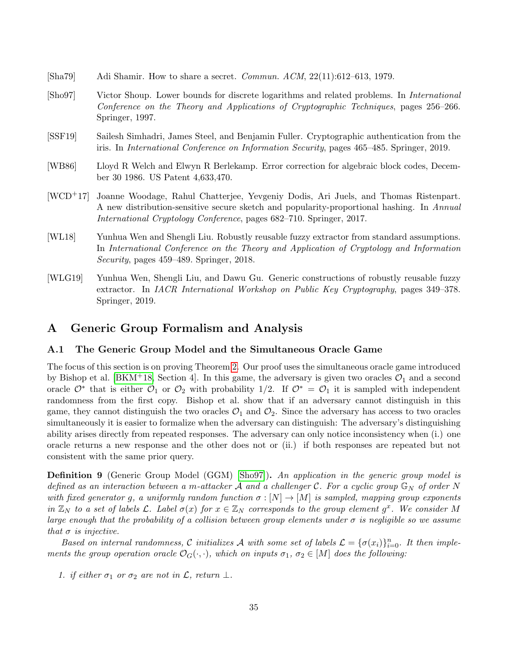- <span id="page-34-7"></span>[Sha79] Adi Shamir. How to share a secret. Commun. ACM, 22(11):612–613, 1979.
- <span id="page-34-4"></span>[Sho97] Victor Shoup. Lower bounds for discrete logarithms and related problems. In International Conference on the Theory and Applications of Cryptographic Techniques, pages 256–266. Springer, 1997.
- <span id="page-34-0"></span>[SSF19] Sailesh Simhadri, James Steel, and Benjamin Fuller. Cryptographic authentication from the iris. In International Conference on Information Security, pages 465–485. Springer, 2019.
- <span id="page-34-6"></span>[WB86] Lloyd R Welch and Elwyn R Berlekamp. Error correction for algebraic block codes, December 30 1986. US Patent 4,633,470.
- <span id="page-34-1"></span>[WCD+17] Joanne Woodage, Rahul Chatterjee, Yevgeniy Dodis, Ari Juels, and Thomas Ristenpart. A new distribution-sensitive secure sketch and popularity-proportional hashing. In Annual International Cryptology Conference, pages 682–710. Springer, 2017.
- <span id="page-34-2"></span>[WL18] Yunhua Wen and Shengli Liu. Robustly reusable fuzzy extractor from standard assumptions. In International Conference on the Theory and Application of Cryptology and Information Security, pages 459–489. Springer, 2018.
- <span id="page-34-3"></span>[WLG19] Yunhua Wen, Shengli Liu, and Dawu Gu. Generic constructions of robustly reusable fuzzy extractor. In IACR International Workshop on Public Key Cryptography, pages 349–378. Springer, 2019.

### <span id="page-34-5"></span>A Generic Group Formalism and Analysis

### A.1 The Generic Group Model and the Simultaneous Oracle Game

The focus of this section is on proving Theorem [2.](#page-10-1) Our proof uses the simultaneous oracle game introduced by Bishop et al. [\[BKM](#page-31-0)+18, Section 4]. In this game, the adversary is given two oracles  $\mathcal{O}_1$  and a second oracle  $\mathcal{O}^*$  that is either  $\mathcal{O}_1$  or  $\mathcal{O}_2$  with probability 1/2. If  $\mathcal{O}^* = \mathcal{O}_1$  it is sampled with independent randomness from the first copy. Bishop et al. show that if an adversary cannot distinguish in this game, they cannot distinguish the two oracles  $\mathcal{O}_1$  and  $\mathcal{O}_2$ . Since the adversary has access to two oracles simultaneously it is easier to formalize when the adversary can distinguish: The adversary's distinguishing ability arises directly from repeated responses. The adversary can only notice inconsistency when (i.) one oracle returns a new response and the other does not or (ii.) if both responses are repeated but not consistent with the same prior query.

**Definition 9** (Generic Group Model (GGM) [\[Sho97\]](#page-34-4)). An application in the generic group model is defined as an interaction between a m-attacker A and a challenger C. For a cyclic group  $\mathbb{G}_N$  of order N with fixed generator g, a uniformly random function  $\sigma : [N] \to [M]$  is sampled, mapping group exponents in  $\mathbb{Z}_N$  to a set of labels  $\mathcal{L}$ . Label  $\sigma(x)$  for  $x \in \mathbb{Z}_N$  corresponds to the group element  $g^x$ . We consider M large enough that the probability of a collision between group elements under  $\sigma$  is negligible so we assume that  $\sigma$  is injective.

Based on internal randomness, C initializes A with some set of labels  $\mathcal{L} = {\{\sigma(x_i)\}}_{i=0}^n$ . It then implements the group operation oracle  $\mathcal{O}_G(\cdot,\cdot)$ , which on inputs  $\sigma_1$ ,  $\sigma_2 \in [M]$  does the following:

1. if either  $\sigma_1$  or  $\sigma_2$  are not in  $\mathcal{L}$ , return  $\perp$ .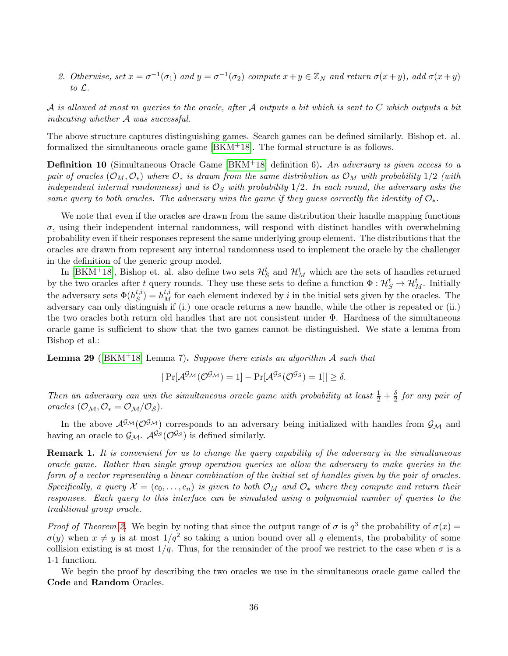2. Otherwise, set  $x = \sigma^{-1}(\sigma_1)$  and  $y = \sigma^{-1}(\sigma_2)$  compute  $x + y \in \mathbb{Z}_N$  and return  $\sigma(x + y)$ , add  $\sigma(x + y)$ to L.

A is allowed at most m queries to the oracle, after A outputs a bit which is sent to C which outputs a bit indicating whether A was successful.

The above structure captures distinguishing games. Search games can be defined similarly. Bishop et. al. formalized the simultaneous oracle game  $[BKM^+18]$  $[BKM^+18]$ . The formal structure is as follows.

**Definition 10** (Simultaneous Oracle Game  $[BKM^+18]$  $[BKM^+18]$  definition 6). An adversary is given access to a pair of oracles  $(\mathcal{O}_M, \mathcal{O}_*)$  where  $\mathcal{O}_*$  is drawn from the same distribution as  $\mathcal{O}_M$  with probability 1/2 (with independent internal randomness) and is  $\mathcal{O}_S$  with probability 1/2. In each round, the adversary asks the same query to both oracles. The adversary wins the game if they quess correctly the identity of  $\mathcal{O}_*$ .

We note that even if the oracles are drawn from the same distribution their handle mapping functions  $\sigma$ , using their independent internal randomness, will respond with distinct handles with overwhelming probability even if their responses represent the same underlying group element. The distributions that the oracles are drawn from represent any internal randomness used to implement the oracle by the challenger in the definition of the generic group model.

In [\[BKM](#page-31-0)<sup>+</sup>18], Bishop et. al. also define two sets  $\mathcal{H}^t_S$  and  $\mathcal{H}^t_M$  which are the sets of handles returned by the two oracles after t query rounds. They use these sets to define a function  $\Phi: \mathcal{H}_S^t \to \mathcal{H}_M^t$ . Initially the adversary sets  $\Phi(h_S^{t,i})$  $S^{t,i}_{S}$  =  $h_M^{t,i}$  for each element indexed by i in the initial sets given by the oracles. The adversary can only distinguish if (i.) one oracle returns a new handle, while the other is repeated or (ii.) the two oracles both return old handles that are not consistent under Φ. Hardness of the simultaneous oracle game is sufficient to show that the two games cannot be distinguished. We state a lemma from Bishop et al.:

<span id="page-35-0"></span>**Lemma 29** ([\[BKM](#page-31-0)<sup>+</sup>18] Lemma 7). Suppose there exists an algorithm A such that

$$
|\Pr[\mathcal{A}^{\mathcal{G}_{\mathcal{M}}}(\mathcal{O}^{\mathcal{G}_{\mathcal{M}}})=1]-\Pr[\mathcal{A}^{\mathcal{G}_{\mathcal{S}}}(\mathcal{O}^{\mathcal{G}_{\mathcal{S}}})=1]|\geq \delta.
$$

Then an adversary can win the simultaneous oracle game with probability at least  $\frac{1}{2} + \frac{\delta}{2}$  $\frac{\delta}{2}$  for any pair of oracles  $(\mathcal{O}_{\mathcal{M}}, \mathcal{O}_{*} = \mathcal{O}_{\mathcal{M}}/\mathcal{O}_{\mathcal{S}}).$ 

In the above  $\mathcal{A}^{\mathcal{G}_{\mathcal{M}}}(\mathcal{O}^{\mathcal{G}_{\mathcal{M}}})$  corresponds to an adversary being initialized with handles from  $\mathcal{G}_{\mathcal{M}}$  and having an oracle to  $\mathcal{G}_{\mathcal{M}}$ .  $\mathcal{A}^{\mathcal{G}_{\mathcal{S}}}(\mathcal{O}^{\mathcal{G}_{\mathcal{S}}})$  is defined similarly.

Remark 1. It is convenient for us to change the query capability of the adversary in the simultaneous oracle game. Rather than single group operation queries we allow the adversary to make queries in the form of a vector representing a linear combination of the initial set of handles given by the pair of oracles. Specifically, a query  $\mathcal{X} = (c_0, \ldots, c_n)$  is given to both  $\mathcal{O}_M$  and  $\mathcal{O}_*$  where they compute and return their responses. Each query to this interface can be simulated using a polynomial number of queries to the traditional group oracle.

Proof of Theorem [2.](#page-10-1) We begin by noting that since the output range of  $\sigma$  is  $q^3$  the probability of  $\sigma(x)$  =  $\sigma(y)$  when  $x \neq y$  is at most  $1/q^2$  so taking a union bound over all q elements, the probability of some collision existing is at most  $1/q$ . Thus, for the remainder of the proof we restrict to the case when  $\sigma$  is a 1-1 function.

We begin the proof by describing the two oracles we use in the simultaneous oracle game called the Code and Random Oracles.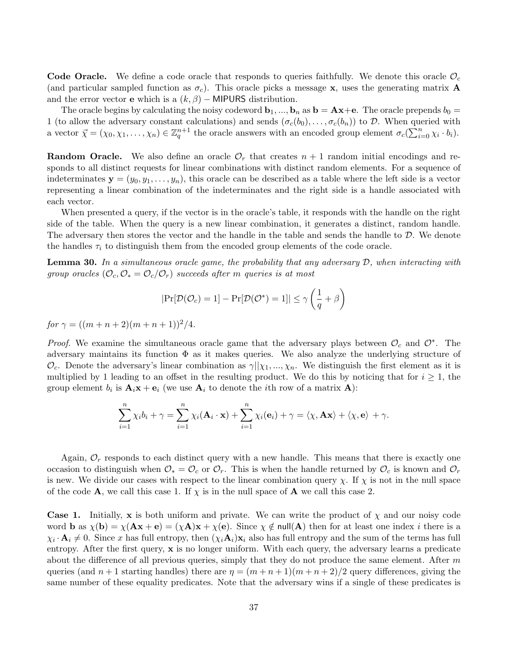Code Oracle. We define a code oracle that responds to queries faithfully. We denote this oracle  $\mathcal{O}_c$ (and particular sampled function as  $\sigma_c$ ). This oracle picks a message x, uses the generating matrix **A** and the error vector **e** which is a  $(k, \beta)$  – MIPURS distribution.

The oracle begins by calculating the noisy codeword  $\mathbf{b}_1, ..., \mathbf{b}_n$  as  $\mathbf{b} = \mathbf{Ax} + \mathbf{e}$ . The oracle prepends  $b_0 =$ 1 (to allow the adversary constant calculations) and sends  $(\sigma_c(b_0), \ldots, \sigma_c(b_n))$  to D. When queried with a vector  $\vec{\chi} = (\chi_0, \chi_1, \ldots, \chi_n) \in \mathbb{Z}_q^{n+1}$  the oracle answers with an encoded group element  $\sigma_c(\sum_{i=0}^n \chi_i \cdot b_i)$ .

**Random Oracle.** We also define an oracle  $\mathcal{O}_r$  that creates  $n + 1$  random initial encodings and responds to all distinct requests for linear combinations with distinct random elements. For a sequence of indeterminates  $y = (y_0, y_1, \ldots, y_n)$ , this oracle can be described as a table where the left side is a vector representing a linear combination of the indeterminates and the right side is a handle associated with each vector.

When presented a query, if the vector is in the oracle's table, it responds with the handle on the right side of the table. When the query is a new linear combination, it generates a distinct, random handle. The adversary then stores the vector and the handle in the table and sends the handle to D. We denote the handles  $\tau_i$  to distinguish them from the encoded group elements of the code oracle.

<span id="page-36-0"></span>**Lemma 30.** In a simultaneous oracle game, the probability that any adversary  $\mathcal{D}$ , when interacting with group oracles  $(\mathcal{O}_c, \mathcal{O}_s = \mathcal{O}_c/\mathcal{O}_r)$  succeeds after m queries is at most

$$
|\Pr[\mathcal{D}(\mathcal{O}_c) = 1] - \Pr[\mathcal{D}(\mathcal{O}^*) = 1]| \le \gamma \left(\frac{1}{q} + \beta\right)
$$

for  $\gamma = ((m+n+2)(m+n+1))^2/4$ .

*Proof.* We examine the simultaneous oracle game that the adversary plays between  $\mathcal{O}_c$  and  $\mathcal{O}^*$ . The adversary maintains its function  $\Phi$  as it makes queries. We also analyze the underlying structure of  $\mathcal{O}_c$ . Denote the adversary's linear combination as  $\gamma||\chi_1, \ldots, \chi_n$ . We distinguish the first element as it is multiplied by 1 leading to an offset in the resulting product. We do this by noticing that for  $i \geq 1$ , the group element  $b_i$  is  $\mathbf{A}_i \mathbf{x} + \mathbf{e}_i$  (we use  $\mathbf{A}_i$  to denote the *i*th row of a matrix  $\mathbf{A}$ ):

$$
\sum_{i=1}^n \chi_i b_i + \gamma = \sum_{i=1}^n \chi_i(\mathbf{A}_i \cdot \mathbf{x}) + \sum_{i=1}^n \chi_i(\mathbf{e}_i) + \gamma = \langle \chi, \mathbf{A} \mathbf{x} \rangle + \langle \chi, \mathbf{e} \rangle + \gamma.
$$

Again,  $\mathcal{O}_r$  responds to each distinct query with a new handle. This means that there is exactly one occasion to distinguish when  $\mathcal{O}_* = \mathcal{O}_c$  or  $\mathcal{O}_r$ . This is when the handle returned by  $\mathcal{O}_c$  is known and  $\mathcal{O}_r$ is new. We divide our cases with respect to the linear combination query  $\chi$ . If  $\chi$  is not in the null space of the code **A**, we call this case 1. If  $\chi$  is in the null space of **A** we call this case 2.

**Case 1.** Initially, x is both uniform and private. We can write the product of  $\chi$  and our noisy code word **b** as  $\chi(\mathbf{b}) = \chi(\mathbf{A}\mathbf{x} + \mathbf{e}) = (\chi \mathbf{A})\mathbf{x} + \chi(\mathbf{e})$ . Since  $\chi \notin \text{null}(\mathbf{A})$  then for at least one index *i* there is a  $\chi_i \cdot \mathbf{A}_i \neq 0$ . Since x has full entropy, then  $(\chi_i \mathbf{A}_i)\mathbf{x}_i$  also has full entropy and the sum of the terms has full entropy. After the first query,  $x$  is no longer uniform. With each query, the adversary learns a predicate about the difference of all previous queries, simply that they do not produce the same element. After  $m$ queries (and  $n+1$  starting handles) there are  $\eta = (m+n+1)(m+n+2)/2$  query differences, giving the same number of these equality predicates. Note that the adversary wins if a single of these predicates is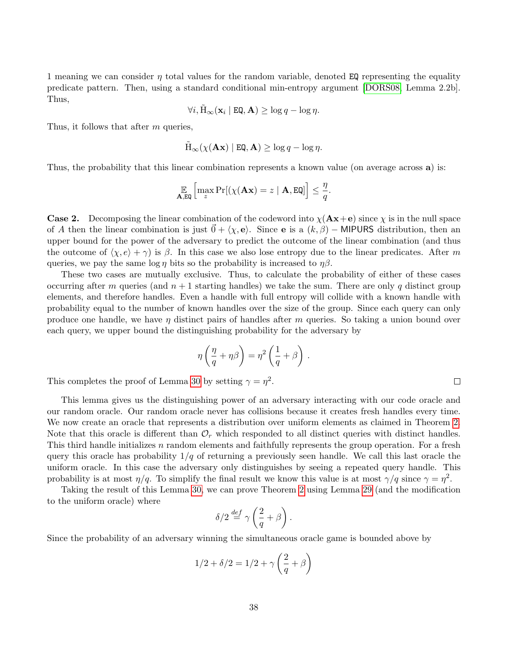1 meaning we can consider  $\eta$  total values for the random variable, denoted EQ representing the equality predicate pattern. Then, using a standard conditional min-entropy argument [\[DORS08,](#page-32-0) Lemma 2.2b]. Thus,

$$
\forall i, \tilde{\mathcal{H}}_{\infty}(\mathbf{x}_i \mid \mathbf{EQ}, \mathbf{A}) \ge \log q - \log \eta.
$$

Thus, it follows that after m queries,

$$
\tilde{\mathrm{H}}_{\infty}(\chi(\mathbf{A}\mathbf{x}) \mid \mathbf{EQ}, \mathbf{A}) \ge \log q - \log \eta.
$$

Thus, the probability that this linear combination represents a known value (on average across a) is:

$$
\mathop{\mathbb{E}}_{\mathbf{A},\text{EQ}}\left[\max_z \Pr[(\chi(\mathbf{A}\mathbf{x})=z \mid \mathbf{A}, \text{EQ}]\right] \leq \frac{\eta}{q}.
$$

**Case 2.** Decomposing the linear combination of the codeword into  $\chi$ ( $\mathbf{Ax}+\mathbf{e}$ ) since  $\chi$  is in the null space of A then the linear combination is just  $\vec{0} + \langle \chi, e \rangle$ . Since e is a  $(k, \beta)$  – MIPURS distribution, then an upper bound for the power of the adversary to predict the outcome of the linear combination (and thus the outcome of  $\langle \chi, e \rangle + \gamma$  is β. In this case we also lose entropy due to the linear predicates. After m queries, we pay the same log  $\eta$  bits so the probability is increased to  $\eta\beta$ .

These two cases are mutually exclusive. Thus, to calculate the probability of either of these cases occurring after m queries (and  $n + 1$  starting handles) we take the sum. There are only q distinct group elements, and therefore handles. Even a handle with full entropy will collide with a known handle with probability equal to the number of known handles over the size of the group. Since each query can only produce one handle, we have  $\eta$  distinct pairs of handles after m queries. So taking a union bound over each query, we upper bound the distinguishing probability for the adversary by

$$
\eta\left(\frac{\eta}{q} + \eta\beta\right) = \eta^2\left(\frac{1}{q} + \beta\right)
$$

.

This completes the proof of Lemma [30](#page-36-0) by setting  $\gamma = \eta^2$ .

This lemma gives us the distinguishing power of an adversary interacting with our code oracle and our random oracle. Our random oracle never has collisions because it creates fresh handles every time. We now create an oracle that represents a distribution over uniform elements as claimed in Theorem [2.](#page-10-1) Note that this oracle is different than  $\mathcal{O}_r$  which responded to all distinct queries with distinct handles. This third handle initializes n random elements and faithfully represents the group operation. For a fresh query this oracle has probability  $1/q$  of returning a previously seen handle. We call this last oracle the uniform oracle. In this case the adversary only distinguishes by seeing a repeated query handle. This probability is at most  $\eta/q$ . To simplify the final result we know this value is at most  $\gamma/q$  since  $\gamma = \eta^2$ .

Taking the result of this Lemma [30,](#page-36-0) we can prove Theorem [2](#page-10-1) using Lemma [29](#page-35-0) (and the modification to the uniform oracle) where

$$
\delta/2 \stackrel{def}{=} \gamma \left(\frac{2}{q} + \beta\right).
$$

Since the probability of an adversary winning the simultaneous oracle game is bounded above by

$$
1/2 + \delta/2 = 1/2 + \gamma \left(\frac{2}{q} + \beta\right)
$$

 $\Box$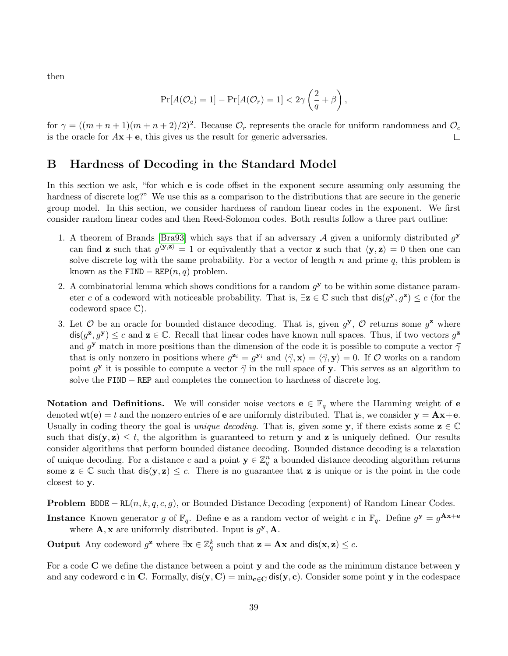then

$$
Pr[A(\mathcal{O}_c) = 1] - Pr[A(\mathcal{O}_r) = 1] < 2\gamma \left(\frac{2}{q} + \beta\right),
$$

for  $\gamma = ((m+n+1)(m+n+2)/2)^2$ . Because  $\mathcal{O}_r$  represents the oracle for uniform randomness and  $\mathcal{O}_c$ is the oracle for  $A\mathbf{x} + \mathbf{e}$ , this gives us the result for generic adversaries.  $\Box$ 

### <span id="page-38-0"></span>B Hardness of Decoding in the Standard Model

In this section we ask, "for which **e** is code offset in the exponent secure assuming only assuming the hardness of discrete log?" We use this as a comparison to the distributions that are secure in the generic group model. In this section, we consider hardness of random linear codes in the exponent. We first consider random linear codes and then Reed-Solomon codes. Both results follow a three part outline:

- 1. A theorem of Brands [\[Bra93\]](#page-32-13) which says that if an adversary  $A$  given a uniformly distributed  $g^y$ can find **z** such that  $g(y, z) = 1$  or equivalently that a vector **z** such that  $\langle y, z \rangle = 0$  then one can solve discrete log with the same probability. For a vector of length n and prime  $q$ , this problem is known as the FIND – REP $(n, q)$  problem.
- 2. A combinatorial lemma which shows conditions for a random  $g<sup>y</sup>$  to be within some distance parameter c of a codeword with noticeable probability. That is,  $\exists z \in \mathbb{C}$  such that  $\text{dis}(g^y, g^z) \leq c$  (for the codeword space C).
- 3. Let O be an oracle for bounded distance decoding. That is, given  $g^y$ , O returns some  $g^z$  where  $\text{dis}(g^{\mathbf{z}}, g^{\mathbf{y}}) \leq c$  and  $\mathbf{z} \in \mathbb{C}$ . Recall that linear codes have known null spaces. Thus, if two vectors  $g^{\mathbf{z}}$ and  $g^{\mathbf{y}}$  match in more positions than the dimension of the code it is possible to compute a vector  $\vec{\gamma}$ that is only nonzero in positions where  $g^{\mathbf{z}_i} = g^{\mathbf{y}_i}$  and  $\langle \vec{\gamma}, \mathbf{x} \rangle = \langle \vec{\gamma}, \mathbf{y} \rangle = 0$ . If  $\mathcal{O}$  works on a random point  $g^{\mathbf{y}}$  it is possible to compute a vector  $\vec{\gamma}$  in the null space of y. This serves as an algorithm to solve the FIND – REP and completes the connection to hardness of discrete log.

**Notation and Definitions.** We will consider noise vectors  $e \in \mathbb{F}_q$  where the Hamming weight of e denoted  $\text{wt}(e) = t$  and the nonzero entries of e are uniformly distributed. That is, we consider  $y = Ax + e$ . Usually in coding theory the goal is *unique decoding*. That is, given some y, if there exists some  $z \in \mathbb{C}$ such that  $dis(y, z) \leq t$ , the algorithm is guaranteed to return y and z is uniquely defined. Our results consider algorithms that perform bounded distance decoding. Bounded distance decoding is a relaxation of unique decoding. For a distance c and a point  $y \in \mathbb{Z}_q^n$  a bounded distance decoding algorithm returns some  $\mathbf{z} \in \mathbb{C}$  such that  $\text{dis}(\mathbf{y}, \mathbf{z}) \leq c$ . There is no guarantee that z is unique or is the point in the code closest to y.

**Problem BDDE** –  $RL(n, k, q, c, g)$ , or Bounded Distance Decoding (exponent) of Random Linear Codes.

**Instance** Known generator g of  $\mathbb{F}_q$ . Define **e** as a random vector of weight c in  $\mathbb{F}_q$ . Define  $g^{\mathbf{y}} = g^{\mathbf{Ax}+\mathbf{e}}$ where  $\mathbf{A}, \mathbf{x}$  are uniformly distributed. Input is  $g^{\mathbf{y}}, \mathbf{A}$ .

Output Any codeword  $g^{\mathbf{z}}$  where  $\exists \mathbf{x} \in \mathbb{Z}_q^k$  such that  $\mathbf{z} = \mathbf{A}\mathbf{x}$  and  $\text{dis}(\mathbf{x}, \mathbf{z}) \leq c$ .

For a code  $C$  we define the distance between a point  $v$  and the code as the minimum distance between  $v$ and any codeword c in C. Formally,  $dis(y, C) = min_{c \in C} dis(y, c)$ . Consider some point y in the codespace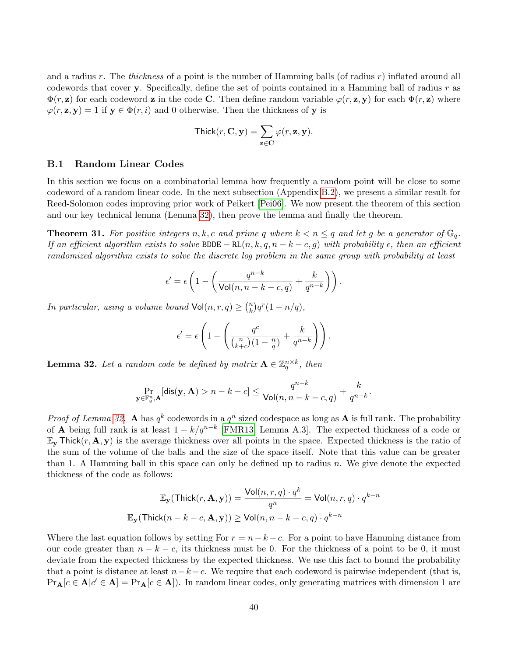and a radius r. The *thickness* of a point is the number of Hamming balls (of radius r) inflated around all codewords that cover y. Specifically, define the set of points contained in a Hamming ball of radius  $r$  as  $\Phi(r, \mathbf{z})$  for each codeword z in the code C. Then define random variable  $\varphi(r, \mathbf{z}, \mathbf{y})$  for each  $\Phi(r, \mathbf{z})$  where  $\varphi(r, \mathbf{z}, \mathbf{y}) = 1$  if  $\mathbf{y} \in \Phi(r, i)$  and 0 otherwise. Then the thickness of y is

$$
\mathsf{Thick}(r, \mathbf{C}, \mathbf{y}) = \sum_{\mathbf{z} \in \mathbf{C}} \varphi(r, \mathbf{z}, \mathbf{y}).
$$

### B.1 Random Linear Codes

In this section we focus on a combinatorial lemma how frequently a random point will be close to some codeword of a random linear code. In the next subsection (Appendix [B.2\)](#page-40-0), we present a similar result for Reed-Solomon codes improving prior work of Peikert [\[Pei06\]](#page-33-9). We now present the theorem of this section and our key technical lemma (Lemma [32\)](#page-39-1), then prove the lemma and finally the theorem.

<span id="page-39-0"></span>**Theorem 31.** For positive integers n, k, c and prime q where  $k < n \leq q$  and let g be a generator of  $\mathbb{G}_q$ . If an efficient algorithm exists to solve BDDE – RL $(n, k, q, n - k - c, g)$  with probability  $\epsilon$ , then an efficient randomized algorithm exists to solve the discrete log problem in the same group with probability at least

$$
\epsilon' = \epsilon \left( 1 - \left( \frac{q^{n-k}}{\text{Vol}(n, n-k-c, q)} + \frac{k}{q^{n-k}} \right) \right).
$$

In particular, using a volume bound  $\text{Vol}(n, r, q) \geq {n \choose k}$  $\binom{n}{k} q^r (1 - n/q),$ 

$$
\epsilon' = \epsilon \left( 1 - \left( \frac{q^c}{\binom{n}{k+c} (1 - \frac{n}{q})} + \frac{k}{q^{n-k}} \right) \right).
$$

<span id="page-39-1"></span>**Lemma 32.** Let a random code be defined by matrix  $A \in \mathbb{Z}_q^{n \times k}$ , then

$$
\Pr_{\mathbf{y} \in \mathbb{F}_q^n, \mathbf{A}}[\textsf{dis}(\mathbf{y}, \mathbf{A}) > n - k - c] \le \frac{q^{n-k}}{\textsf{Vol}(n, n - k - c, q)} + \frac{k}{q^{n-k}}.
$$

*Proof of Lemma [32.](#page-39-1)* A has  $q^k$  codewords in a  $q^n$  sized codespace as long as A is full rank. The probability of **A** being full rank is at least  $1 - k/q^{n-k}$  [\[FMR13,](#page-32-5) Lemma A.3]. The expected thickness of a code or  $\mathbb{E}_{\mathbf{y}}$  Thick $(r, \mathbf{A}, \mathbf{y})$  is the average thickness over all points in the space. Expected thickness is the ratio of the sum of the volume of the balls and the size of the space itself. Note that this value can be greater than 1. A Hamming ball in this space can only be defined up to radius  $n$ . We give denote the expected thickness of the code as follows:

$$
\mathbb{E}_{\mathbf{y}}(\mathsf{Thick}(r, \mathbf{A}, \mathbf{y})) = \frac{\mathsf{Vol}(n, r, q) \cdot q^k}{q^n} = \mathsf{Vol}(n, r, q) \cdot q^{k-n}
$$
  

$$
\mathbb{E}_{\mathbf{y}}(\mathsf{Thick}(n - k - c, \mathbf{A}, \mathbf{y})) \ge \mathsf{Vol}(n, n - k - c, q) \cdot q^{k-n}
$$

Where the last equation follows by setting For  $r = n - k - c$ . For a point to have Hamming distance from our code greater than  $n - k - c$ , its thickness must be 0. For the thickness of a point to be 0, it must deviate from the expected thickness by the expected thickness. We use this fact to bound the probability that a point is distance at least  $n-k-c$ . We require that each codeword is pairwise independent (that is,  $Pr_{\mathbf{A}}[c \in \mathbf{A}|c' \in \mathbf{A}] = Pr_{\mathbf{A}}[c \in \mathbf{A}].$  In random linear codes, only generating matrices with dimension 1 are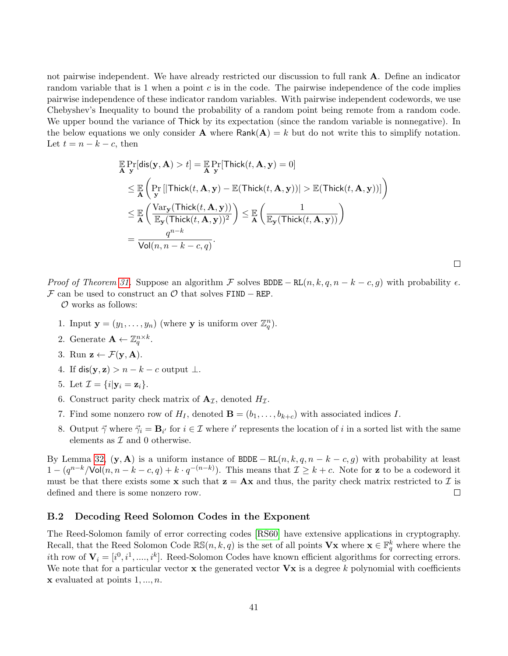not pairwise independent. We have already restricted our discussion to full rank A. Define an indicator random variable that is 1 when a point  $c$  is in the code. The pairwise independence of the code implies pairwise independence of these indicator random variables. With pairwise independent codewords, we use Chebyshev's Inequality to bound the probability of a random point being remote from a random code. We upper bound the variance of Thick by its expectation (since the random variable is nonnegative). In the below equations we only consider **A** where  $Rank(A) = k$  but do not write this to simplify notation. Let  $t = n - k - c$ , then

$$
\mathbb{E} \Pr[\text{dis}(\mathbf{y}, \mathbf{A}) > t] = \mathbb{E} \Pr[\text{Thick}(t, \mathbf{A}, \mathbf{y}) = 0]
$$
\n
$$
\leq \mathbb{E} \left( \Pr_{\mathbf{y}} [\text{Thick}(t, \mathbf{A}, \mathbf{y}) - \mathbb{E}(\text{Thick}(t, \mathbf{A}, \mathbf{y}))] > \mathbb{E}(\text{Thick}(t, \mathbf{A}, \mathbf{y}))] \right)
$$
\n
$$
\leq \mathbb{E} \left( \frac{\text{Var}_{\mathbf{y}}(\text{Thick}(t, \mathbf{A}, \mathbf{y}))}{\mathbb{E}_{\mathbf{y}}(\text{Thick}(t, \mathbf{A}, \mathbf{y}))^{2}} \right) \leq \mathbb{E} \left( \frac{1}{\mathbb{E}_{\mathbf{y}}(\text{Thick}(t, \mathbf{A}, \mathbf{y}))} \right)
$$
\n
$$
= \frac{q^{n-k}}{\text{Vol}(n, n - k - c, q)}.
$$

Proof of Theorem [31.](#page-39-0) Suppose an algorithm F solves BDDE – RL $(n, k, q, n - k - c, g)$  with probability  $\epsilon$ . F can be used to construct an  $\mathcal O$  that solves FIND – REP.

 $\mathcal O$  works as follows:

- 1. Input  $\mathbf{y} = (y_1, \dots, y_n)$  (where **y** is uniform over  $\mathbb{Z}_q^n$ ).
- 2. Generate  $\mathbf{A} \leftarrow \mathbb{Z}_q^{n \times k}$ .
- 3. Run  $\mathbf{z} \leftarrow \mathcal{F}(\mathbf{y}, \mathbf{A})$ .
- 4. If dis(y, z) >  $n k c$  output  $\perp$ .
- 5. Let  $\mathcal{I} = \{i | \mathbf{v}_i = \mathbf{z}_i\}.$
- 6. Construct parity check matrix of  $A_{\mathcal{I}}$ , denoted  $H_{\mathcal{I}}$ .
- 7. Find some nonzero row of  $H_I$ , denoted  $\mathbf{B} = (b_1, \ldots, b_{k+c})$  with associated indices I.
- 8. Output  $\vec{\gamma}$  where  $\vec{\gamma}_i = \mathbf{B}_{i'}$  for  $i \in \mathcal{I}$  where i' represents the location of i in a sorted list with the same elements as  ${\mathcal I}$  and  $0$  otherwise.

By Lemma [32,](#page-39-1)  $(\mathbf{y}, \mathbf{A})$  is a uniform instance of BDDE – RL $(n, k, q, n - k - c, g)$  with probability at least  $1-(q^{n-k}/\text{Vol}(n,n-k-c,q)+k\cdot q^{-(n-k)})$ . This means that  $\mathcal{I}\geq k+c$ . Note for **z** to be a codeword it must be that there exists some **x** such that  $z = Ax$  and thus, the parity check matrix restricted to  $\mathcal{I}$  is defined and there is some nonzero row.  $\Box$ 

### <span id="page-40-0"></span>B.2 Decoding Reed Solomon Codes in the Exponent

The Reed-Solomon family of error correcting codes [\[RS60\]](#page-33-13) have extensive applications in cryptography. Recall, that the Reed Solomon Code  $\mathbb{RS}(n, k, q)$  is the set of all points  $\mathbf{V}\mathbf{x}$  where  $\mathbf{x} \in \mathbb{F}_q^k$  where where the *i*th row of  $V_i = [i^0, i^1, \dots, i^k]$ . Reed-Solomon Codes have known efficient algorithms for correcting errors. We note that for a particular vector  $\bf{x}$  the generated vector  $\bf{V}\bf{x}$  is a degree k polynomial with coefficients  $\bf{x}$  evaluated at points  $1, \ldots, n$ .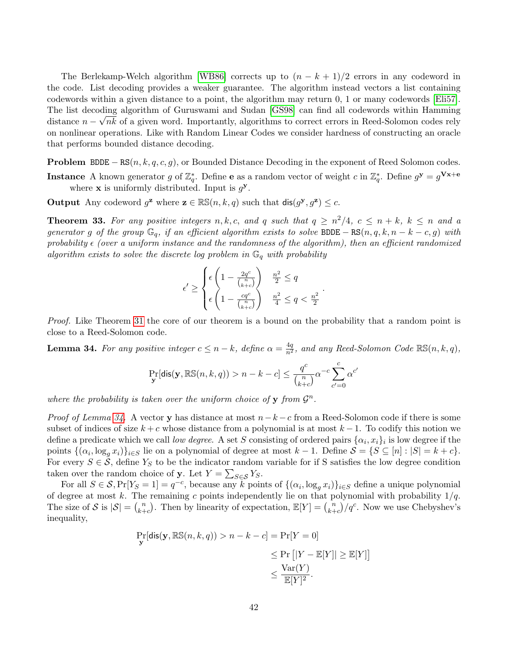The Berlekamp-Welch algorithm [\[WB86\]](#page-34-6) corrects up to  $(n - k + 1)/2$  errors in any codeword in the code. List decoding provides a weaker guarantee. The algorithm instead vectors a list containing codewords within a given distance to a point, the algorithm may return 0, 1 or many codewords [\[Eli57\]](#page-32-14). The list decoding algorithm of Guruswami and Sudan [\[GS98\]](#page-33-14) can find all codewords within Hamming distance  $n - \sqrt{nk}$  of a given word. Importantly, algorithms to correct errors in Reed-Solomon codes rely on nonlinear operations. Like with Random Linear Codes we consider hardness of constructing an oracle that performs bounded distance decoding.

**Problem** BDDE –  $RS(n, k, q, c, g)$ , or Bounded Distance Decoding in the exponent of Reed Solomon codes. **Instance** A known generator g of  $\mathbb{Z}_q^*$ . Define **e** as a random vector of weight c in  $\mathbb{Z}_q^*$ . Define  $g^{\mathbf{y}} = g^{\mathbf{V}\mathbf{x}+\mathbf{e}}$ where  $x$  is uniformly distributed. Input is  $g^y$ .

Output Any codeword  $g^z$  where  $z \in \mathbb{RS}(n, k, q)$  such that  $\text{dis}(g^y, g^z) \leq c$ .

<span id="page-41-0"></span>**Theorem 33.** For any positive integers  $n, k, c$ , and q such that  $q \geq n^2/4$ ,  $c \leq n + k$ ,  $k \leq n$  and a generator g of the group  $\mathbb{G}_q$ , if an efficient algorithm exists to solve BDDE – RS $(n, q, k, n - k - c, g)$  with probability  $\epsilon$  (over a uniform instance and the randomness of the algorithm), then an efficient randomized algorithm exists to solve the discrete log problem in  $\mathbb{G}_q$  with probability

$$
\epsilon' \ge \begin{cases} \epsilon \left(1 - \frac{2q^c}{\binom{n}{k+c}}\right) & \frac{n^2}{2} \le q\\ \epsilon \left(1 - \frac{cq^c}{\binom{n}{k+c}}\right) & \frac{n^2}{4} \le q < \frac{n^2}{2} \end{cases}.
$$

Proof. Like Theorem [31](#page-39-0) the core of our theorem is a bound on the probability that a random point is close to a Reed-Solomon code.

<span id="page-41-1"></span>**Lemma 34.** For any positive integer  $c \leq n - k$ , define  $\alpha = \frac{4q}{n^2}$ , and any Reed-Solomon Code  $\mathbb{RS}(n, k, q)$ ,

$$
\Pr_{\mathbf{y}}[\text{dis}(\mathbf{y}, \mathbb{RS}(n, k, q)) > n - k - c] \le \frac{q^c}{\binom{n}{k+c}} \alpha^{-c} \sum_{c'=0}^c \alpha^{c'}
$$

where the probability is taken over the uniform choice of y from  $\mathcal{G}^n$ .

*Proof of Lemma [34.](#page-41-1)* A vector y has distance at most  $n-k-c$  from a Reed-Solomon code if there is some subset of indices of size  $k + c$  whose distance from a polynomial is at most  $k - 1$ . To codify this notion we define a predicate which we call *low degree*. A set S consisting of ordered pairs  $\{\alpha_i, x_i\}_i$  is low degree if the points  $\{(\alpha_i, \log_g x_i)\}_{i\in S}$  lie on a polynomial of degree at most  $k-1$ . Define  $S = \{S \subseteq [n] : |S| = k+c\}$ . For every  $S \in \mathcal{S}$ , define  $Y_S$  to be the indicator random variable for if S satisfies the low degree condition taken over the random choice of **y**. Let  $Y = \sum_{S \in \mathcal{S}} Y_S$ .

For all  $S \in \mathcal{S}, \Pr[Y_{S} = 1] = q^{-c}$ , because any k points of  $\{(\alpha_i, \log_g x_i)\}_{i \in S}$  define a unique polynomial of degree at most k. The remaining c points independently lie on that polynomial with probability  $1/q$ . The size of S is  $|\mathcal{S}| = {n \choose k+1}$  $\binom{n}{k+c}$ . Then by linearity of expectation,  $\mathbb{E}[Y] = \binom{n}{k+c}$  $\binom{n}{k+c}/q^c$ . Now we use Chebyshev's inequality,

$$
\Pr_{\mathbf{y}}[\text{dis}(\mathbf{y}, \mathbb{RS}(n, k, q)) > n - k - c] = \Pr[Y = 0]
$$
  
\n
$$
\leq \Pr\left[|Y - \mathbb{E}[Y]\right] \geq \mathbb{E}[Y]\right]
$$
  
\n
$$
\leq \frac{\text{Var}(Y)}{\mathbb{E}[Y]^2}.
$$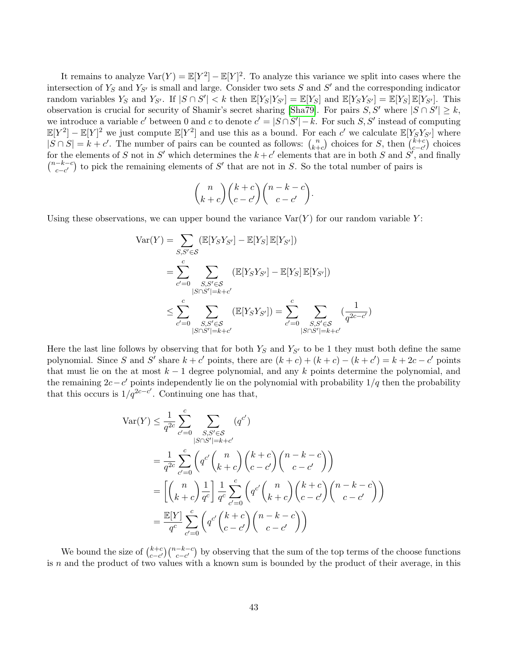It remains to analyze  $Var(Y) = \mathbb{E}[Y^2] - \mathbb{E}[Y]^2$ . To analyze this variance we split into cases where the intersection of  $Y_s$  and  $Y_{S'}$  is small and large. Consider two sets S and S' and the corresponding indicator random variables  $Y_S$  and  $Y_{S'}$ . If  $|S \cap S'| < k$  then  $\mathbb{E}[Y_S|Y_{S'}] = \mathbb{E}[Y_S]$  and  $\mathbb{E}[Y_SY_{S'}] = \mathbb{E}[Y_S]\mathbb{E}[Y_{S'}]$ . This observation is crucial for security of Shamir's secret sharing [\[Sha79\]](#page-34-7). For pairs  $S, S'$  where  $|S \cap S'| \geq k$ , we introduce a variable c' between 0 and c to denote  $c' = |S \cap S'| - k$ . For such S, S' instead of computing  $\mathbb{E}[Y^2] - \mathbb{E}[Y]^2$  we just compute  $\mathbb{E}[Y^2]$  and use this as a bound. For each c' we calculate  $\mathbb{E}[Y_S Y_{S'}]$  where  $|S \cap S| = k + c'$ . The number of pairs can be counted as follows:  $\binom{n}{k+1}$  $\binom{n}{k+c}$  choices for S, then  $\binom{k+c}{c-c'}$  $_{c-c'}^{k+c}$  choices for the elements of S not in S' which determines the  $k+c'$  elements that are in both S and S', and finally  $\binom{n-k-c}{a}$  $\binom{-k-c}{c-c'}$  to pick the remaining elements of S' that are not in S. So the total number of pairs is

$$
\binom{n}{k+c}\binom{k+c}{c-c'}\binom{n-k-c}{c-c'}.
$$

Using these observations, we can upper bound the variance  $\text{Var}(Y)$  for our random variable Y:

$$
\begin{split} \text{Var}(Y) &= \sum_{S,S' \in \mathcal{S}} (\mathbb{E}[Y_S Y_{S'}] - \mathbb{E}[Y_S] \, \mathbb{E}[Y_{S'}]) \\ &= \sum_{c'=0}^c \sum_{\substack{S,S' \in \mathcal{S} \\ |S \cap S'| = k+c'}} (\mathbb{E}[Y_S Y_{S'}] - \mathbb{E}[Y_S] \, \mathbb{E}[Y_{S'}]) \\ &\le \sum_{c'=0}^c \sum_{\substack{S,S' \in \mathcal{S} \\ |S \cap S'| = k+c'}} (\mathbb{E}[Y_S Y_{S'}]) = \sum_{c'=0}^c \sum_{\substack{S,S' \in \mathcal{S} \\ |S \cap S'| = k+c'}} (\frac{1}{q^{2c-c'}}) \end{split}
$$

Here the last line follows by observing that for both  $Y_S$  and  $Y_{S'}$  to be 1 they must both define the same polynomial. Since S and S' share  $k + c'$  points, there are  $(k + c) + (k + c) - (k + c') = k + 2c - c'$  points that must lie on the at most  $k - 1$  degree polynomial, and any k points determine the polynomial, and the remaining  $2c-c'$  points independently lie on the polynomial with probability  $1/q$  then the probability that this occurs is  $1/q^{2c-c'}$ . Continuing one has that,

$$
\begin{split} \text{Var}(Y) &\leq \frac{1}{q^{2c}} \sum_{c'=0}^{c} \sum_{\substack{S,S'\in\mathcal{S} \\ |S\cap S'|=k+c'}} (q^{c'}) \\ &= \frac{1}{q^{2c}} \sum_{c'=0}^{c} \left( q^{c'} \binom{n}{k+c} \binom{k+c}{c-c'} \binom{n-k-c}{c-c'} \right) \\ &= \left[ \binom{n}{k+c} \frac{1}{q^c} \right] \frac{1}{q^c} \sum_{c'=0}^{c} \binom{q^{c'} \binom{n}{k+c} \binom{k+c}{c-c'} \binom{n-k-c}{c-c'} \\ &= \frac{\mathbb{E}[Y]}{q^c} \sum_{c'=0}^{c} \binom{q^{c'} \binom{k+c}{c-c'} \binom{n-k-c}{c-c'} }{c-c'} \end{split}
$$

We bound the size of  $\binom{k+c}{c-c'}$  $_{c-c'}^{k+c}$  ( $_{c-c'}^{n-k-c}$ ) by observing that the sum of the top terms of the choose functions is  $n$  and the product of two values with a known sum is bounded by the product of their average, in this